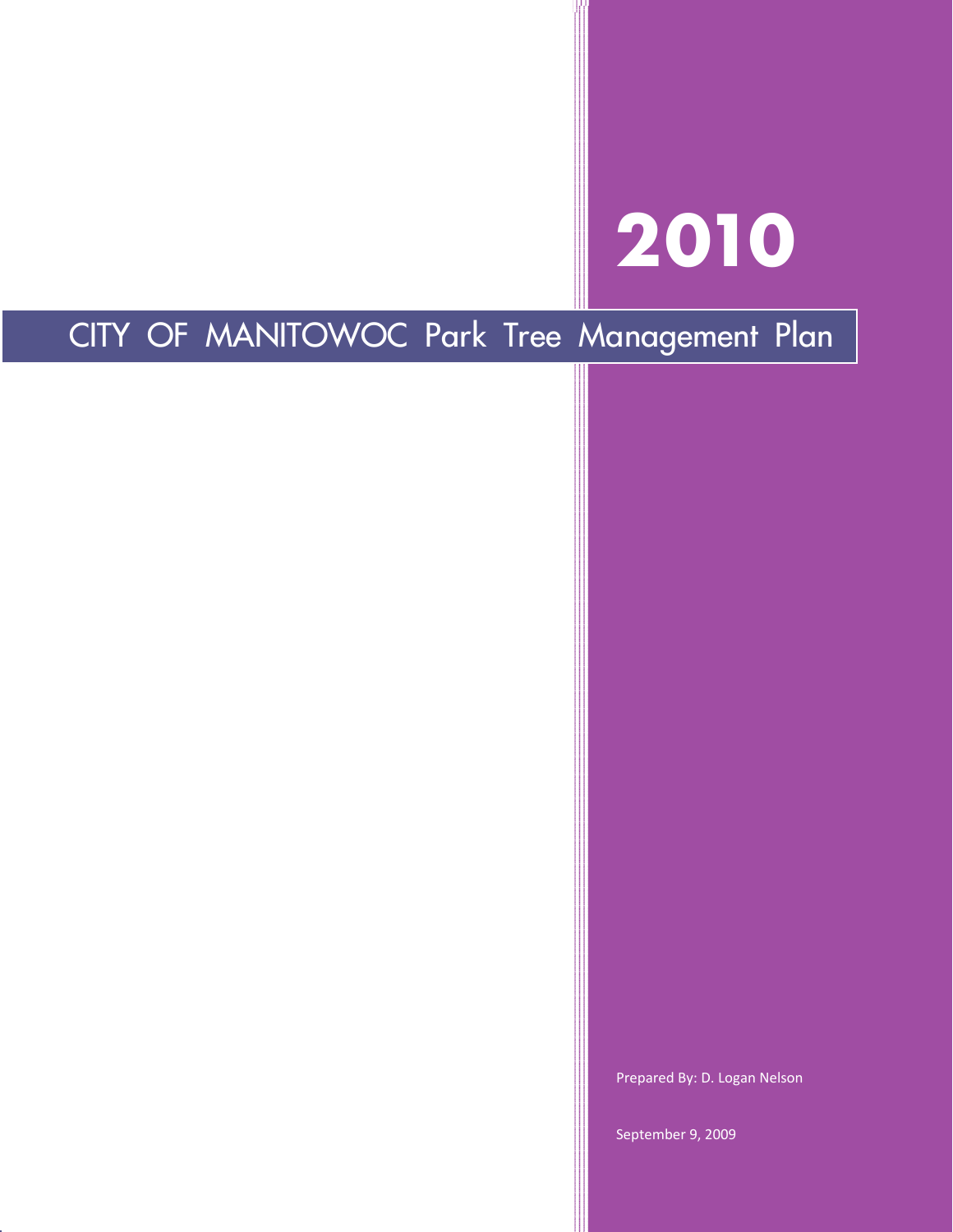# **2010**

## CITY OF MANITOWOC Park Tree Management Plan

Prepared By: D. Logan Nelson

September 9, 2009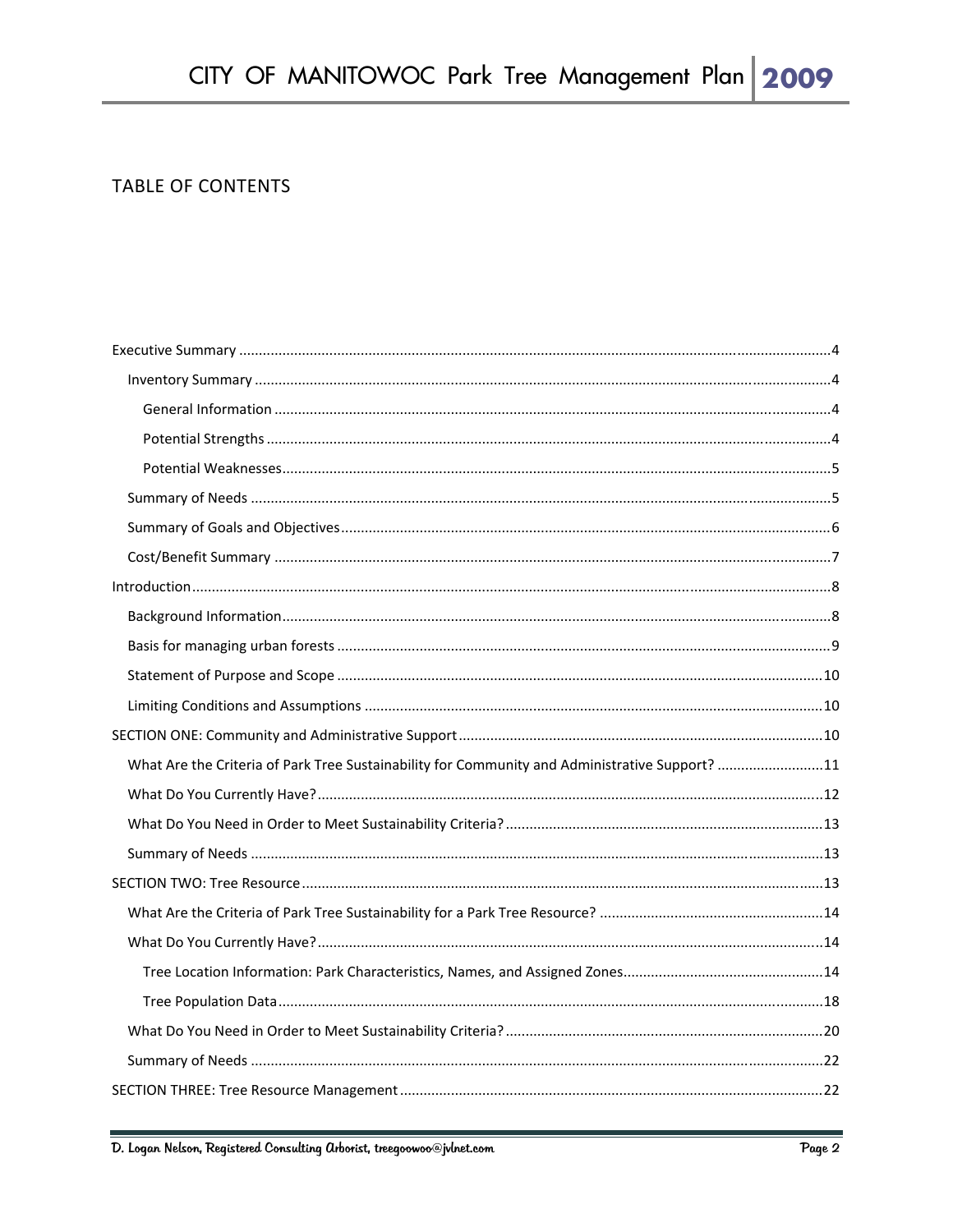#### **TABLE OF CONTENTS**

| What Are the Criteria of Park Tree Sustainability for Community and Administrative Support? 11 |  |
|------------------------------------------------------------------------------------------------|--|
|                                                                                                |  |
|                                                                                                |  |
|                                                                                                |  |
|                                                                                                |  |
|                                                                                                |  |
|                                                                                                |  |
|                                                                                                |  |
|                                                                                                |  |
|                                                                                                |  |
|                                                                                                |  |
|                                                                                                |  |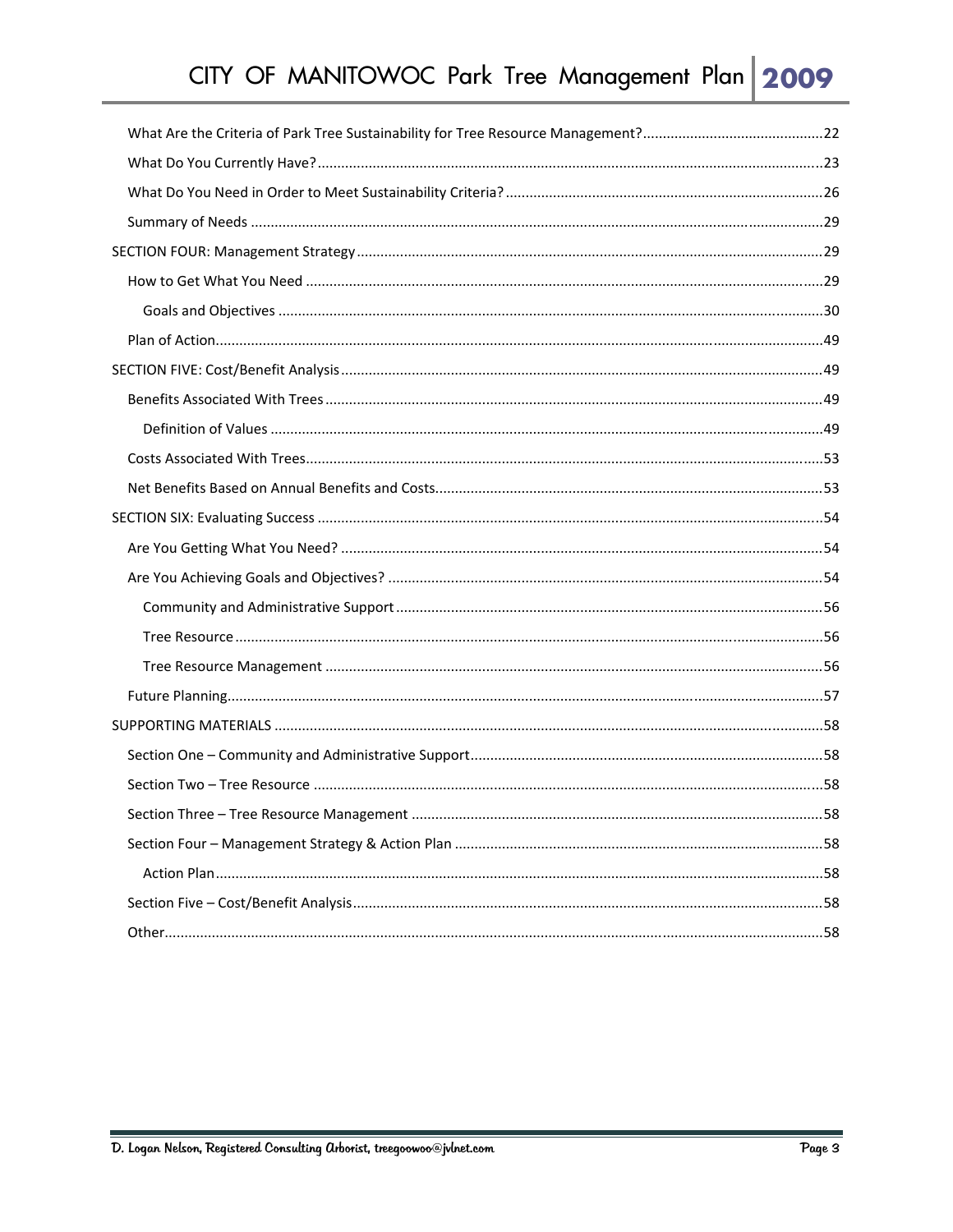| .58 |
|-----|
|     |
|     |
|     |
|     |
|     |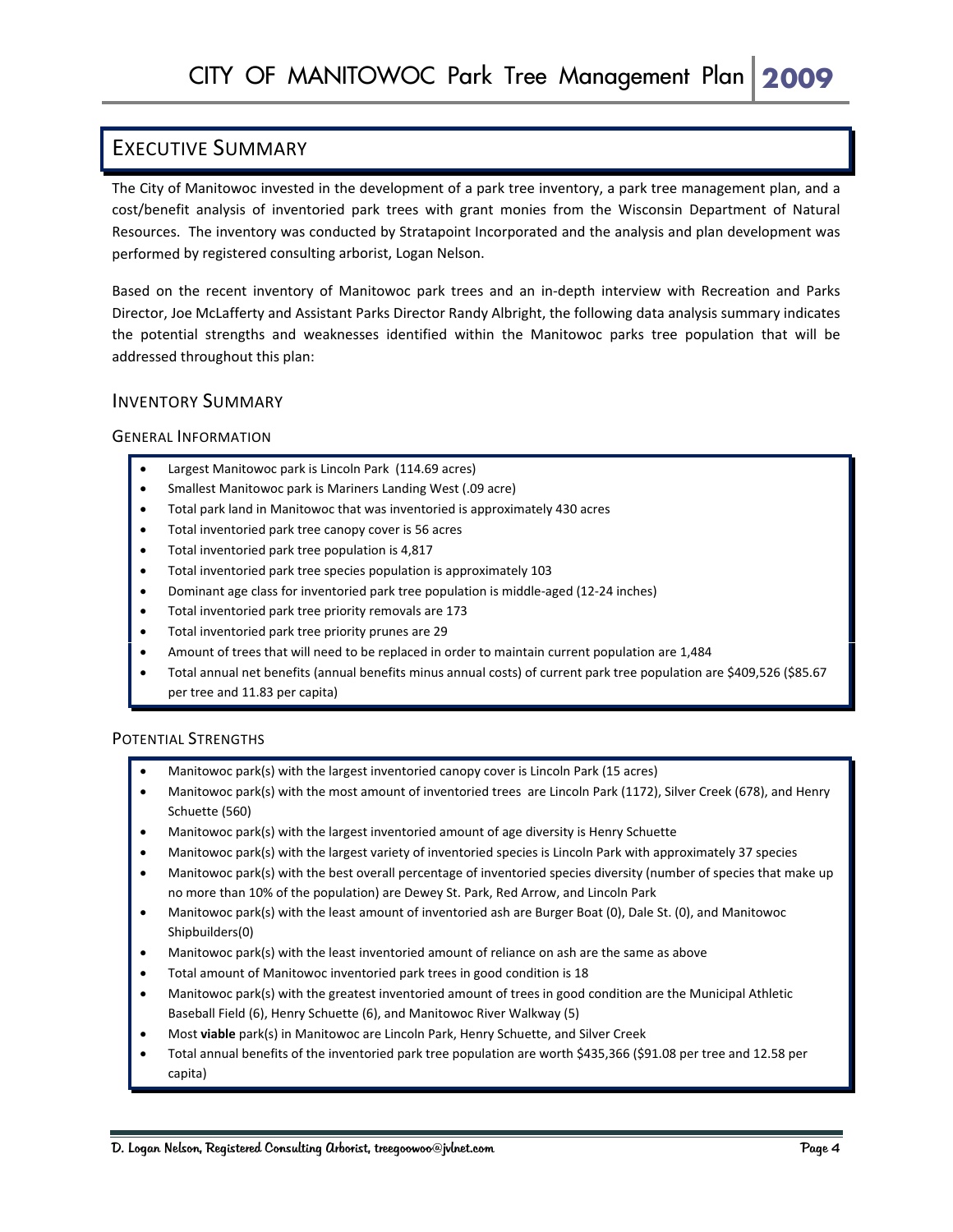## EXECUTIVE SUMMARY

The City of Manitowoc invested in the development of a park tree inventory, a park tree management plan, and a cost/benefit analysis of inventoried park trees with grant monies from the Wisconsin Department of Natural Resources. The inventory was conducted by Stratapoint Incorporated and the analysis and plan development was performed by registered consulting arborist, Logan Nelson.

Based on the recent inventory of Manitowoc park trees and an in‐depth interview with Recreation and Parks Director, Joe McLafferty and Assistant Parks Director Randy Albright, the following data analysis summary indicates the potential strengths and weaknesses identified within the Manitowoc parks tree population that will be addressed throughout this plan:

#### INVENTORY SUMMARY

#### GENERAL INFORMATION

- Largest Manitowoc park is Lincoln Park (114.69 acres)
- Smallest Manitowoc park is Mariners Landing West (.09 acre)
- Total park land in Manitowoc that was inventoried is approximately 430 acres
- Total inventoried park tree canopy cover is 56 acres
- Total inventoried park tree population is 4,817
- Total inventoried park tree species population is approximately 103
- Dominant age class for inventoried park tree population is middle‐aged (12‐24 inches)
- Total inventoried park tree priority removals are 173
- Total inventoried park tree priority prunes are 29
- Amount of trees that will need to be replaced in order to maintain current population are 1,484
- Total annual net benefits (annual benefits minus annual costs) of current park tree population are \$409,526 (\$85.67 per tree and 11.83 per capita)

#### POTENTIAL STRENGTHS

- Manitowoc park(s) with the largest inventoried canopy cover is Lincoln Park (15 acres)
- Manitowoc park(s) with the most amount of inventoried trees are Lincoln Park (1172), Silver Creek (678), and Henry Schuette (560)
- Manitowoc park(s) with the largest inventoried amount of age diversity is Henry Schuette
- Manitowoc park(s) with the largest variety of inventoried species is Lincoln Park with approximately 37 species
- Manitowoc park(s) with the best overall percentage of inventoried species diversity (number of species that make up no more than 10% of the population) are Dewey St. Park, Red Arrow, and Lincoln Park
- Manitowoc park(s) with the least amount of inventoried ash are Burger Boat (0), Dale St. (0), and Manitowoc Shipbuilders(0)
- Manitowoc park(s) with the least inventoried amount of reliance on ash are the same as above
- Total amount of Manitowoc inventoried park trees in good condition is 18
- Manitowoc park(s) with the greatest inventoried amount of trees in good condition are the Municipal Athletic Baseball Field (6), Henry Schuette (6), and Manitowoc River Walkway (5)
- Most **viable** park(s) in Manitowoc are Lincoln Park, Henry Schuette, and Silver Creek
- Total annual benefits of the inventoried park tree population are worth \$435,366 (\$91.08 per tree and 12.58 per capita)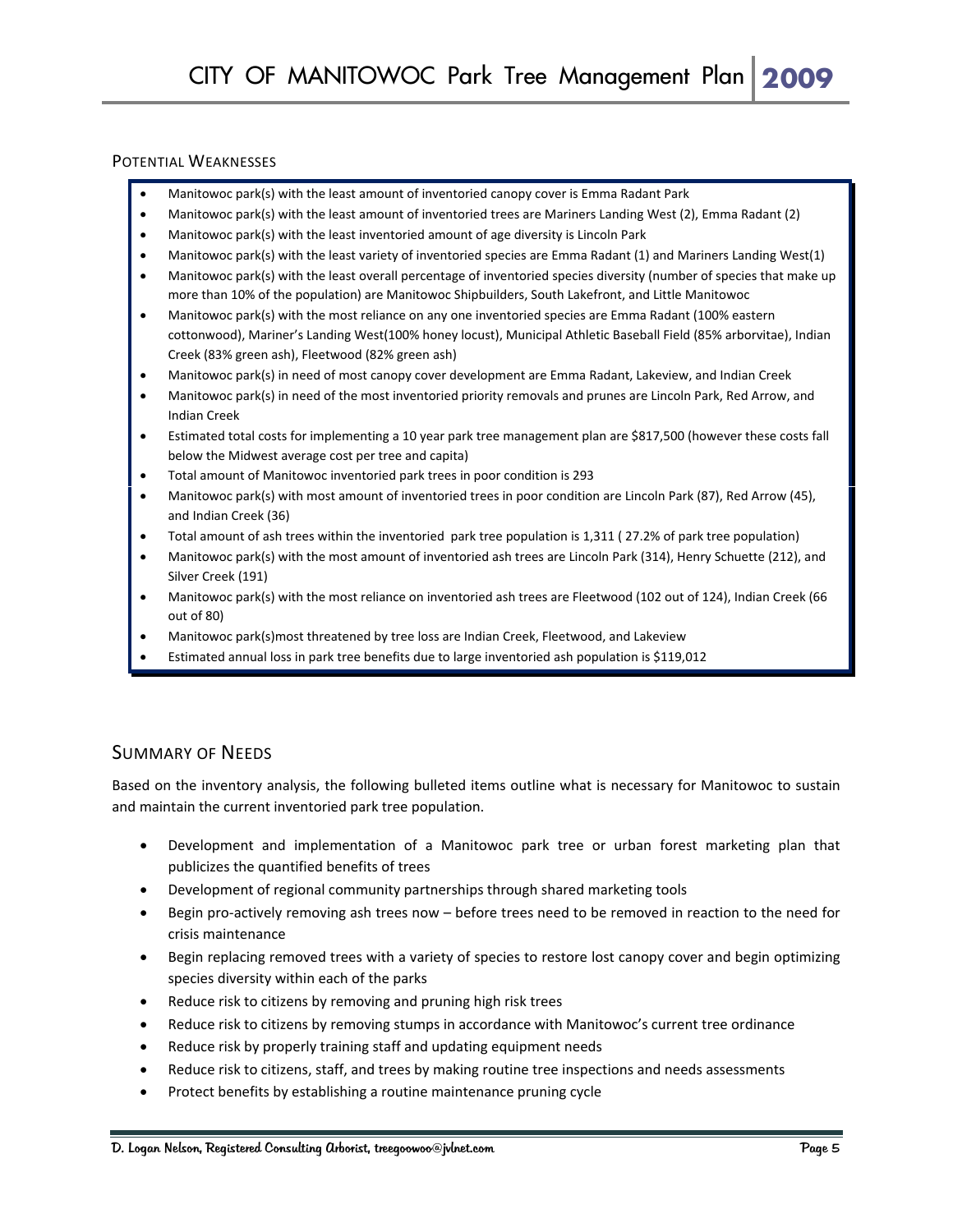#### POTENTIAL WEAKNESSES

- Manitowoc park(s) with the least amount of inventoried canopy cover is Emma Radant Park
- Manitowoc park(s) with the least amount of inventoried trees are Mariners Landing West (2), Emma Radant (2)
- Manitowoc park(s) with the least inventoried amount of age diversity is Lincoln Park
- Manitowoc park(s) with the least variety of inventoried species are Emma Radant (1) and Mariners Landing West(1)
- Manitowoc park(s) with the least overall percentage of inventoried species diversity (number of species that make up more than 10% of the population) are Manitowoc Shipbuilders, South Lakefront, and Little Manitowoc
- Manitowoc park(s) with the most reliance on any one inventoried species are Emma Radant (100% eastern cottonwood), Mariner's Landing West(100% honey locust), Municipal Athletic Baseball Field (85% arborvitae), Indian Creek (83% green ash), Fleetwood (82% green ash)
- Manitowoc park(s) in need of most canopy cover development are Emma Radant, Lakeview, and Indian Creek
- Manitowoc park(s) in need of the most inventoried priority removals and prunes are Lincoln Park, Red Arrow, and Indian Creek
- Estimated total costs for implementing a 10 year park tree management plan are \$817,500 (however these costs fall below the Midwest average cost per tree and capita)
- Total amount of Manitowoc inventoried park trees in poor condition is 293
- Manitowoc park(s) with most amount of inventoried trees in poor condition are Lincoln Park (87), Red Arrow (45), and Indian Creek (36)
- Total amount of ash trees within the inventoried park tree population is 1,311 ( 27.2% of park tree population)
- Manitowoc park(s) with the most amount of inventoried ash trees are Lincoln Park (314), Henry Schuette (212), and Silver Creek (191)
- Manitowoc park(s) with the most reliance on inventoried ash trees are Fleetwood (102 out of 124), Indian Creek (66 out of 80)
- Manitowoc park(s)most threatened by tree loss are Indian Creek, Fleetwood, and Lakeview
- Estimated annual loss in park tree benefits due to large inventoried ash population is \$119,012

#### SUMMARY OF NEEDS

Based on the inventory analysis, the following bulleted items outline what is necessary for Manitowoc to sustain and maintain the current inventoried park tree population.

- Development and implementation of a Manitowoc park tree or urban forest marketing plan that publicizes the quantified benefits of trees
- Development of regional community partnerships through shared marketing tools
- Begin pro‐actively removing ash trees now before trees need to be removed in reaction to the need for crisis maintenance
- Begin replacing removed trees with a variety of species to restore lost canopy cover and begin optimizing species diversity within each of the parks
- Reduce risk to citizens by removing and pruning high risk trees
- Reduce risk to citizens by removing stumps in accordance with Manitowoc's current tree ordinance
- Reduce risk by properly training staff and updating equipment needs
- Reduce risk to citizens, staff, and trees by making routine tree inspections and needs assessments
- Protect benefits by establishing a routine maintenance pruning cycle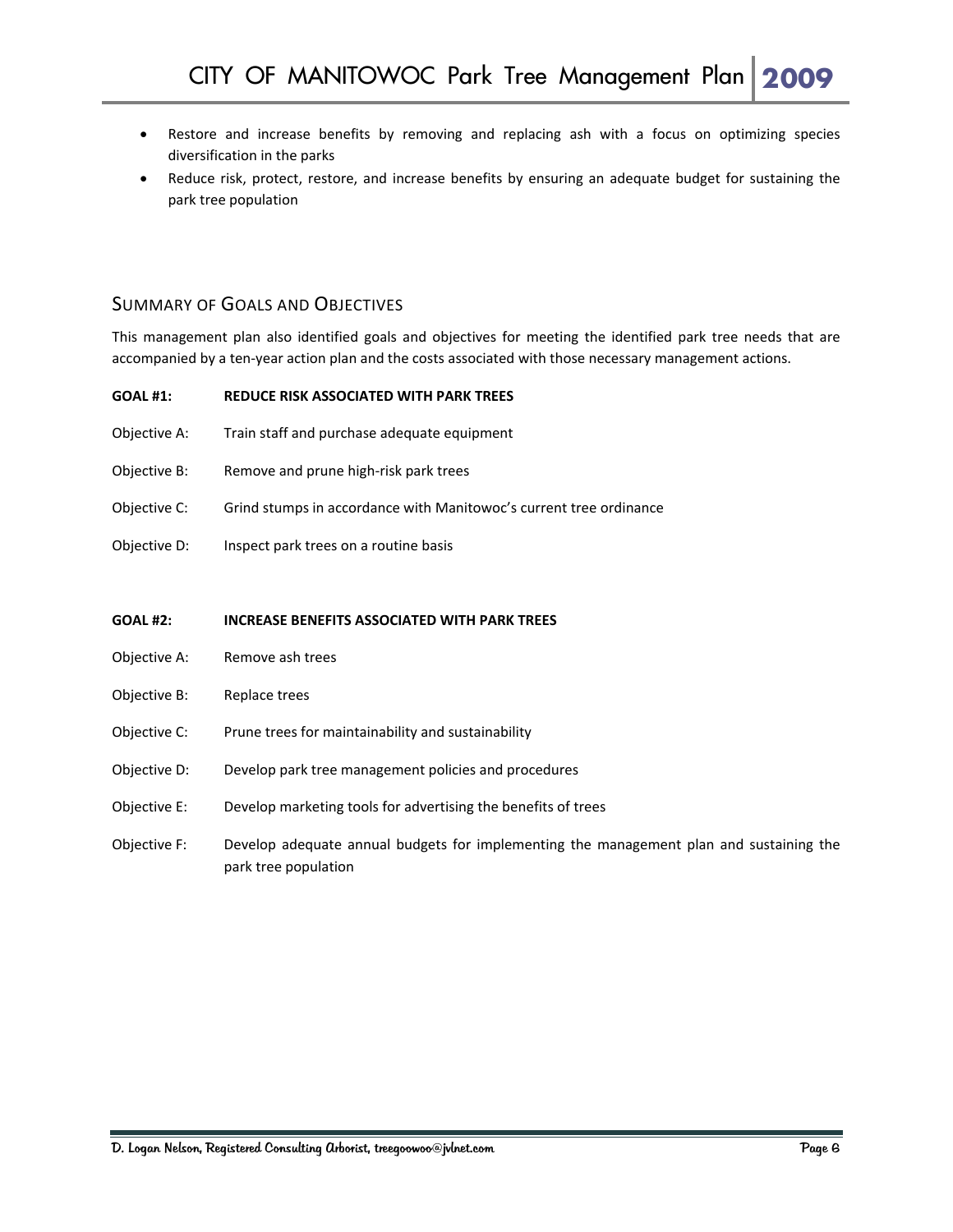- Restore and increase benefits by removing and replacing ash with a focus on optimizing species diversification in the parks
- Reduce risk, protect, restore, and increase benefits by ensuring an adequate budget for sustaining the park tree population

#### SUMMARY OF GOALS AND OBJECTIVES

This management plan also identified goals and objectives for meeting the identified park tree needs that are accompanied by a ten‐year action plan and the costs associated with those necessary management actions.

| REDUCE RISK ASSOCIATED WITH PARK TREES<br><b>GOAL #1:</b> |
|-----------------------------------------------------------|
|-----------------------------------------------------------|

- Objective A: Train staff and purchase adequate equipment
- Objective B: Remove and prune high‐risk park trees
- Objective C: Grind stumps in accordance with Manitowoc's current tree ordinance
- Objective D: Inspect park trees on a routine basis

**GOAL #2: INCREASE BENEFITS ASSOCIATED WITH PARK TREES**

- Objective A: Remove ash trees
- Objective B: Replace trees
- Objective C: Prune trees for maintainability and sustainability
- Objective D: Develop park tree management policies and procedures
- Objective E: Develop marketing tools for advertising the benefits of trees
- Objective F: Develop adequate annual budgets for implementing the management plan and sustaining the park tree population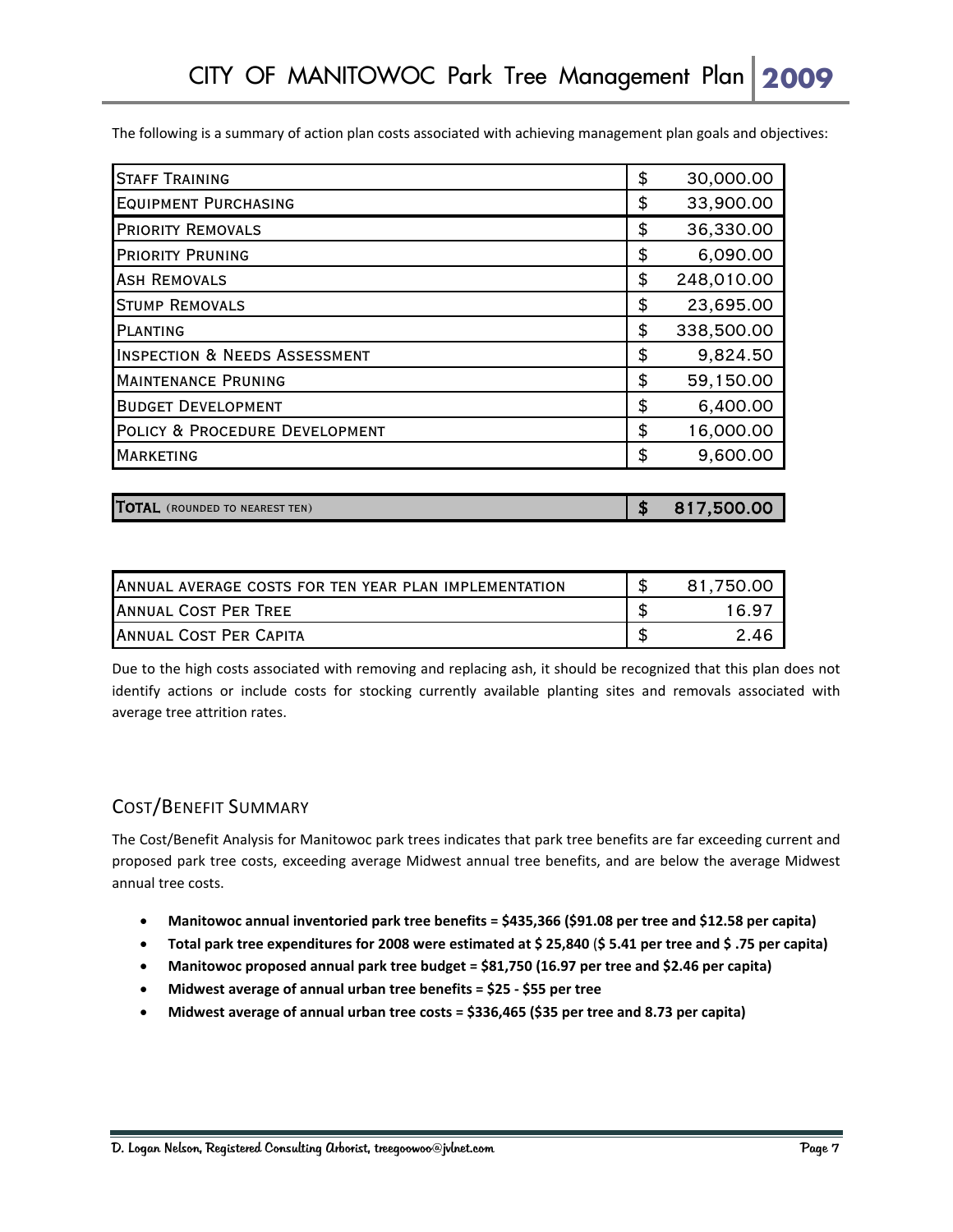The following is a summary of action plan costs associated with achieving management plan goals and objectives:

| \$<br>30,000.00  |
|------------------|
| \$<br>33,900.00  |
| \$<br>36,330.00  |
| \$<br>6,090.00   |
| \$<br>248,010.00 |
| \$<br>23,695.00  |
| \$<br>338,500.00 |
| \$<br>9,824.50   |
| \$<br>59,150.00  |
| \$<br>6,400.00   |
| \$<br>16,000.00  |
| \$<br>9,600.00   |
|                  |

| TOTAL (ROUNDED TO NEAREST TEN) |  | 817,500.00 |
|--------------------------------|--|------------|
|--------------------------------|--|------------|

| ANNUAL AVERAGE COSTS FOR TEN YEAR PLAN IMPLEMENTATION | 81.750.00 |
|-------------------------------------------------------|-----------|
| <b>IANNUAL COST PER TREE</b>                          | 1697      |
| <b>IANNUAL COST PER CAPITA</b>                        | 2.46      |

Due to the high costs associated with removing and replacing ash, it should be recognized that this plan does not identify actions or include costs for stocking currently available planting sites and removals associated with average tree attrition rates.

#### COST/BENEFIT SUMMARY

The Cost/Benefit Analysis for Manitowoc park trees indicates that park tree benefits are far exceeding current and proposed park tree costs, exceeding average Midwest annual tree benefits, and are below the average Midwest annual tree costs.

- **Manitowoc annual inventoried park tree benefits = \$435,366 (\$91.08 per tree and \$12.58 per capita)**
- Total park tree expenditures for 2008 were estimated at \$ 25,840 (\$ 5.41 per tree and \$ .75 per capita)
- **Manitowoc proposed annual park tree budget = \$81,750 (16.97 per tree and \$2.46 per capita)**
- **Midwest average of annual urban tree benefits = \$25 ‐ \$55 per tree**
- **Midwest average of annual urban tree costs = \$336,465 (\$35 per tree and 8.73 per capita)**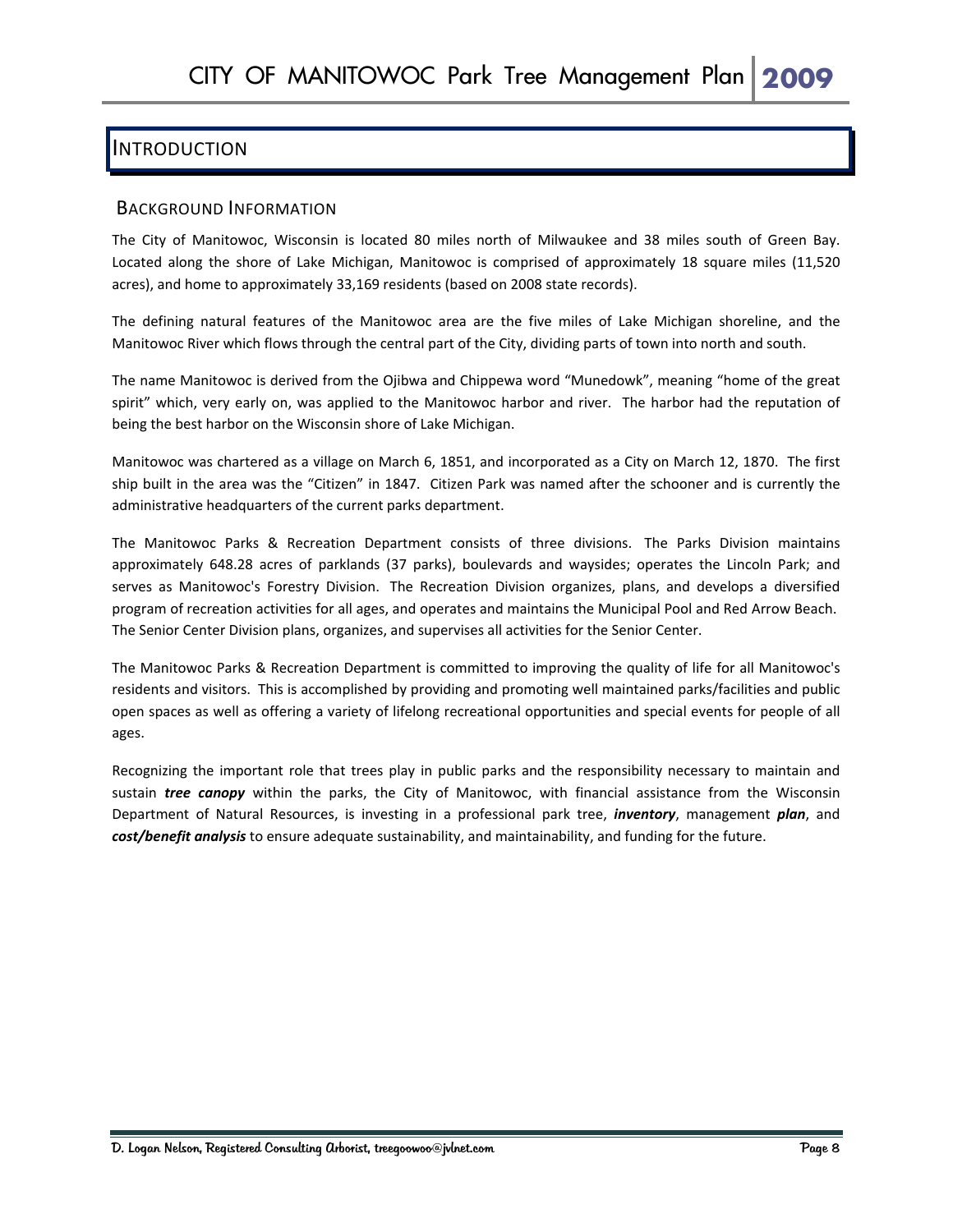## INTRODUCTION

#### BACKGROUND INFORMATION

The City of Manitowoc, Wisconsin is located 80 miles north of Milwaukee and 38 miles south of Green Bay. Located along the shore of Lake Michigan, Manitowoc is comprised of approximately 18 square miles (11,520 acres), and home to approximately 33,169 residents (based on 2008 state records).

The defining natural features of the Manitowoc area are the five miles of Lake Michigan shoreline, and the Manitowoc River which flows through the central part of the City, dividing parts of town into north and south.

The name Manitowoc is derived from the Ojibwa and Chippewa word "Munedowk", meaning "home of the great spirit" which, very early on, was applied to the Manitowoc harbor and river. The harbor had the reputation of being the best harbor on the Wisconsin shore of Lake Michigan.

Manitowoc was chartered as a village on March 6, 1851, and incorporated as a City on March 12, 1870. The first ship built in the area was the "Citizen" in 1847. Citizen Park was named after the schooner and is currently the administrative headquarters of the current parks department.

The Manitowoc Parks & Recreation Department consists of three divisions. The Parks Division maintains approximately 648.28 acres of parklands (37 parks), boulevards and waysides; operates the Lincoln Park; and serves as Manitowoc's Forestry Division. The Recreation Division organizes, plans, and develops a diversified program of recreation activities for all ages, and operates and maintains the Municipal Pool and Red Arrow Beach. The Senior Center Division plans, organizes, and supervises all activities for the Senior Center.

The Manitowoc Parks & Recreation Department is committed to improving the quality of life for all Manitowoc's residents and visitors. This is accomplished by providing and promoting well maintained parks/facilities and public open spaces as well as offering a variety of lifelong recreational opportunities and special events for people of all ages.

Recognizing the important role that trees play in public parks and the responsibility necessary to maintain and sustain *tree canopy* within the parks, the City of Manitowoc, with financial assistance from the Wisconsin Department of Natural Resources, is investing in a professional park tree, *inventory*, management *plan*, and *cost/benefit analysis* to ensure adequate sustainability, and maintainability, and funding for the future.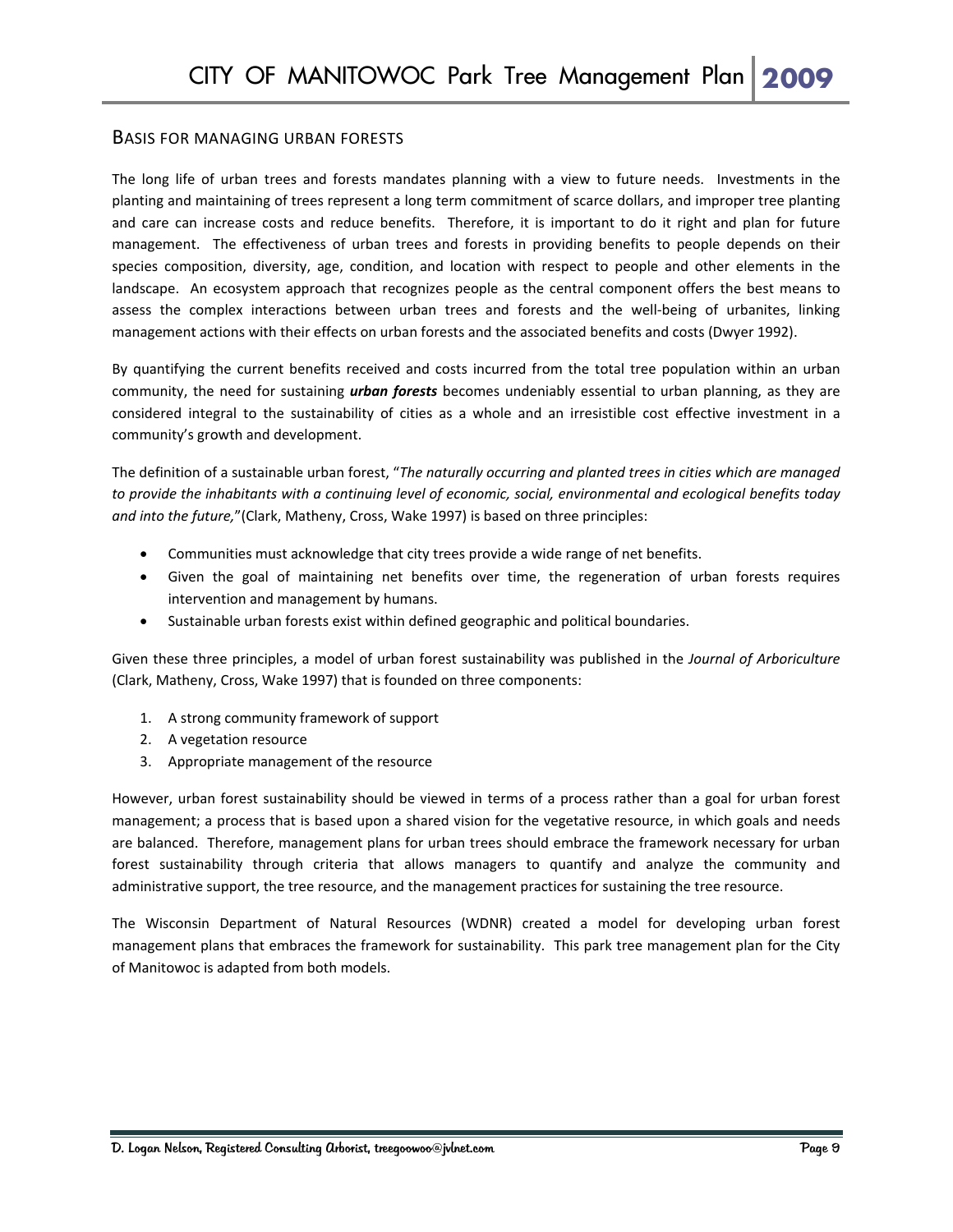#### BASIS FOR MANAGING URBAN FORESTS

The long life of urban trees and forests mandates planning with a view to future needs. Investments in the planting and maintaining of trees represent a long term commitment of scarce dollars, and improper tree planting and care can increase costs and reduce benefits. Therefore, it is important to do it right and plan for future management. The effectiveness of urban trees and forests in providing benefits to people depends on their species composition, diversity, age, condition, and location with respect to people and other elements in the landscape. An ecosystem approach that recognizes people as the central component offers the best means to assess the complex interactions between urban trees and forests and the well‐being of urbanites, linking management actions with their effects on urban forests and the associated benefits and costs (Dwyer 1992).

By quantifying the current benefits received and costs incurred from the total tree population within an urban community, the need for sustaining *urban forests* becomes undeniably essential to urban planning, as they are considered integral to the sustainability of cities as a whole and an irresistible cost effective investment in a community's growth and development.

The definition of a sustainable urban forest, "*The naturally occurring and planted trees in cities which are managed* to provide the inhabitants with a continuing level of economic, social, environmental and ecological benefits today *and into the future,*"(Clark, Matheny, Cross, Wake 1997) is based on three principles:

- Communities must acknowledge that city trees provide a wide range of net benefits.
- Given the goal of maintaining net benefits over time, the regeneration of urban forests requires intervention and management by humans.
- Sustainable urban forests exist within defined geographic and political boundaries.

Given these three principles, a model of urban forest sustainability was published in the *Journal of Arboriculture* (Clark, Matheny, Cross, Wake 1997) that is founded on three components:

- 1. A strong community framework of support
- 2. A vegetation resource
- 3. Appropriate management of the resource

However, urban forest sustainability should be viewed in terms of a process rather than a goal for urban forest management; a process that is based upon a shared vision for the vegetative resource, in which goals and needs are balanced. Therefore, management plans for urban trees should embrace the framework necessary for urban forest sustainability through criteria that allows managers to quantify and analyze the community and administrative support, the tree resource, and the management practices for sustaining the tree resource.

The Wisconsin Department of Natural Resources (WDNR) created a model for developing urban forest management plans that embraces the framework for sustainability. This park tree management plan for the City of Manitowoc is adapted from both models.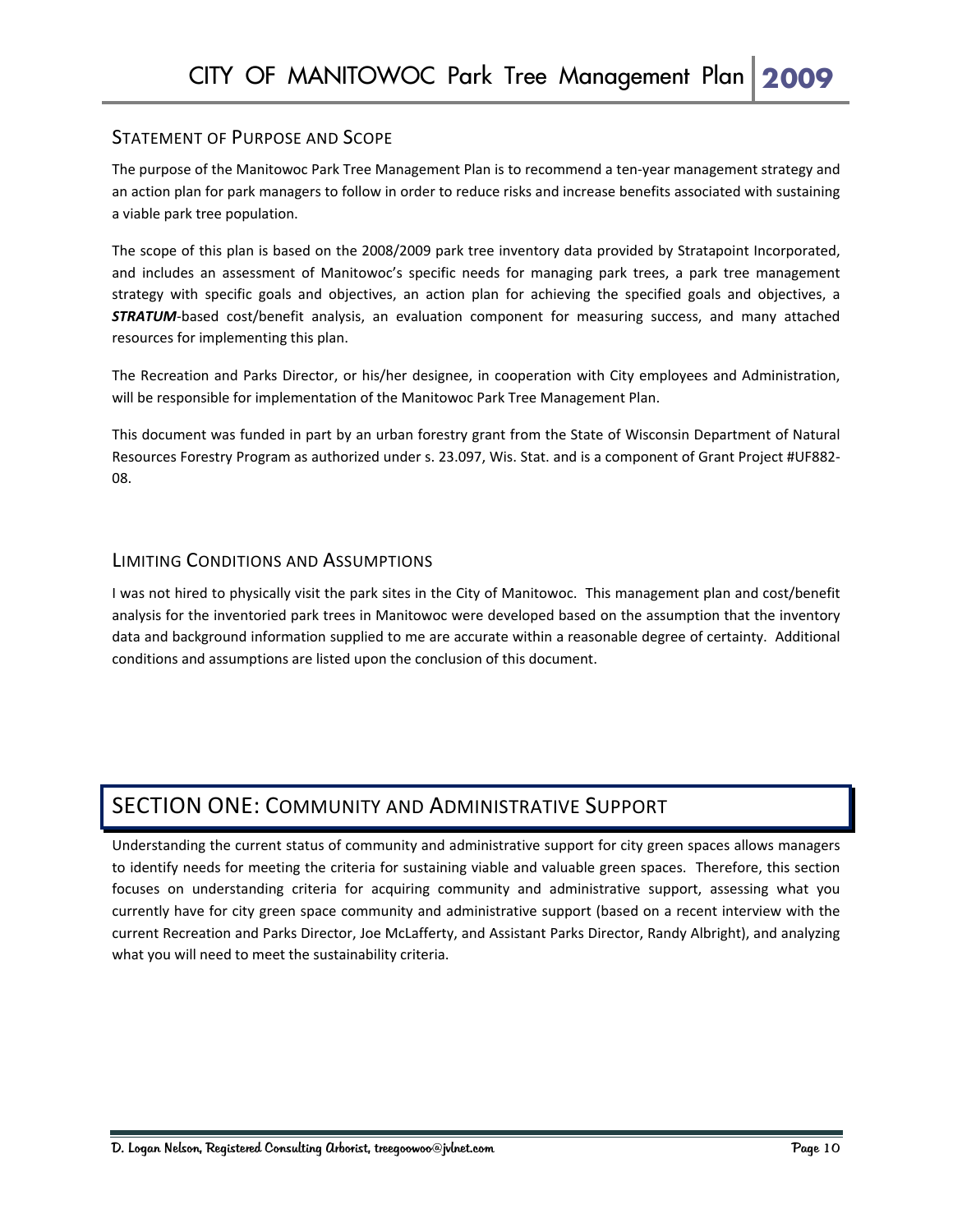#### STATEMENT OF PURPOSE AND SCOPE

The purpose of the Manitowoc Park Tree Management Plan is to recommend a ten-year management strategy and an action plan for park managers to follow in order to reduce risks and increase benefits associated with sustaining a viable park tree population.

The scope of this plan is based on the 2008/2009 park tree inventory data provided by Stratapoint Incorporated, and includes an assessment of Manitowoc's specific needs for managing park trees, a park tree management strategy with specific goals and objectives, an action plan for achieving the specified goals and objectives, a **STRATUM**-based cost/benefit analysis, an evaluation component for measuring success, and many attached resources for implementing this plan.

The Recreation and Parks Director, or his/her designee, in cooperation with City employees and Administration, will be responsible for implementation of the Manitowoc Park Tree Management Plan.

This document was funded in part by an urban forestry grant from the State of Wisconsin Department of Natural Resources Forestry Program as authorized under s. 23.097, Wis. Stat. and is a component of Grant Project #UF882‐ 08.

#### LIMITING CONDITIONS AND ASSUMPTIONS

I was not hired to physically visit the park sites in the City of Manitowoc. This management plan and cost/benefit analysis for the inventoried park trees in Manitowoc were developed based on the assumption that the inventory data and background information supplied to me are accurate within a reasonable degree of certainty. Additional conditions and assumptions are listed upon the conclusion of this document.

## SECTION ONE: COMMUNITY AND ADMINISTRATIVE SUPPORT

Understanding the current status of community and administrative support for city green spaces allows managers to identify needs for meeting the criteria for sustaining viable and valuable green spaces. Therefore, this section focuses on understanding criteria for acquiring community and administrative support, assessing what you currently have for city green space community and administrative support (based on a recent interview with the current Recreation and Parks Director, Joe McLafferty, and Assistant Parks Director, Randy Albright), and analyzing what you will need to meet the sustainability criteria.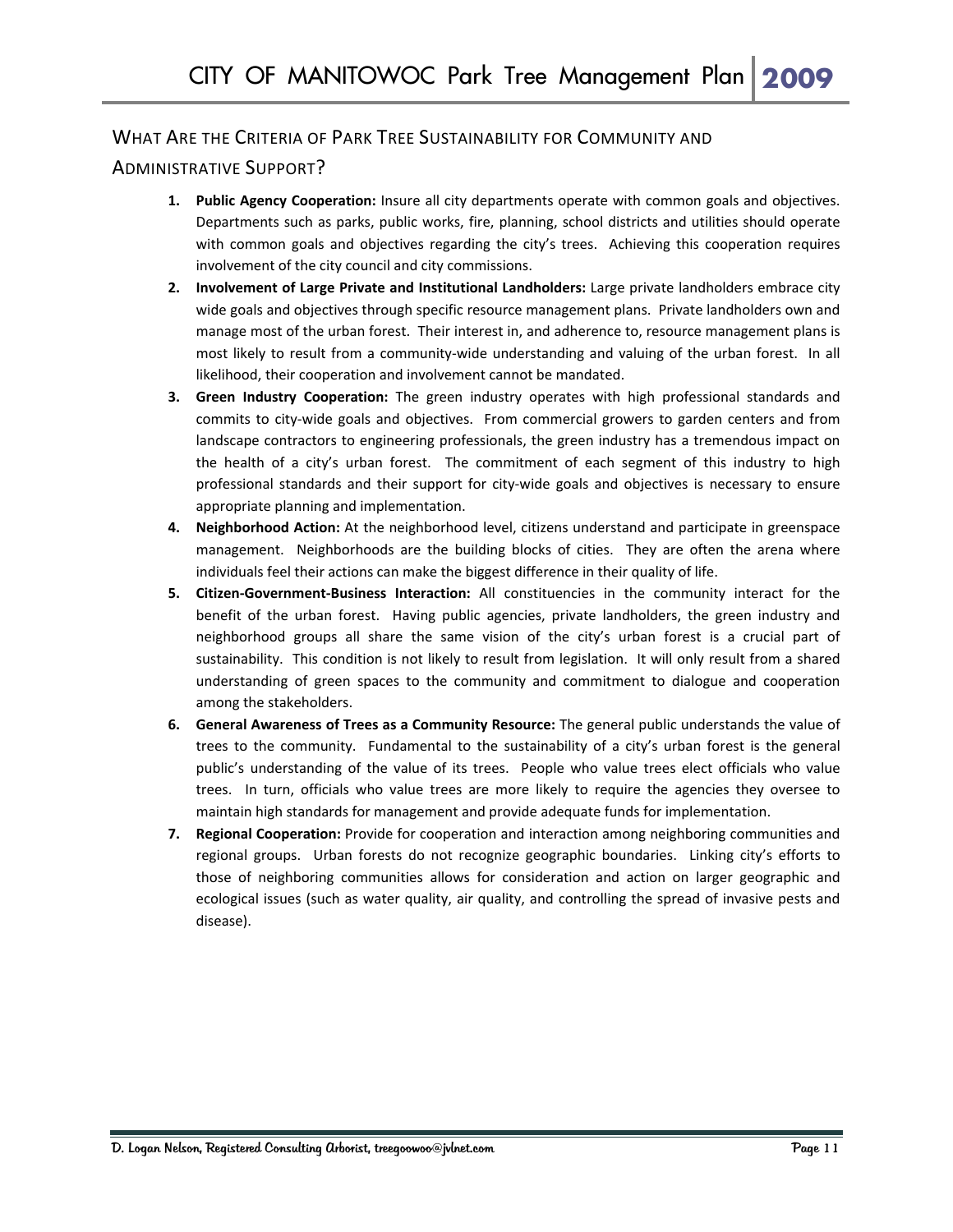#### WHAT ARE THE CRITERIA OF PARK TREE SUSTAINABILITY FOR COMMUNITY AND

#### ADMINISTRATIVE SUPPORT?

- **1. Public Agency Cooperation:** Insure all city departments operate with common goals and objectives. Departments such as parks, public works, fire, planning, school districts and utilities should operate with common goals and objectives regarding the city's trees. Achieving this cooperation requires involvement of the city council and city commissions.
- **2. Involvement of Large Private and Institutional Landholders:** Large private landholders embrace city wide goals and objectives through specific resource management plans. Private landholders own and manage most of the urban forest. Their interest in, and adherence to, resource management plans is most likely to result from a community-wide understanding and valuing of the urban forest. In all likelihood, their cooperation and involvement cannot be mandated.
- **3. Green Industry Cooperation:** The green industry operates with high professional standards and commits to city-wide goals and objectives. From commercial growers to garden centers and from landscape contractors to engineering professionals, the green industry has a tremendous impact on the health of a city's urban forest. The commitment of each segment of this industry to high professional standards and their support for city‐wide goals and objectives is necessary to ensure appropriate planning and implementation.
- **4. Neighborhood Action:** At the neighborhood level, citizens understand and participate in greenspace management. Neighborhoods are the building blocks of cities. They are often the arena where individuals feel their actions can make the biggest difference in their quality of life.
- **5. Citizen‐Government‐Business Interaction:** All constituencies in the community interact for the benefit of the urban forest. Having public agencies, private landholders, the green industry and neighborhood groups all share the same vision of the city's urban forest is a crucial part of sustainability. This condition is not likely to result from legislation. It will only result from a shared understanding of green spaces to the community and commitment to dialogue and cooperation among the stakeholders.
- **6. General Awareness of Trees as a Community Resource:** The general public understands the value of trees to the community. Fundamental to the sustainability of a city's urban forest is the general public's understanding of the value of its trees. People who value trees elect officials who value trees. In turn, officials who value trees are more likely to require the agencies they oversee to maintain high standards for management and provide adequate funds for implementation.
- **7. Regional Cooperation:** Provide for cooperation and interaction among neighboring communities and regional groups. Urban forests do not recognize geographic boundaries. Linking city's efforts to those of neighboring communities allows for consideration and action on larger geographic and ecological issues (such as water quality, air quality, and controlling the spread of invasive pests and disease).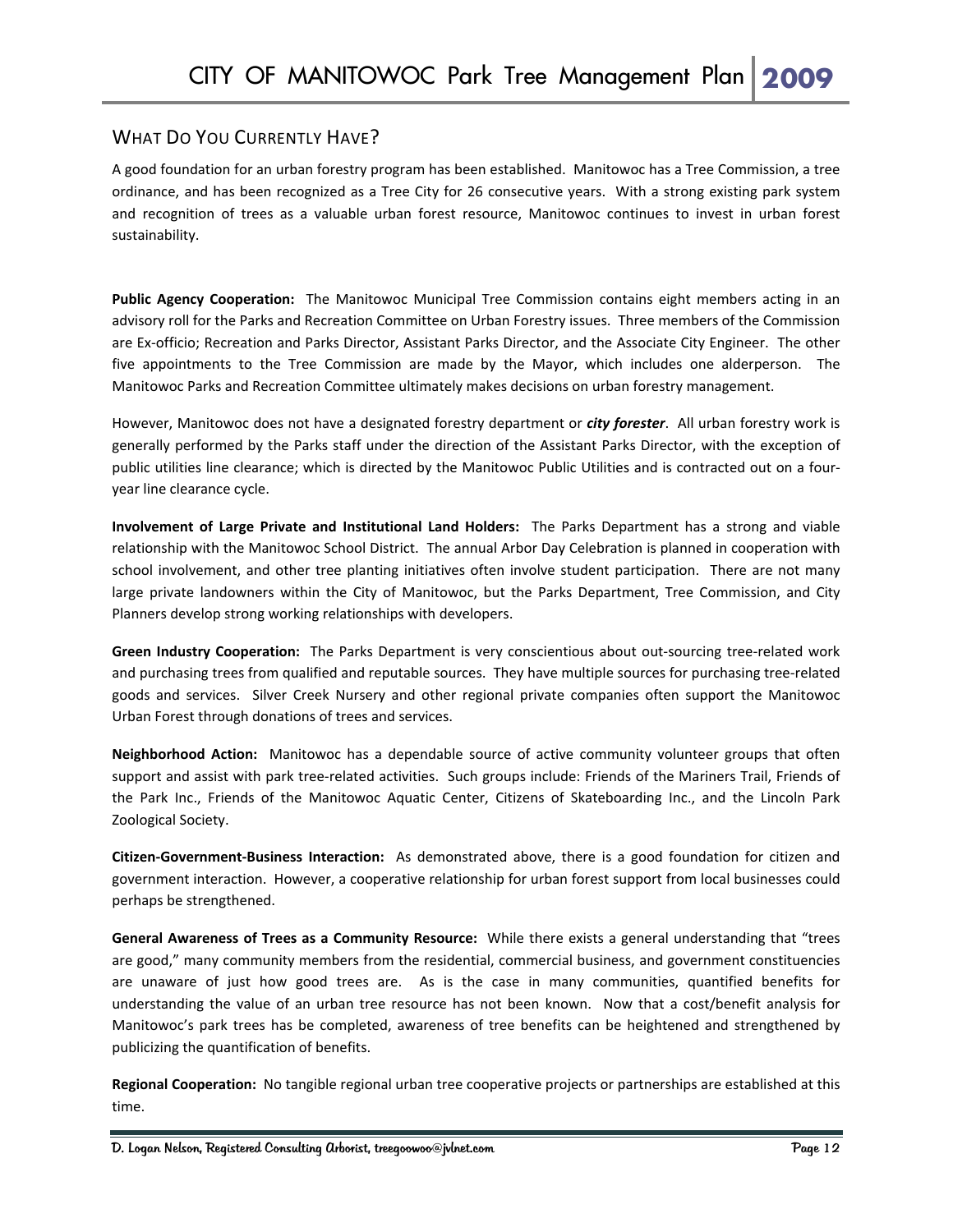### WHAT DO YOU CURRENTLY HAVE?

A good foundation for an urban forestry program has been established. Manitowoc has a Tree Commission, a tree ordinance, and has been recognized as a Tree City for 26 consecutive years. With a strong existing park system and recognition of trees as a valuable urban forest resource, Manitowoc continues to invest in urban forest sustainability.

**Public Agency Cooperation:**  The Manitowoc Municipal Tree Commission contains eight members acting in an advisory roll for the Parks and Recreation Committee on Urban Forestry issues. Three members of the Commission are Ex‐officio; Recreation and Parks Director, Assistant Parks Director, and the Associate City Engineer. The other five appointments to the Tree Commission are made by the Mayor, which includes one alderperson. The Manitowoc Parks and Recreation Committee ultimately makes decisions on urban forestry management.

However, Manitowoc does not have a designated forestry department or *city forester*. All urban forestry work is generally performed by the Parks staff under the direction of the Assistant Parks Director, with the exception of public utilities line clearance; which is directed by the Manitowoc Public Utilities and is contracted out on a four‐ year line clearance cycle.

**Involvement of Large Private and Institutional Land Holders:**  The Parks Department has a strong and viable relationship with the Manitowoc School District. The annual Arbor Day Celebration is planned in cooperation with school involvement, and other tree planting initiatives often involve student participation. There are not many large private landowners within the City of Manitowoc, but the Parks Department, Tree Commission, and City Planners develop strong working relationships with developers.

**Green Industry Cooperation:** The Parks Department is very conscientious about out‐sourcing tree‐related work and purchasing trees from qualified and reputable sources. They have multiple sources for purchasing tree‐related goods and services. Silver Creek Nursery and other regional private companies often support the Manitowoc Urban Forest through donations of trees and services.

**Neighborhood Action:**  Manitowoc has a dependable source of active community volunteer groups that often support and assist with park tree-related activities. Such groups include: Friends of the Mariners Trail, Friends of the Park Inc., Friends of the Manitowoc Aquatic Center, Citizens of Skateboarding Inc., and the Lincoln Park Zoological Society.

**Citizen‐Government‐Business Interaction:**  As demonstrated above, there is a good foundation for citizen and government interaction. However, a cooperative relationship for urban forest support from local businesses could perhaps be strengthened.

**General Awareness of Trees as a Community Resource:** While there exists a general understanding that "trees are good," many community members from the residential, commercial business, and government constituencies are unaware of just how good trees are. As is the case in many communities, quantified benefits for understanding the value of an urban tree resource has not been known. Now that a cost/benefit analysis for Manitowoc's park trees has be completed, awareness of tree benefits can be heightened and strengthened by publicizing the quantification of benefits.

**Regional Cooperation:** No tangible regional urban tree cooperative projects or partnerships are established at this time.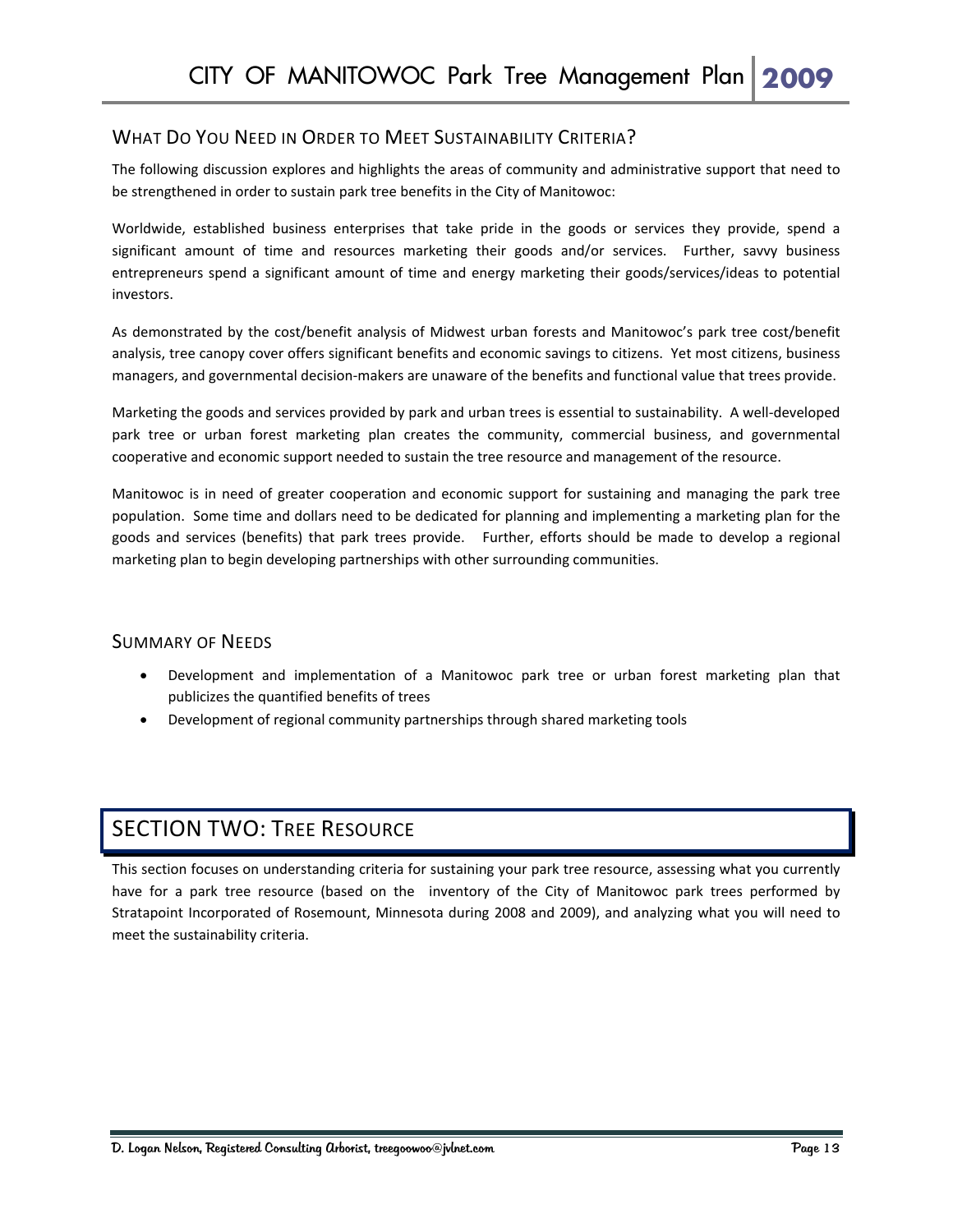#### WHAT DO YOU NEED IN ORDER TO MEET SUSTAINABILITY CRITERIA?

The following discussion explores and highlights the areas of community and administrative support that need to be strengthened in order to sustain park tree benefits in the City of Manitowoc:

Worldwide, established business enterprises that take pride in the goods or services they provide, spend a significant amount of time and resources marketing their goods and/or services. Further, savvy business entrepreneurs spend a significant amount of time and energy marketing their goods/services/ideas to potential investors.

As demonstrated by the cost/benefit analysis of Midwest urban forests and Manitowoc's park tree cost/benefit analysis, tree canopy cover offers significant benefits and economic savings to citizens. Yet most citizens, business managers, and governmental decision-makers are unaware of the benefits and functional value that trees provide.

Marketing the goods and services provided by park and urban trees is essential to sustainability. A well‐developed park tree or urban forest marketing plan creates the community, commercial business, and governmental cooperative and economic support needed to sustain the tree resource and management of the resource.

Manitowoc is in need of greater cooperation and economic support for sustaining and managing the park tree population. Some time and dollars need to be dedicated for planning and implementing a marketing plan for the goods and services (benefits) that park trees provide. Further, efforts should be made to develop a regional marketing plan to begin developing partnerships with other surrounding communities.

#### SUMMARY OF NEEDS

- Development and implementation of a Manitowoc park tree or urban forest marketing plan that publicizes the quantified benefits of trees
- Development of regional community partnerships through shared marketing tools

## SECTION TWO: TREE RESOURCE

This section focuses on understanding criteria for sustaining your park tree resource, assessing what you currently have for a park tree resource (based on the inventory of the City of Manitowoc park trees performed by Stratapoint Incorporated of Rosemount, Minnesota during 2008 and 2009), and analyzing what you will need to meet the sustainability criteria.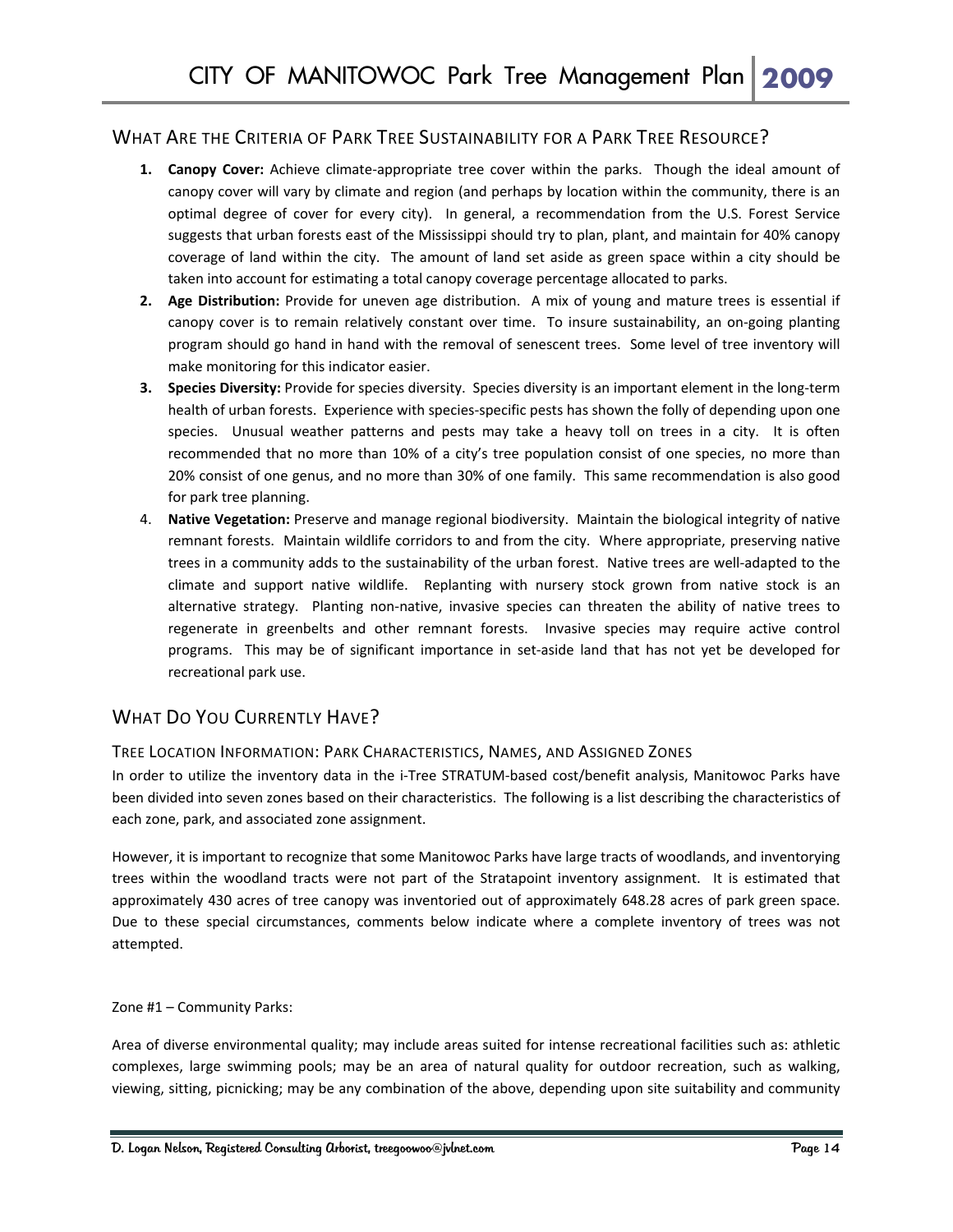#### WHAT ARE THE CRITERIA OF PARK TREE SUSTAINABILITY FOR A PARK TREE RESOURCE?

- **1. Canopy Cover:** Achieve climate‐appropriate tree cover within the parks. Though the ideal amount of canopy cover will vary by climate and region (and perhaps by location within the community, there is an optimal degree of cover for every city). In general, a recommendation from the U.S. Forest Service suggests that urban forests east of the Mississippi should try to plan, plant, and maintain for 40% canopy coverage of land within the city. The amount of land set aside as green space within a city should be taken into account for estimating a total canopy coverage percentage allocated to parks.
- **2. Age Distribution:** Provide for uneven age distribution. A mix of young and mature trees is essential if canopy cover is to remain relatively constant over time. To insure sustainability, an on-going planting program should go hand in hand with the removal of senescent trees. Some level of tree inventory will make monitoring for this indicator easier.
- **3. Species Diversity:** Provide for species diversity. Species diversity is an important element in the long‐term health of urban forests. Experience with species-specific pests has shown the folly of depending upon one species. Unusual weather patterns and pests may take a heavy toll on trees in a city. It is often recommended that no more than 10% of a city's tree population consist of one species, no more than 20% consist of one genus, and no more than 30% of one family. This same recommendation is also good for park tree planning.
- 4. **Native Vegetation:** Preserve and manage regional biodiversity. Maintain the biological integrity of native remnant forests. Maintain wildlife corridors to and from the city. Where appropriate, preserving native trees in a community adds to the sustainability of the urban forest. Native trees are well‐adapted to the climate and support native wildlife. Replanting with nursery stock grown from native stock is an alternative strategy. Planting non-native, invasive species can threaten the ability of native trees to regenerate in greenbelts and other remnant forests. Invasive species may require active control programs. This may be of significant importance in set-aside land that has not yet be developed for recreational park use.

#### WHAT DO YOU CURRENTLY HAVE?

#### TREE LOCATION INFORMATION: PARK CHARACTERISTICS, NAMES, AND ASSIGNED ZONES

In order to utilize the inventory data in the i-Tree STRATUM-based cost/benefit analysis, Manitowoc Parks have been divided into seven zones based on their characteristics. The following is a list describing the characteristics of each zone, park, and associated zone assignment.

However, it is important to recognize that some Manitowoc Parks have large tracts of woodlands, and inventorying trees within the woodland tracts were not part of the Stratapoint inventory assignment. It is estimated that approximately 430 acres of tree canopy was inventoried out of approximately 648.28 acres of park green space. Due to these special circumstances, comments below indicate where a complete inventory of trees was not attempted.

Zone #1 – Community Parks:

Area of diverse environmental quality; may include areas suited for intense recreational facilities such as: athletic complexes, large swimming pools; may be an area of natural quality for outdoor recreation, such as walking, viewing, sitting, picnicking; may be any combination of the above, depending upon site suitability and community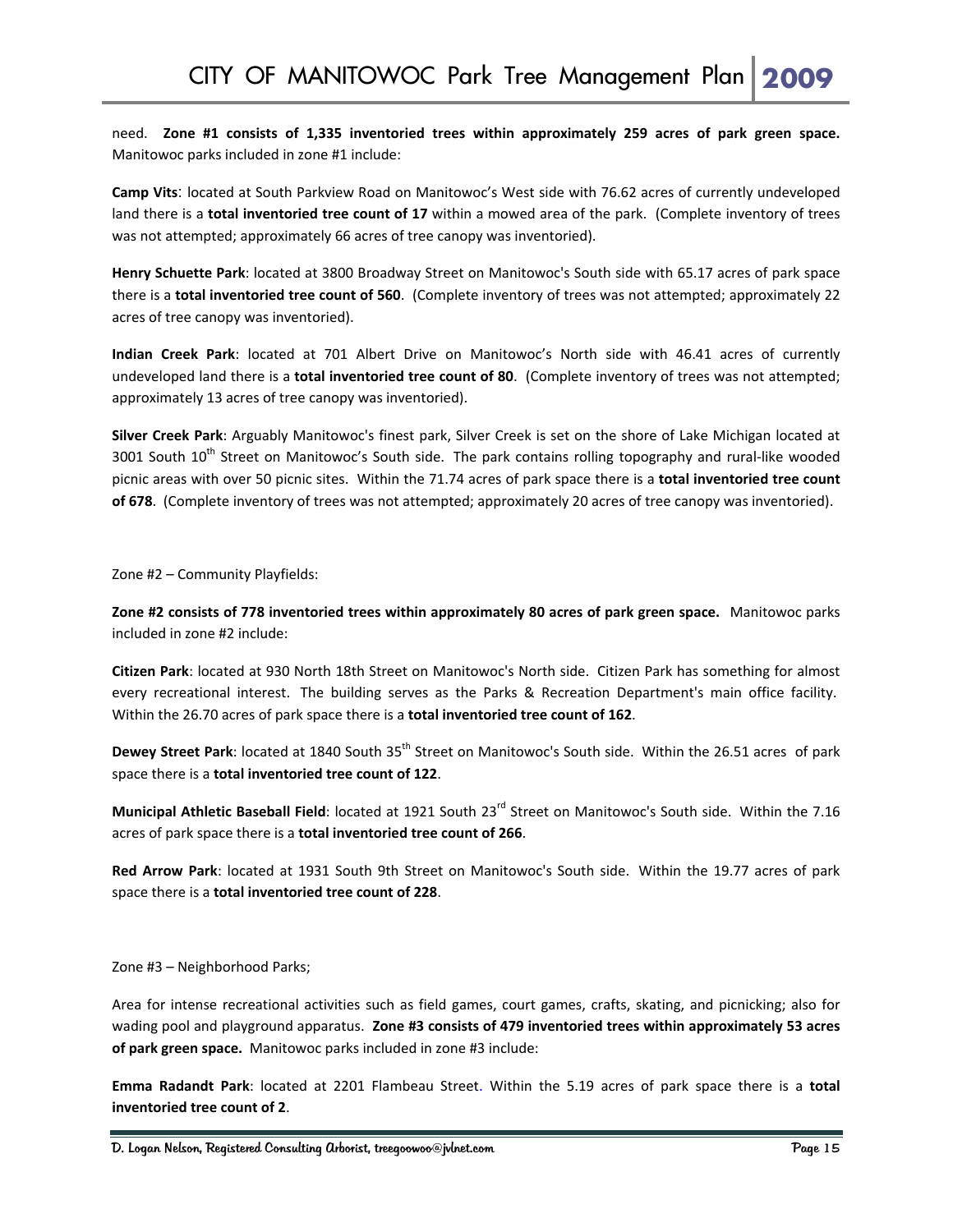need. **Zone #1 consists of 1,335 inventoried trees within approximately 259 acres of park green space.**  Manitowoc parks included in zone #1 include:

**Camp Vits**: located at South Parkview Road on Manitowoc's West side with 76.62 acres of currently undeveloped land there is a **total inventoried tree count of 17** within a mowed area of the park. (Complete inventory of trees was not attempted; approximately 66 acres of tree canopy was inventoried).

**Henry Schuette Park**: located at 3800 Broadway Street on Manitowoc's South side with 65.17 acres of park space there is a **total inventoried tree count of 560**. (Complete inventory of trees was not attempted; approximately 22 acres of tree canopy was inventoried).

**Indian Creek Park**: located at 701 Albert Drive on Manitowoc's North side with 46.41 acres of currently undeveloped land there is a **total inventoried tree count of 80**. (Complete inventory of trees was not attempted; approximately 13 acres of tree canopy was inventoried).

**Silver Creek Park**: Arguably Manitowoc's finest park, Silver Creek is set on the shore of Lake Michigan located at 3001 South 10<sup>th</sup> Street on Manitowoc's South side. The park contains rolling topography and rural-like wooded picnic areas with over 50 picnic sites. Within the 71.74 acres of park space there is a **total inventoried tree count of 678**. (Complete inventory of trees was not attempted; approximately 20 acres of tree canopy was inventoried).

Zone #2 – Community Playfields:

**Zone #2 consists of 778 inventoried trees within approximately 80 acres of park green space.** Manitowoc parks included in zone #2 include:

**Citizen Park**: located at 930 North 18th Street on Manitowoc's North side. Citizen Park has something for almost every recreational interest. The building serves as the Parks & Recreation Department's main office facility. Within the 26.70 acres of park space there is a **total inventoried tree count of 162**.

**Dewey Street Park**: located at 1840 South 35<sup>th</sup> Street on Manitowoc's South side. Within the 26.51 acres of park space there is a **total inventoried tree count of 122**.

**Municipal Athletic Baseball Field**: located at 1921 South 23rd Street on Manitowoc's South side. Within the 7.16 acres of park space there is a **total inventoried tree count of 266**.

**Red Arrow Park**: located at 1931 South 9th Street on Manitowoc's South side. Within the 19.77 acres of park space there is a **total inventoried tree count of 228**.

Zone #3 – Neighborhood Parks;

Area for intense recreational activities such as field games, court games, crafts, skating, and picnicking; also for wading pool and playground apparatus. **Zone #3 consists of 479 inventoried trees within approximately 53 acres of park green space.** Manitowoc parks included in zone #3 include:

**Emma Radandt Park**: located at 2201 Flambeau Street. Within the 5.19 acres of park space there is a **total inventoried tree count of 2**.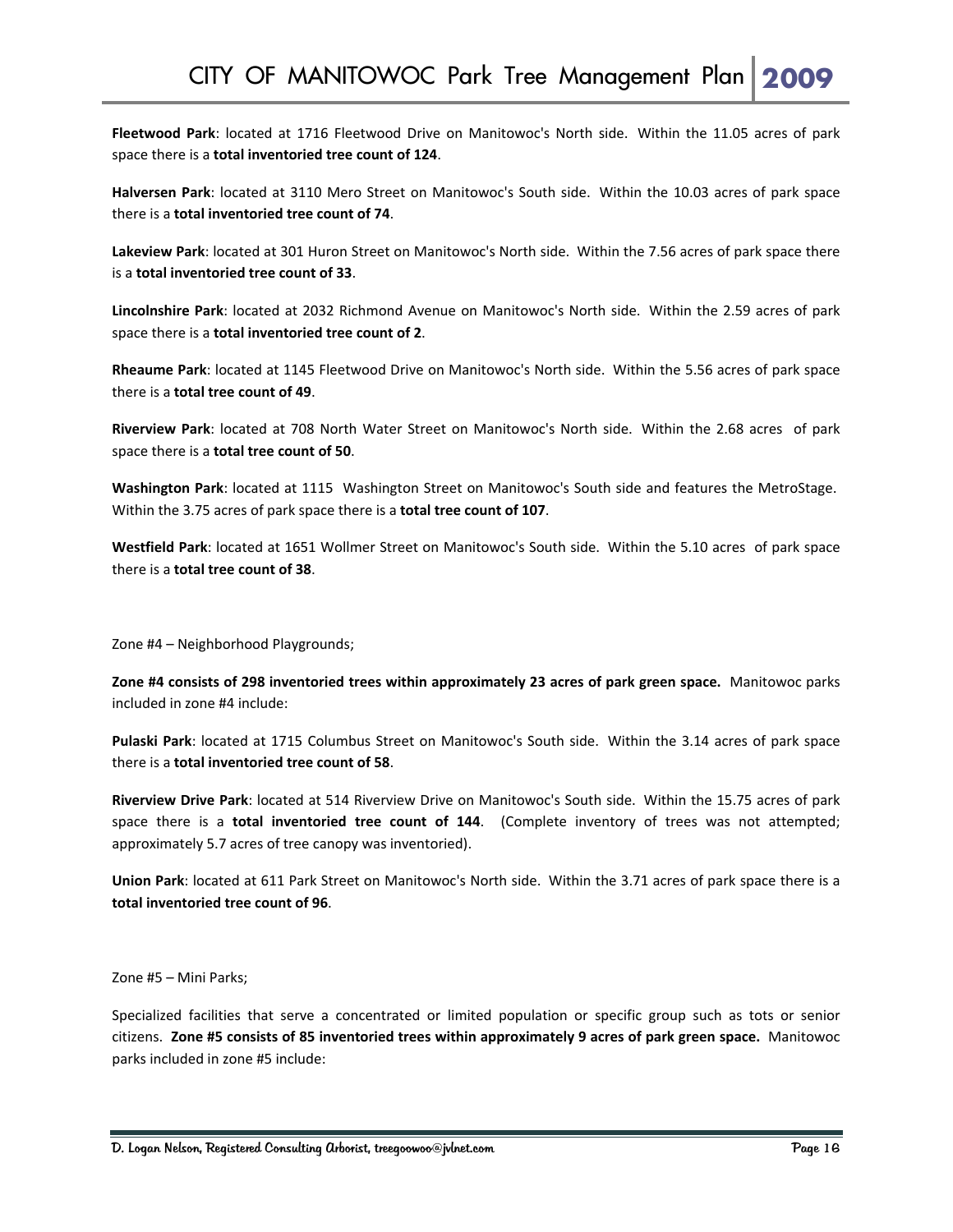**Fleetwood Park**: located at 1716 Fleetwood Drive on Manitowoc's North side. Within the 11.05 acres of park space there is a **total inventoried tree count of 124**.

**Halversen Park**: located at 3110 Mero Street on Manitowoc's South side. Within the 10.03 acres of park space there is a **total inventoried tree count of 74**.

**Lakeview Park**: located at 301 Huron Street on Manitowoc's North side. Within the 7.56 acres of park space there is a **total inventoried tree count of 33**.

**Lincolnshire Park**: located at 2032 Richmond Avenue on Manitowoc's North side. Within the 2.59 acres of park space there is a **total inventoried tree count of 2**.

**Rheaume Park**: located at 1145 Fleetwood Drive on Manitowoc's North side. Within the 5.56 acres of park space there is a **total tree count of 49**.

**Riverview Park**: located at 708 North Water Street on Manitowoc's North side. Within the 2.68 acres of park space there is a **total tree count of 50**.

**Washington Park**: located at 1115 Washington Street on Manitowoc's South side and features the MetroStage. Within the 3.75 acres of park space there is a **total tree count of 107**.

**Westfield Park**: located at 1651 Wollmer Street on Manitowoc's South side. Within the 5.10 acres of park space there is a **total tree count of 38**.

Zone #4 – Neighborhood Playgrounds;

**Zone #4 consists of 298 inventoried trees within approximately 23 acres of park green space.** Manitowoc parks included in zone #4 include:

**Pulaski Park**: located at 1715 Columbus Street on Manitowoc's South side. Within the 3.14 acres of park space there is a **total inventoried tree count of 58**.

**Riverview Drive Park**: located at 514 Riverview Drive on Manitowoc's South side. Within the 15.75 acres of park space there is a **total inventoried tree count of 144**. (Complete inventory of trees was not attempted; approximately 5.7 acres of tree canopy was inventoried).

**Union Park**: located at 611 Park Street on Manitowoc's North side. Within the 3.71 acres of park space there is a **total inventoried tree count of 96**.

Zone #5 – Mini Parks;

Specialized facilities that serve a concentrated or limited population or specific group such as tots or senior citizens. **Zone #5 consists of 85 inventoried trees within approximately 9 acres of park green space.** Manitowoc parks included in zone #5 include: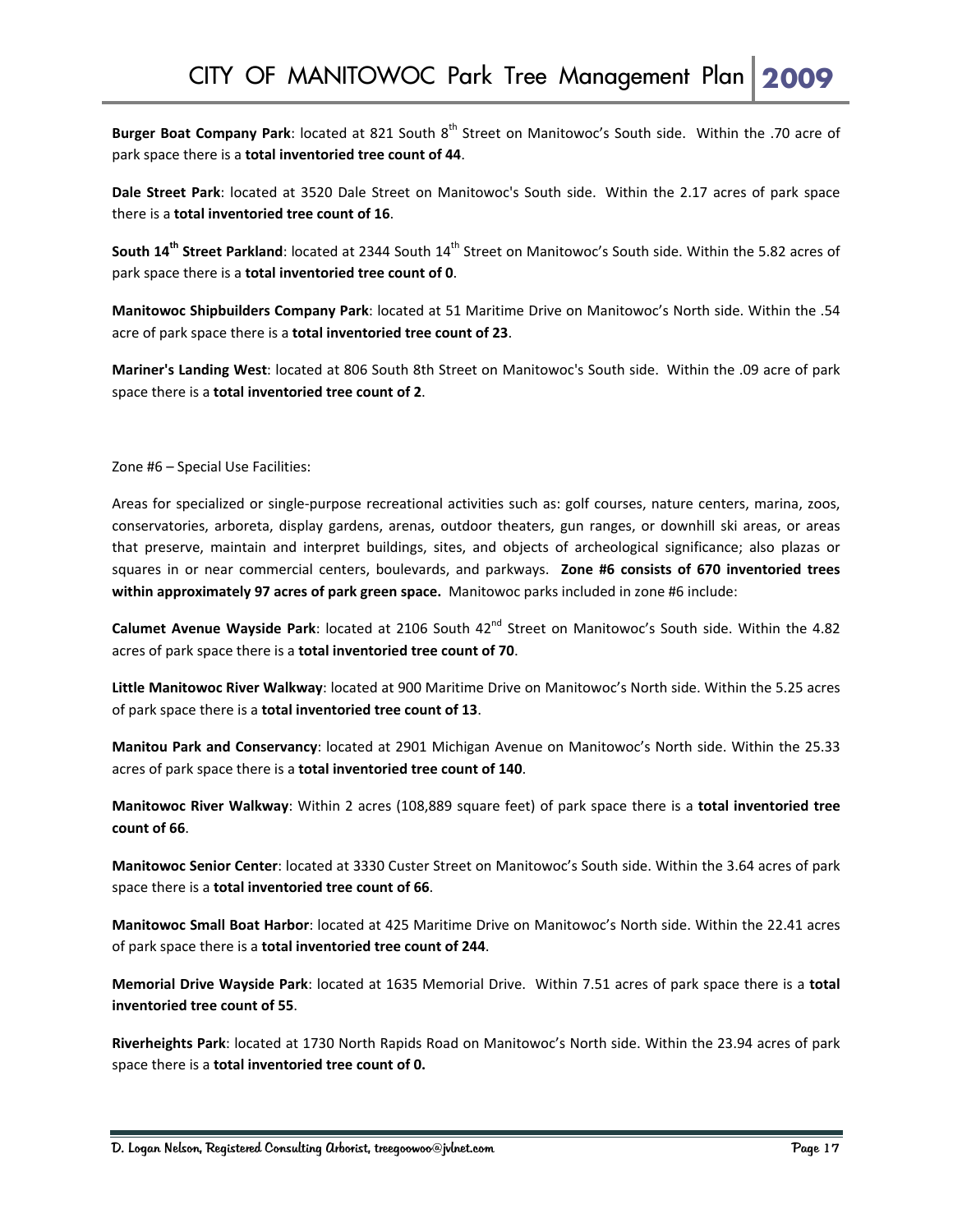**Burger Boat Company Park**: located at 821 South 8th Street on Manitowoc's South side. Within the .70 acre of park space there is a **total inventoried tree count of 44**.

**Dale Street Park**: located at 3520 Dale Street on Manitowoc's South side. Within the 2.17 acres of park space there is a **total inventoried tree count of 16**.

**South 14<sup>th</sup> Street Parkland:** located at 2344 South 14<sup>th</sup> Street on Manitowoc's South side. Within the 5.82 acres of park space there is a **total inventoried tree count of 0**.

**Manitowoc Shipbuilders Company Park**: located at 51 Maritime Drive on Manitowoc's North side. Within the .54 acre of park space there is a **total inventoried tree count of 23**.

**Mariner's Landing West**: located at 806 South 8th Street on Manitowoc's South side. Within the .09 acre of park space there is a **total inventoried tree count of 2**.

Zone #6 – Special Use Facilities:

Areas for specialized or single‐purpose recreational activities such as: golf courses, nature centers, marina, zoos, conservatories, arboreta, display gardens, arenas, outdoor theaters, gun ranges, or downhill ski areas, or areas that preserve, maintain and interpret buildings, sites, and objects of archeological significance; also plazas or squares in or near commercial centers, boulevards, and parkways. **Zone #6 consists of 670 inventoried trees within approximately 97 acres of park green space.** Manitowoc parks included in zone #6 include:

**Calumet Avenue Wayside Park: located at 2106 South 42<sup>nd</sup> Street on Manitowoc's South side. Within the 4.82** acres of park space there is a **total inventoried tree count of 70**.

**Little Manitowoc River Walkway**: located at 900 Maritime Drive on Manitowoc's North side. Within the 5.25 acres of park space there is a **total inventoried tree count of 13**.

**Manitou Park and Conservancy**: located at 2901 Michigan Avenue on Manitowoc's North side. Within the 25.33 acres of park space there is a **total inventoried tree count of 140**.

**Manitowoc River Walkway**: Within 2 acres (108,889 square feet) of park space there is a **total inventoried tree count of 66**.

**Manitowoc Senior Center**: located at 3330 Custer Street on Manitowoc's South side. Within the 3.64 acres of park space there is a **total inventoried tree count of 66**.

**Manitowoc Small Boat Harbor**: located at 425 Maritime Drive on Manitowoc's North side. Within the 22.41 acres of park space there is a **total inventoried tree count of 244**.

**Memorial Drive Wayside Park**: located at 1635 Memorial Drive. Within 7.51 acres of park space there is a **total inventoried tree count of 55**.

**Riverheights Park**: located at 1730 North Rapids Road on Manitowoc's North side. Within the 23.94 acres of park space there is a **total inventoried tree count of 0.**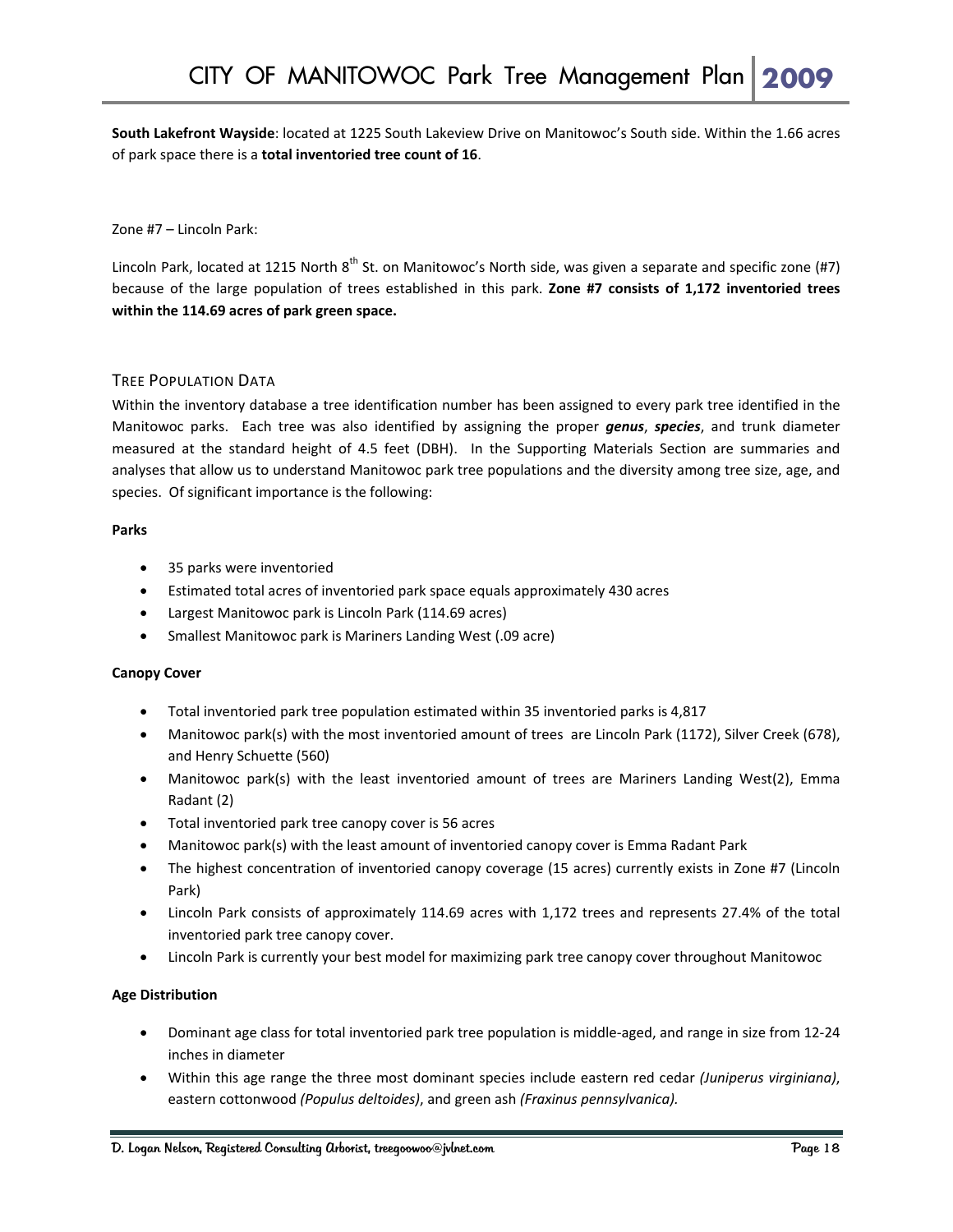**South Lakefront Wayside**: located at 1225 South Lakeview Drive on Manitowoc's South side. Within the 1.66 acres of park space there is a **total inventoried tree count of 16**.

Zone #7 – Lincoln Park:

Lincoln Park, located at 1215 North  $8^{th}$  St. on Manitowoc's North side, was given a separate and specific zone (#7) because of the large population of trees established in this park. **Zone #7 consists of 1,172 inventoried trees within the 114.69 acres of park green space.**

#### TREE POPULATION DATA

Within the inventory database a tree identification number has been assigned to every park tree identified in the Manitowoc parks. Each tree was also identified by assigning the proper *genus*, *species*, and trunk diameter measured at the standard height of 4.5 feet (DBH). In the Supporting Materials Section are summaries and analyses that allow us to understand Manitowoc park tree populations and the diversity among tree size, age, and species. Of significant importance is the following:

#### **Parks**

- 35 parks were inventoried
- Estimated total acres of inventoried park space equals approximately 430 acres
- Largest Manitowoc park is Lincoln Park (114.69 acres)
- Smallest Manitowoc park is Mariners Landing West (.09 acre)

#### **Canopy Cover**

- Total inventoried park tree population estimated within 35 inventoried parks is 4,817
- Manitowoc park(s) with the most inventoried amount of trees are Lincoln Park (1172), Silver Creek (678), and Henry Schuette (560)
- Manitowoc park(s) with the least inventoried amount of trees are Mariners Landing West(2), Emma Radant (2)
- Total inventoried park tree canopy cover is 56 acres
- Manitowoc park(s) with the least amount of inventoried canopy cover is Emma Radant Park
- The highest concentration of inventoried canopy coverage (15 acres) currently exists in Zone #7 (Lincoln Park)
- Lincoln Park consists of approximately 114.69 acres with 1,172 trees and represents 27.4% of the total inventoried park tree canopy cover.
- Lincoln Park is currently your best model for maximizing park tree canopy cover throughout Manitowoc

#### **Age Distribution**

- Dominant age class for total inventoried park tree population is middle‐aged, and range in size from 12‐24 inches in diameter
- Within this age range the three most dominant species include eastern red cedar *(Juniperus virginiana)*, eastern cottonwood *(Populus deltoides)*, and green ash *(Fraxinus pennsylvanica).*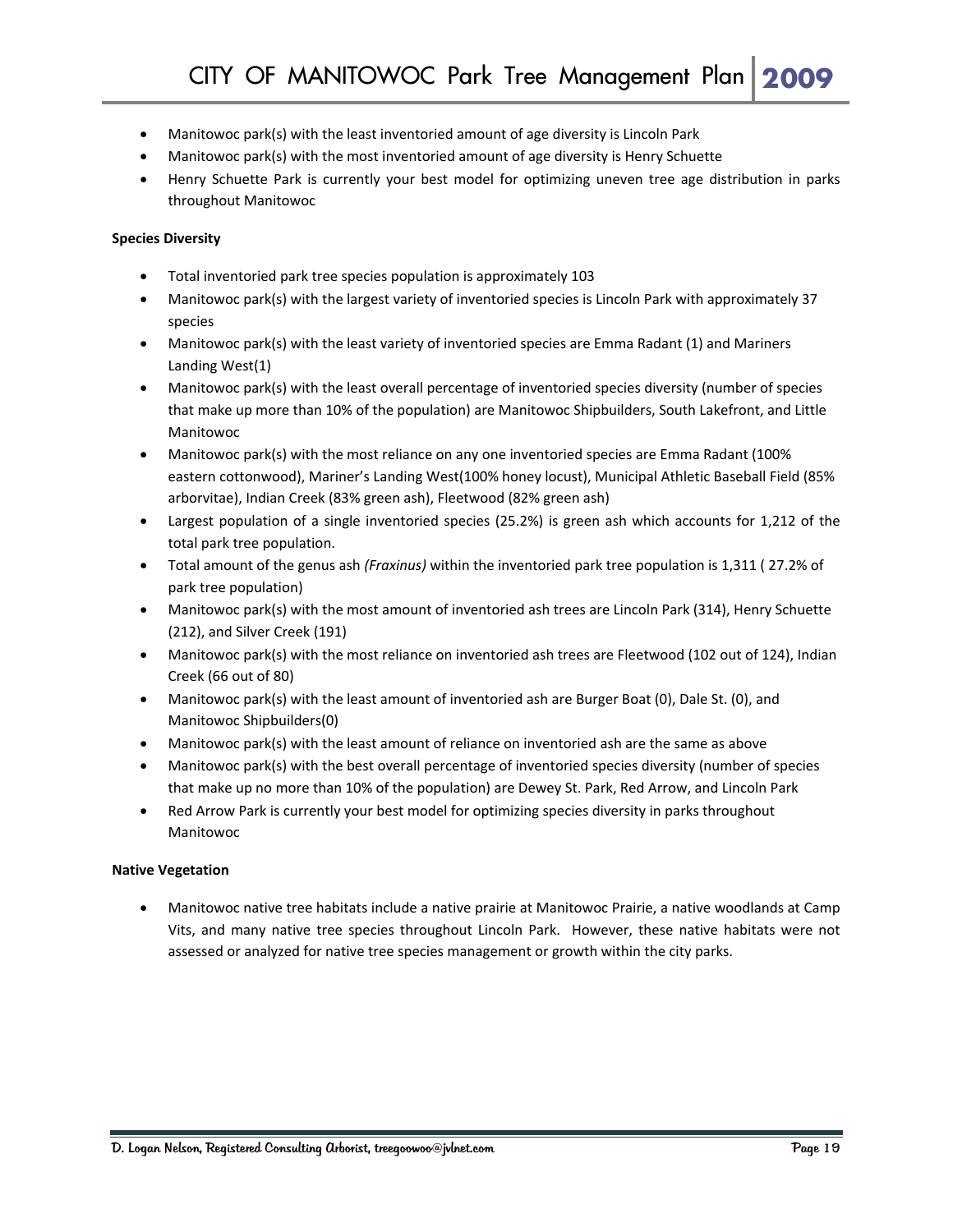- Manitowoc park(s) with the least inventoried amount of age diversity is Lincoln Park
- Manitowoc park(s) with the most inventoried amount of age diversity is Henry Schuette
- Henry Schuette Park is currently your best model for optimizing uneven tree age distribution in parks throughout Manitowoc

#### **Species Diversity**

- Total inventoried park tree species population is approximately 103
- Manitowoc park(s) with the largest variety of inventoried species is Lincoln Park with approximately 37 species
- Manitowoc park(s) with the least variety of inventoried species are Emma Radant (1) and Mariners Landing West(1)
- Manitowoc park(s) with the least overall percentage of inventoried species diversity (number of species that make up more than 10% of the population) are Manitowoc Shipbuilders, South Lakefront, and Little Manitowoc
- Manitowoc park(s) with the most reliance on any one inventoried species are Emma Radant (100% eastern cottonwood), Mariner's Landing West(100% honey locust), Municipal Athletic Baseball Field (85% arborvitae), Indian Creek (83% green ash), Fleetwood (82% green ash)
- Largest population of a single inventoried species (25.2%) is green ash which accounts for 1,212 of the total park tree population.
- Total amount of the genus ash *(Fraxinus)* within the inventoried park tree population is 1,311 ( 27.2% of park tree population)
- Manitowoc park(s) with the most amount of inventoried ash trees are Lincoln Park (314), Henry Schuette (212), and Silver Creek (191)
- Manitowoc park(s) with the most reliance on inventoried ash trees are Fleetwood (102 out of 124), Indian Creek (66 out of 80)
- Manitowoc park(s) with the least amount of inventoried ash are Burger Boat (0), Dale St. (0), and Manitowoc Shipbuilders(0)
- Manitowoc park(s) with the least amount of reliance on inventoried ash are the same as above
- Manitowoc park(s) with the best overall percentage of inventoried species diversity (number of species that make up no more than 10% of the population) are Dewey St. Park, Red Arrow, and Lincoln Park
- Red Arrow Park is currently your best model for optimizing species diversity in parks throughout Manitowoc

#### **Native Vegetation**

• Manitowoc native tree habitats include a native prairie at Manitowoc Prairie, a native woodlands at Camp Vits, and many native tree species throughout Lincoln Park. However, these native habitats were not assessed or analyzed for native tree species management or growth within the city parks.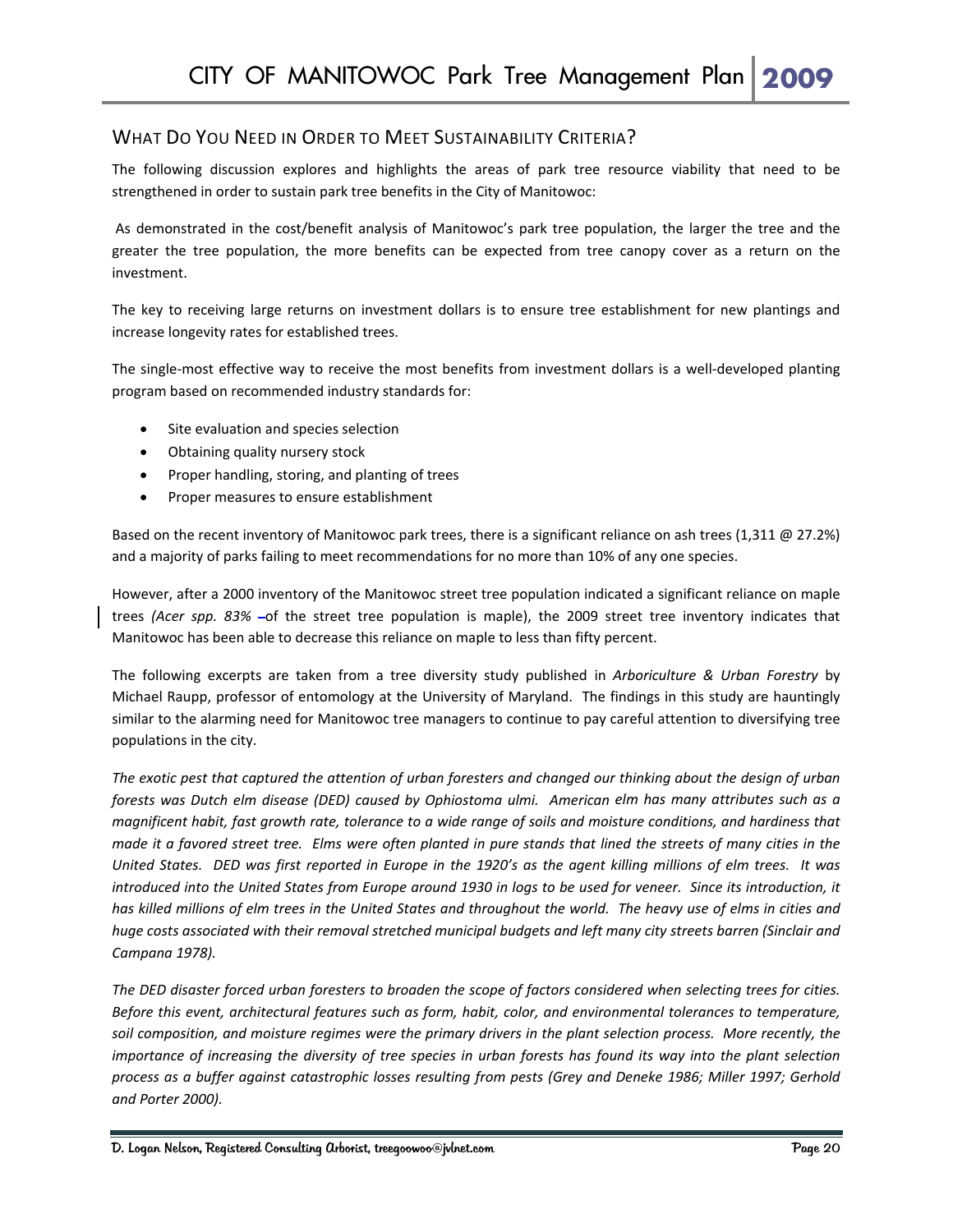#### WHAT DO YOU NEED IN ORDER TO MEET SUSTAINABILITY CRITERIA?

The following discussion explores and highlights the areas of park tree resource viability that need to be strengthened in order to sustain park tree benefits in the City of Manitowoc:

As demonstrated in the cost/benefit analysis of Manitowoc's park tree population, the larger the tree and the greater the tree population, the more benefits can be expected from tree canopy cover as a return on the investment.

The key to receiving large returns on investment dollars is to ensure tree establishment for new plantings and increase longevity rates for established trees.

The single-most effective way to receive the most benefits from investment dollars is a well-developed planting program based on recommended industry standards for:

- Site evaluation and species selection
- Obtaining quality nursery stock
- Proper handling, storing, and planting of trees
- Proper measures to ensure establishment

Based on the recent inventory of Manitowoc park trees, there is a significant reliance on ash trees (1,311 @ 27.2%) and a majority of parks failing to meet recommendations for no more than 10% of any one species.

However, after a 2000 inventory of the Manitowoc street tree population indicated a significant reliance on maple trees (Acer spp. 83% -of the street tree population is maple), the 2009 street tree inventory indicates that Manitowoc has been able to decrease this reliance on maple to less than fifty percent.

The following excerpts are taken from a tree diversity study published in *Arboriculture & Urban Forestry* by Michael Raupp, professor of entomology at the University of Maryland. The findings in this study are hauntingly similar to the alarming need for Manitowoc tree managers to continue to pay careful attention to diversifying tree populations in the city.

The exotic pest that captured the attention of urban foresters and changed our thinking about the design of urban forests was Dutch elm disease (DED) caused by Ophiostoma ulmi. American elm has many attributes such as a magnificent habit, fast growth rate, tolerance to a wide range of soils and moisture conditions, and hardiness that made it a favored street tree. Elms were often planted in pure stands that lined the streets of many cities in the United States. DED was first reported in Europe in the 1920's as the agent killing millions of elm trees. It was introduced into the United States from Europe around 1930 in logs to be used for veneer. Since its introduction, it has killed millions of elm trees in the United States and throughout the world. The heavy use of elms in cities and huge costs associated with their removal stretched municipal budgets and left many city streets barren (Sinclair and *Campana 1978).*

The DED disaster forced urban foresters to broaden the scope of factors considered when selecting trees for cities. *Before this event, architectural features such as form, habit, color, and environmental tolerances to temperature,* soil composition, and moisture regimes were the primary drivers in the plant selection process. More recently, the importance of increasing the diversity of tree species in urban forests has found its way into the plant selection process as a buffer against catastrophic losses resulting from pests (Grey and Deneke 1986; Miller 1997; Gerhold *and Porter 2000).*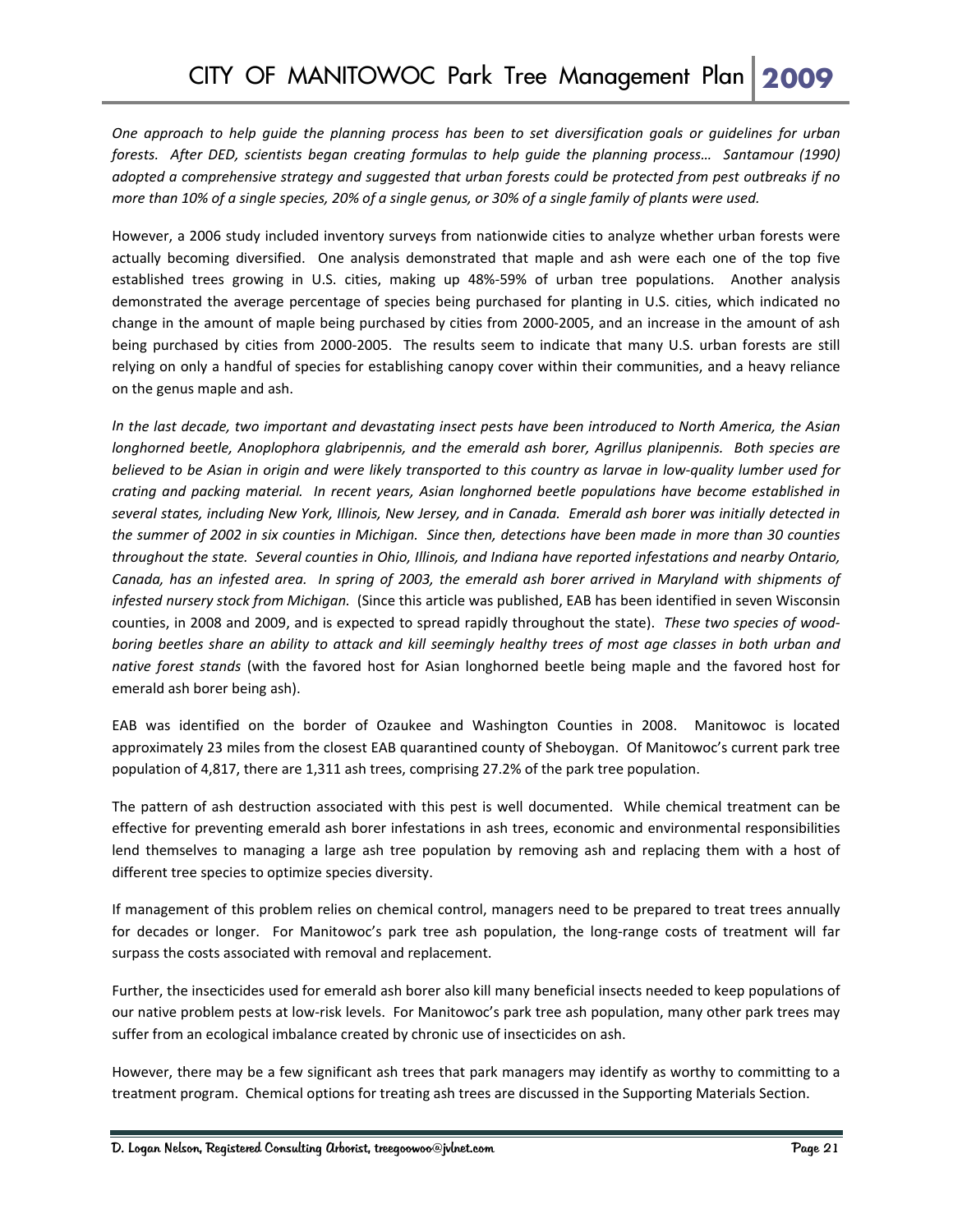One approach to help quide the planning process has been to set diversification goals or quidelines for urban forests. After DED, scientists began creating formulas to help guide the planning process... Santamour (1990) adopted a comprehensive strategy and suggested that urban forests could be protected from pest outbreaks if no more than 10% of a single species, 20% of a single genus, or 30% of a single family of plants were used.

However, a 2006 study included inventory surveys from nationwide cities to analyze whether urban forests were actually becoming diversified. One analysis demonstrated that maple and ash were each one of the top five established trees growing in U.S. cities, making up 48%‐59% of urban tree populations. Another analysis demonstrated the average percentage of species being purchased for planting in U.S. cities, which indicated no change in the amount of maple being purchased by cities from 2000‐2005, and an increase in the amount of ash being purchased by cities from 2000-2005. The results seem to indicate that many U.S. urban forests are still relying on only a handful of species for establishing canopy cover within their communities, and a heavy reliance on the genus maple and ash.

In the last decade, two important and devastating insect pests have been introduced to North America, the Asian *longhorned beetle, Anoplophora glabripennis, and the emerald ash borer, Agrillus planipennis. Both species are* believed to be Asian in origin and were likely transported to this country as larvae in low-quality lumber used for *crating and packing material. In recent years, Asian longhorned beetle populations have become established in* several states, including New York, Illinois, New Jersey, and in Canada. Emerald ash borer was initially detected in the summer of 2002 in six counties in Michigan. Since then, detections have been made in more than 30 counties throughout the state. Several counties in Ohio, Illinois, and Indiana have reported infestations and nearby Ontario, Canada, has an infested area. In spring of 2003, the emerald ash borer arrived in Maryland with shipments of *infested nursery stock from Michigan.* (Since this article was published, EAB has been identified in seven Wisconsin counties, in 2008 and 2009, and is expected to spread rapidly throughout the state). *These two species of wood‐* boring beetles share an ability to attack and kill seemingly healthy trees of most age classes in both urban and *native forest stands* (with the favored host for Asian longhorned beetle being maple and the favored host for emerald ash borer being ash).

EAB was identified on the border of Ozaukee and Washington Counties in 2008. Manitowoc is located approximately 23 miles from the closest EAB quarantined county of Sheboygan. Of Manitowoc's current park tree population of 4,817, there are 1,311 ash trees, comprising 27.2% of the park tree population.

The pattern of ash destruction associated with this pest is well documented. While chemical treatment can be effective for preventing emerald ash borer infestations in ash trees, economic and environmental responsibilities lend themselves to managing a large ash tree population by removing ash and replacing them with a host of different tree species to optimize species diversity.

If management of this problem relies on chemical control, managers need to be prepared to treat trees annually for decades or longer. For Manitowoc's park tree ash population, the long-range costs of treatment will far surpass the costs associated with removal and replacement.

Further, the insecticides used for emerald ash borer also kill many beneficial insects needed to keep populations of our native problem pests at low‐risk levels. For Manitowoc's park tree ash population, many other park trees may suffer from an ecological imbalance created by chronic use of insecticides on ash.

However, there may be a few significant ash trees that park managers may identify as worthy to committing to a treatment program. Chemical options for treating ash trees are discussed in the Supporting Materials Section.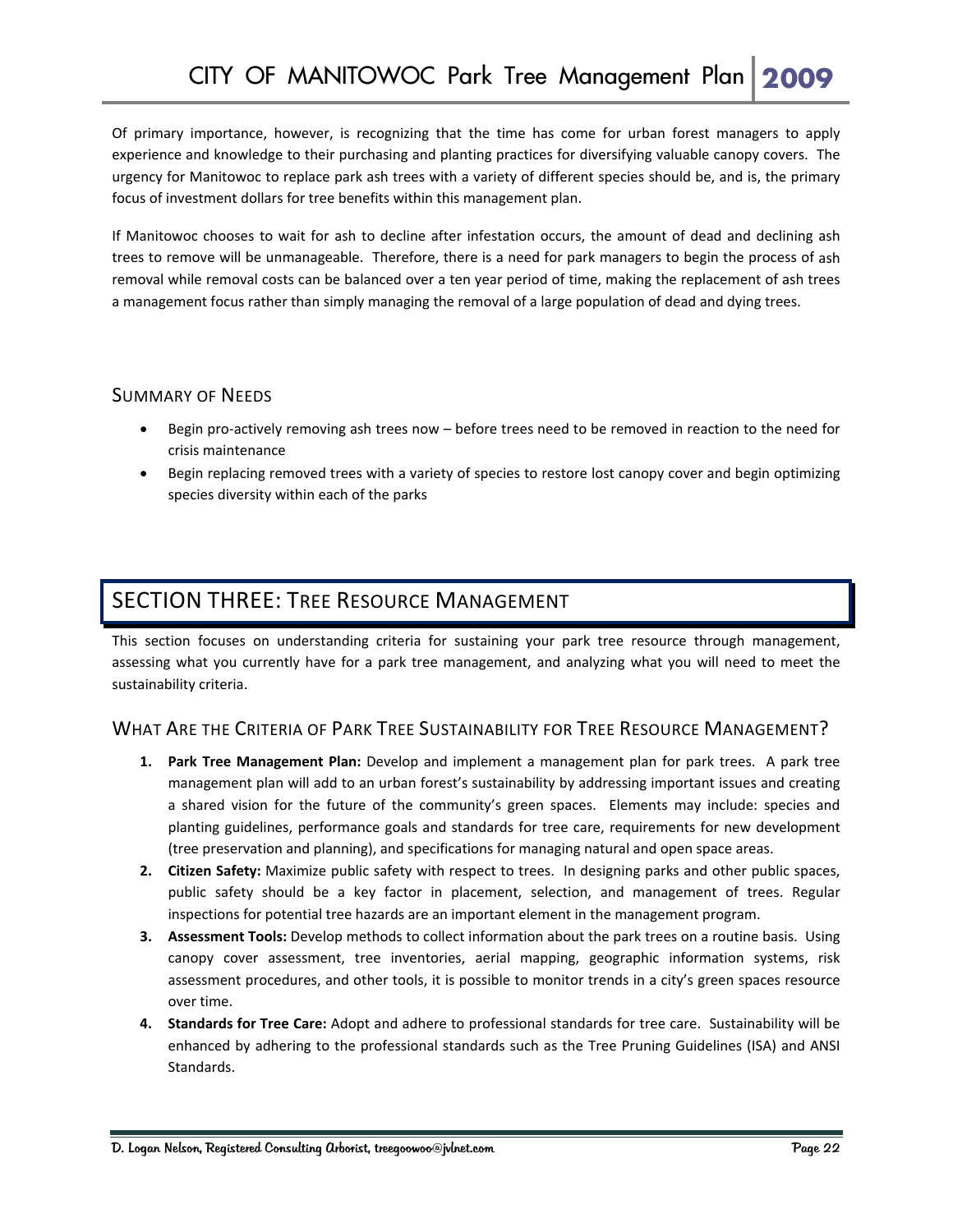Of primary importance, however, is recognizing that the time has come for urban forest managers to apply experience and knowledge to their purchasing and planting practices for diversifying valuable canopy covers. The urgency for Manitowoc to replace park ash trees with a variety of different species should be, and is, the primary focus of investment dollars for tree benefits within this management plan.

If Manitowoc chooses to wait for ash to decline after infestation occurs, the amount of dead and declining ash trees to remove will be unmanageable. Therefore, there is a need for park managers to begin the process of ash removal while removal costs can be balanced over a ten year period of time, making the replacement of ash trees a management focus rather than simply managing the removal of a large population of dead and dying trees.

#### SUMMARY OF NEEDS

- Begin pro‐actively removing ash trees now before trees need to be removed in reaction to the need for crisis maintenance
- Begin replacing removed trees with a variety of species to restore lost canopy cover and begin optimizing species diversity within each of the parks

## SECTION THREE: TREE RESOURCE MANAGEMENT

This section focuses on understanding criteria for sustaining your park tree resource through management, assessing what you currently have for a park tree management, and analyzing what you will need to meet the sustainability criteria.

#### WHAT ARE THE CRITERIA OF PARK TREE SUSTAINABILITY FOR TREE RESOURCE MANAGEMENT?

- **1. Park Tree Management Plan:** Develop and implement a management plan for park trees.A park tree management plan will add to an urban forest's sustainability by addressing important issues and creating a shared vision for the future of the community's green spaces. Elements may include: species and planting guidelines, performance goals and standards for tree care, requirements for new development (tree preservation and planning), and specifications for managing natural and open space areas.
- **2. Citizen Safety:** Maximize public safety with respect to trees. In designing parks and other public spaces, public safety should be a key factor in placement, selection, and management of trees. Regular inspections for potential tree hazards are an important element in the management program.
- **3. Assessment Tools:** Develop methods to collect information about the park trees on a routine basis. Using canopy cover assessment, tree inventories, aerial mapping, geographic information systems, risk assessment procedures, and other tools, it is possible to monitor trends in a city's green spaces resource over time.
- **4. Standards for Tree Care:** Adopt and adhere to professional standards for tree care. Sustainability will be enhanced by adhering to the professional standards such as the Tree Pruning Guidelines (ISA) and ANSI Standards.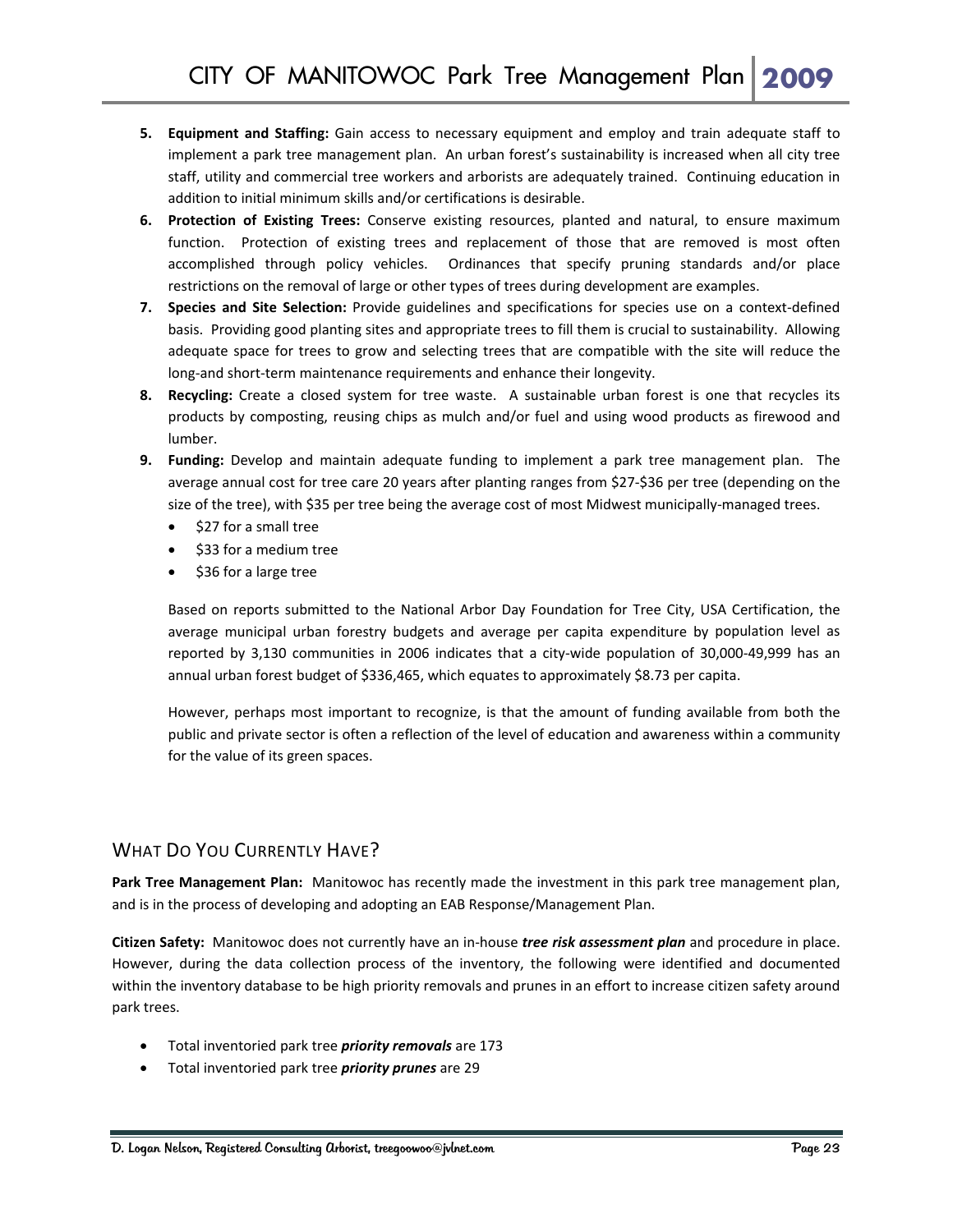- **5. Equipment and Staffing:** Gain access to necessary equipment and employ and train adequate staff to implement a park tree management plan. An urban forest's sustainability is increased when all city tree staff, utility and commercial tree workers and arborists are adequately trained. Continuing education in addition to initial minimum skills and/or certifications is desirable.
- **6. Protection of Existing Trees:** Conserve existing resources, planted and natural, to ensure maximum function. Protection of existing trees and replacement of those that are removed is most often accomplished through policy vehicles. Ordinances that specify pruning standards and/or place restrictions on the removal of large or other types of trees during development are examples.
- **7. Species and Site Selection:** Provide guidelines and specifications for species use on a context‐defined basis. Providing good planting sites and appropriate trees to fill them is crucial to sustainability. Allowing adequate space for trees to grow and selecting trees that are compatible with the site will reduce the long‐and short‐term maintenance requirements and enhance their longevity.
- **8. Recycling:** Create a closed system for tree waste. A sustainable urban forest is one that recycles its products by composting, reusing chips as mulch and/or fuel and using wood products as firewood and lumber.
- **9. Funding:** Develop and maintain adequate funding to implement a park tree management plan. The average annual cost for tree care 20 years after planting ranges from \$27‐\$36 per tree (depending on the size of the tree), with \$35 per tree being the average cost of most Midwest municipally-managed trees.
	- \$27 for a small tree
	- \$33 for a medium tree
	- \$36 for a large tree

Based on reports submitted to the National Arbor Day Foundation for Tree City, USA Certification, the average municipal urban forestry budgets and average per capita expenditure by population level as reported by 3,130 communities in 2006 indicates that a city‐wide population of 30,000‐49,999 has an annual urban forest budget of \$336,465, which equates to approximately \$8.73 per capita.

However, perhaps most important to recognize, is that the amount of funding available from both the public and private sector is often a reflection of the level of education and awareness within a community for the value of its green spaces.

#### WHAT DO YOU CURRENTLY HAVE?

**Park Tree Management Plan:** Manitowoc has recently made the investment in this park tree management plan, and is in the process of developing and adopting an EAB Response/Management Plan.

**Citizen Safety:** Manitowoc does not currently have an in‐house *tree risk assessment plan* and procedure in place. However, during the data collection process of the inventory, the following were identified and documented within the inventory database to be high priority removals and prunes in an effort to increase citizen safety around park trees.

- Total inventoried park tree *priority removals* are 173
- Total inventoried park tree *priority prunes* are 29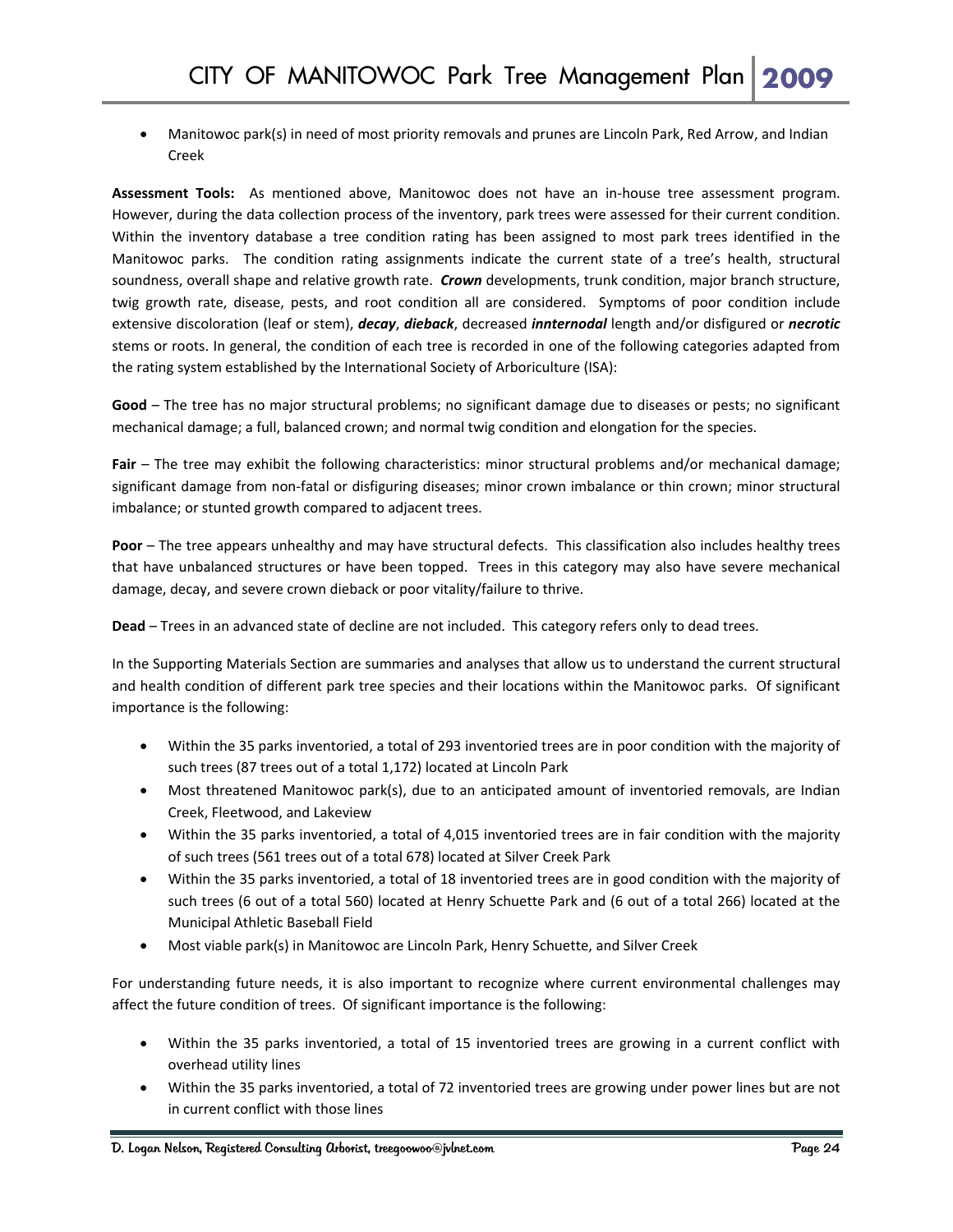• Manitowoc park(s) in need of most priority removals and prunes are Lincoln Park, Red Arrow, and Indian Creek

**Assessment Tools:**  As mentioned above, Manitowoc does not have an in‐house tree assessment program. However, during the data collection process of the inventory, park trees were assessed for their current condition. Within the inventory database a tree condition rating has been assigned to most park trees identified in the Manitowoc parks. The condition rating assignments indicate the current state of a tree's health, structural soundness, overall shape and relative growth rate. *Crown* developments, trunk condition, major branch structure, twig growth rate, disease, pests, and root condition all are considered. Symptoms of poor condition include extensive discoloration (leaf or stem), *decay*, *dieback*, decreased *innternodal* length and/or disfigured or *necrotic* stems or roots. In general, the condition of each tree is recorded in one of the following categories adapted from the rating system established by the International Society of Arboriculture (ISA):

**Good** *–* The tree has no major structural problems; no significant damage due to diseases or pests; no significant mechanical damage; a full, balanced crown; and normal twig condition and elongation for the species.

**Fair** *–* The tree may exhibit the following characteristics: minor structural problems and/or mechanical damage; significant damage from non‐fatal or disfiguring diseases; minor crown imbalance or thin crown; minor structural imbalance; or stunted growth compared to adjacent trees.

**Poor** *–* The tree appears unhealthy and may have structural defects. This classification also includes healthy trees that have unbalanced structures or have been topped. Trees in this category may also have severe mechanical damage, decay, and severe crown dieback or poor vitality/failure to thrive.

**Dead** *–* Trees in an advanced state of decline are not included. This category refers only to dead trees.

In the Supporting Materials Section are summaries and analyses that allow us to understand the current structural and health condition of different park tree species and their locations within the Manitowoc parks. Of significant importance is the following:

- Within the 35 parks inventoried, a total of 293 inventoried trees are in poor condition with the majority of such trees (87 trees out of a total 1,172) located at Lincoln Park
- Most threatened Manitowoc park(s), due to an anticipated amount of inventoried removals, are Indian Creek, Fleetwood, and Lakeview
- Within the 35 parks inventoried, a total of 4,015 inventoried trees are in fair condition with the majority of such trees (561 trees out of a total 678) located at Silver Creek Park
- Within the 35 parks inventoried, a total of 18 inventoried trees are in good condition with the majority of such trees (6 out of a total 560) located at Henry Schuette Park and (6 out of a total 266) located at the Municipal Athletic Baseball Field
- Most viable park(s) in Manitowoc are Lincoln Park, Henry Schuette, and Silver Creek

For understanding future needs, it is also important to recognize where current environmental challenges may affect the future condition of trees. Of significant importance is the following:

- Within the 35 parks inventoried, a total of 15 inventoried trees are growing in a current conflict with overhead utility lines
- Within the 35 parks inventoried, a total of 72 inventoried trees are growing under power lines but are not in current conflict with those lines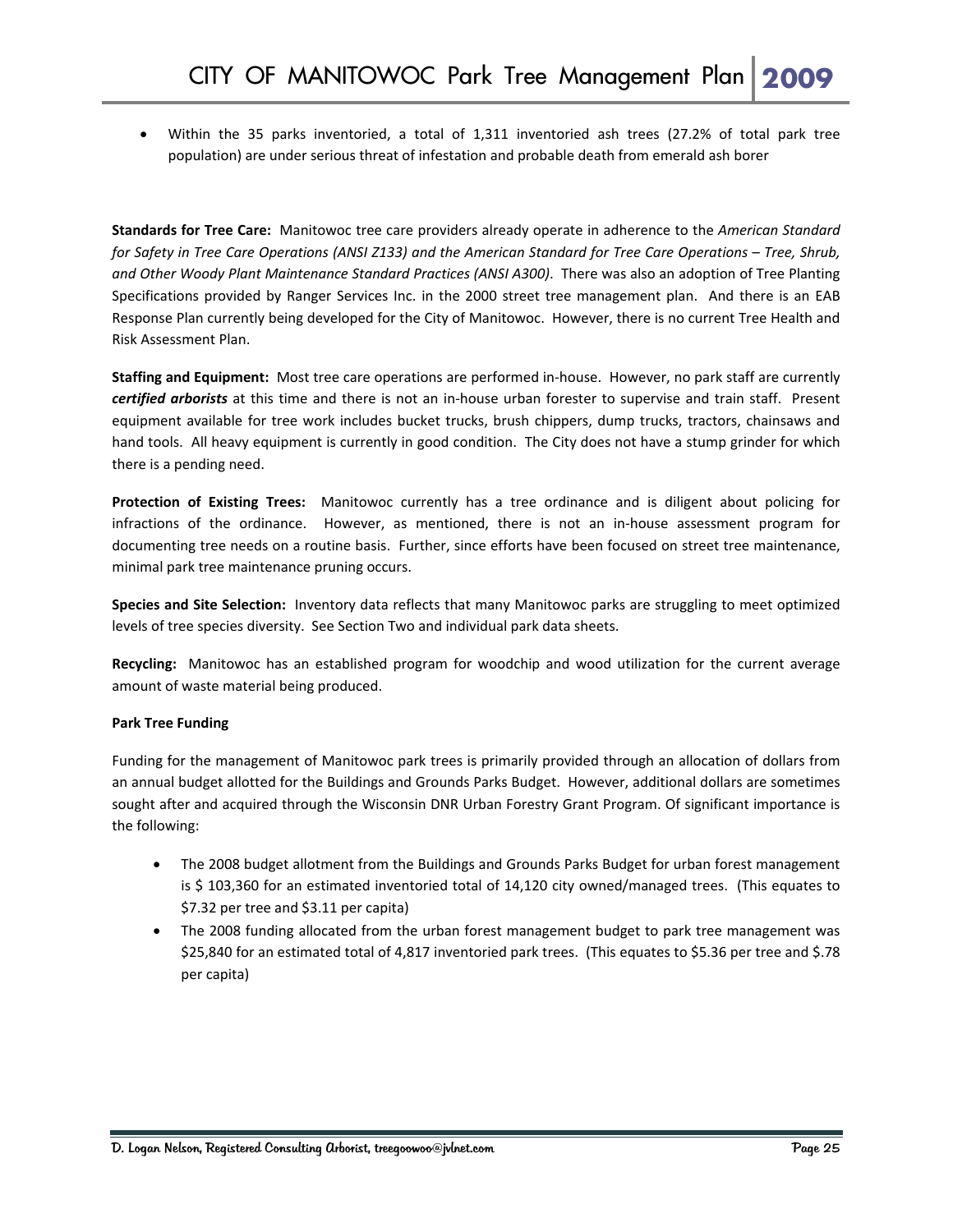• Within the 35 parks inventoried, a total of 1,311 inventoried ash trees (27.2% of total park tree population) are under serious threat of infestation and probable death from emerald ash borer

**Standards for Tree Care:** Manitowoc tree care providers already operate in adherence to the *American Standard* for Safety in Tree Care Operations (ANSI Z133) and the American Standard for Tree Care Operations - Tree, Shrub, *and Other Woody Plant Maintenance Standard Practices (ANSI A300)*. There was also an adoption of Tree Planting Specifications provided by Ranger Services Inc. in the 2000 street tree management plan. And there is an EAB Response Plan currently being developed for the City of Manitowoc. However, there is no current Tree Health and Risk Assessment Plan.

**Staffing and Equipment:** Most tree care operations are performed in‐house. However, no park staff are currently *certified arborists* at this time and there is not an in‐house urban forester to supervise and train staff. Present equipment available for tree work includes bucket trucks, brush chippers, dump trucks, tractors, chainsaws and hand tools. All heavy equipment is currently in good condition. The City does not have a stump grinder for which there is a pending need.

**Protection of Existing Trees:**  Manitowoc currently has a tree ordinance and is diligent about policing for infractions of the ordinance. However, as mentioned, there is not an in-house assessment program for documenting tree needs on a routine basis. Further, since efforts have been focused on street tree maintenance, minimal park tree maintenance pruning occurs.

**Species and Site Selection:** Inventory data reflects that many Manitowoc parks are struggling to meet optimized levels of tree species diversity. See Section Two and individual park data sheets.

Recycling: Manitowoc has an established program for woodchip and wood utilization for the current average amount of waste material being produced.

#### **Park Tree Funding**

Funding for the management of Manitowoc park trees is primarily provided through an allocation of dollars from an annual budget allotted for the Buildings and Grounds Parks Budget. However, additional dollars are sometimes sought after and acquired through the Wisconsin DNR Urban Forestry Grant Program. Of significant importance is the following:

- The 2008 budget allotment from the Buildings and Grounds Parks Budget for urban forest management is \$ 103,360 for an estimated inventoried total of 14,120 city owned/managed trees. (This equates to \$7.32 per tree and \$3.11 per capita)
- The 2008 funding allocated from the urban forest management budget to park tree management was \$25,840 for an estimated total of 4,817 inventoried park trees. (This equates to \$5.36 per tree and \$.78 per capita)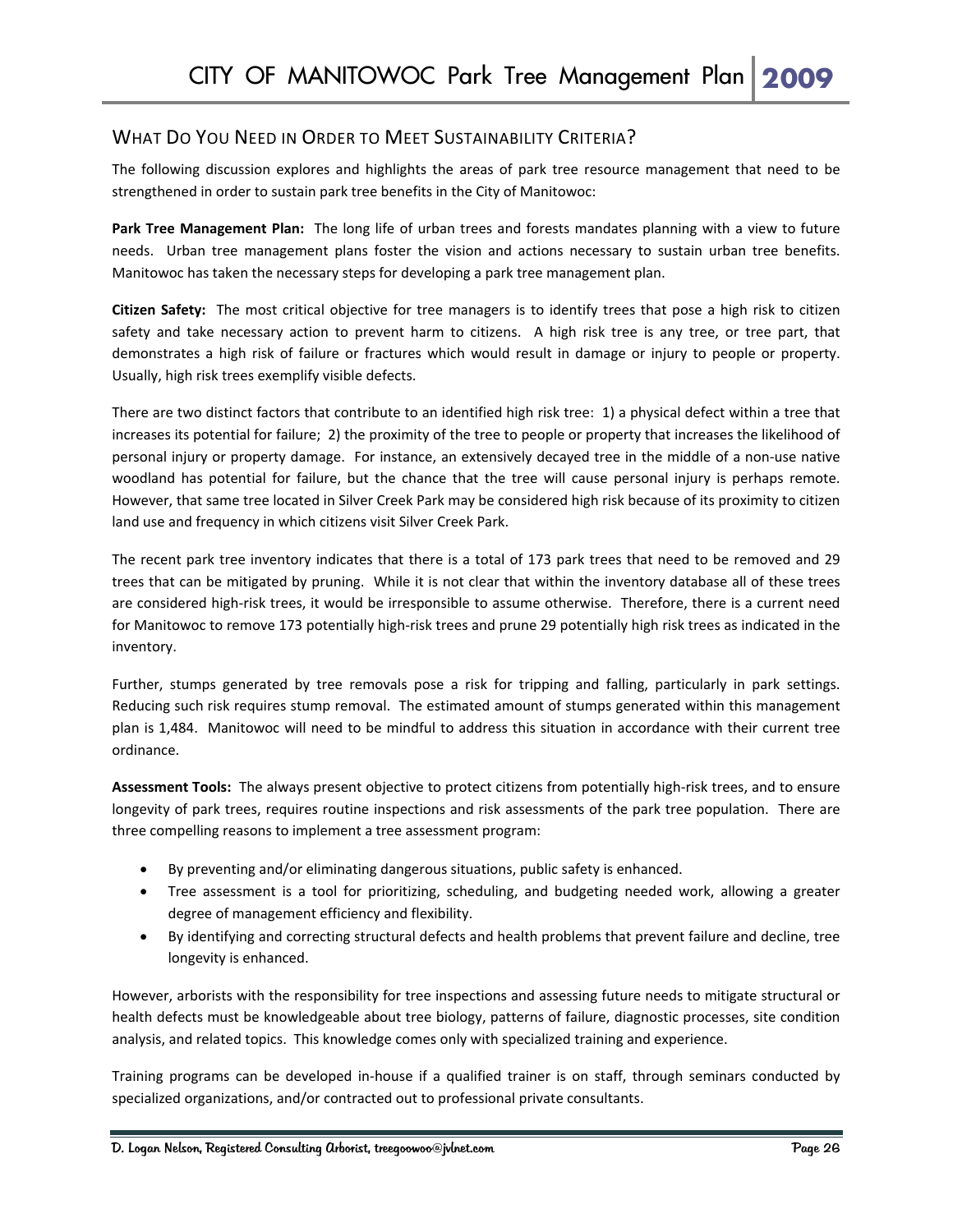#### WHAT DO YOU NEED IN ORDER TO MEET SUSTAINABILITY CRITERIA?

The following discussion explores and highlights the areas of park tree resource management that need to be strengthened in order to sustain park tree benefits in the City of Manitowoc:

**Park Tree Management Plan:** The long life of urban trees and forests mandates planning with a view to future needs. Urban tree management plans foster the vision and actions necessary to sustain urban tree benefits. Manitowoc has taken the necessary steps for developing a park tree management plan.

**Citizen Safety:** The most critical objective for tree managers is to identify trees that pose a high risk to citizen safety and take necessary action to prevent harm to citizens. A high risk tree is any tree, or tree part, that demonstrates a high risk of failure or fractures which would result in damage or injury to people or property. Usually, high risk trees exemplify visible defects.

There are two distinct factors that contribute to an identified high risk tree: 1) a physical defect within a tree that increases its potential for failure; 2) the proximity of the tree to people or property that increases the likelihood of personal injury or property damage. For instance, an extensively decayed tree in the middle of a non‐use native woodland has potential for failure, but the chance that the tree will cause personal injury is perhaps remote. However, that same tree located in Silver Creek Park may be considered high risk because of its proximity to citizen land use and frequency in which citizens visit Silver Creek Park.

The recent park tree inventory indicates that there is a total of 173 park trees that need to be removed and 29 trees that can be mitigated by pruning. While it is not clear that within the inventory database all of these trees are considered high-risk trees, it would be irresponsible to assume otherwise. Therefore, there is a current need for Manitowoc to remove 173 potentially high-risk trees and prune 29 potentially high risk trees as indicated in the inventory.

Further, stumps generated by tree removals pose a risk for tripping and falling, particularly in park settings. Reducing such risk requires stump removal. The estimated amount of stumps generated within this management plan is 1,484. Manitowoc will need to be mindful to address this situation in accordance with their current tree ordinance.

**Assessment Tools:** The always present objective to protect citizens from potentially high‐risk trees, and to ensure longevity of park trees, requires routine inspections and risk assessments of the park tree population. There are three compelling reasons to implement a tree assessment program:

- By preventing and/or eliminating dangerous situations, public safety is enhanced.
- Tree assessment is a tool for prioritizing, scheduling, and budgeting needed work, allowing a greater degree of management efficiency and flexibility.
- By identifying and correcting structural defects and health problems that prevent failure and decline, tree longevity is enhanced.

However, arborists with the responsibility for tree inspections and assessing future needs to mitigate structural or health defects must be knowledgeable about tree biology, patterns of failure, diagnostic processes, site condition analysis, and related topics. This knowledge comes only with specialized training and experience.

Training programs can be developed in‐house if a qualified trainer is on staff, through seminars conducted by specialized organizations, and/or contracted out to professional private consultants.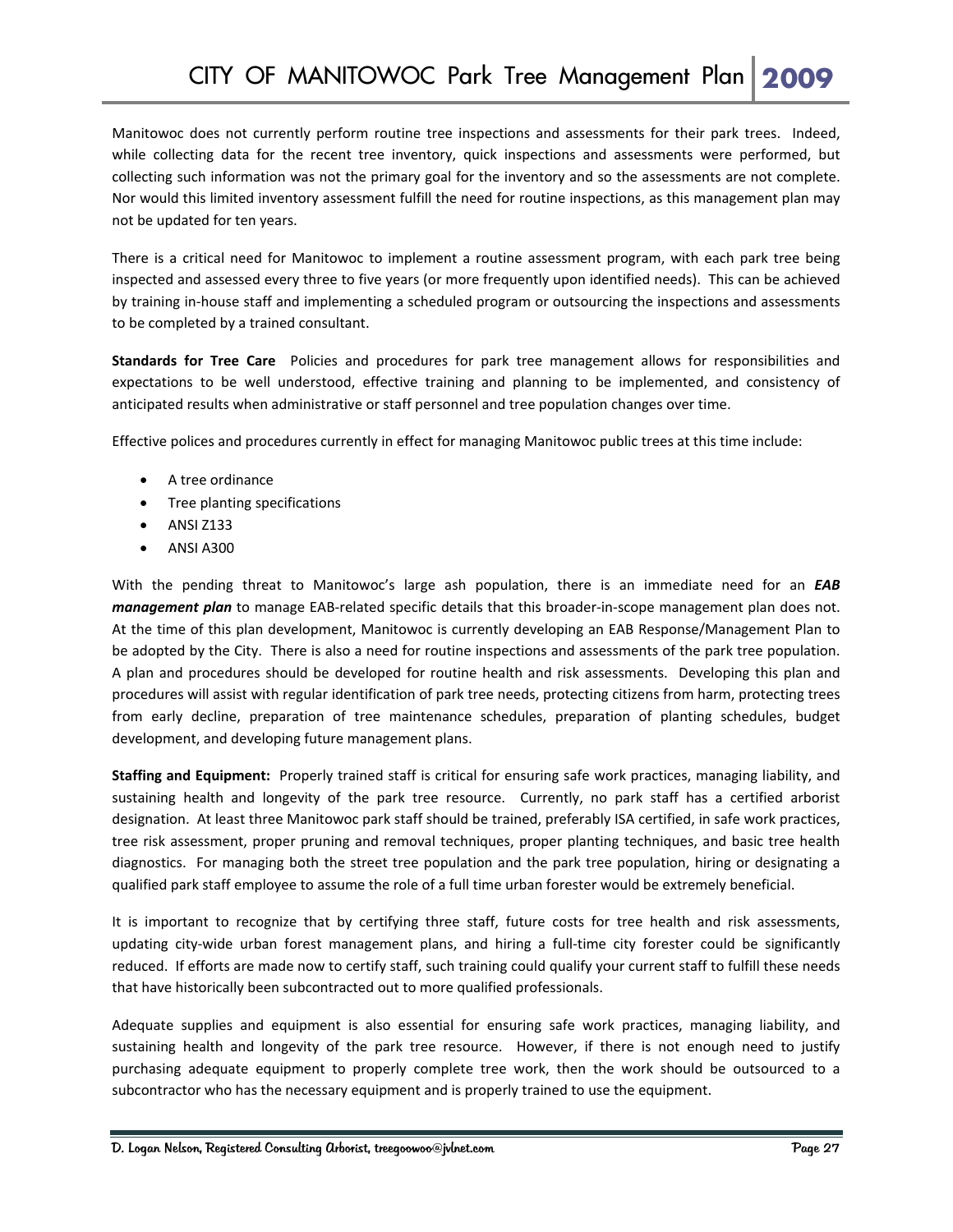Manitowoc does not currently perform routine tree inspections and assessments for their park trees. Indeed, while collecting data for the recent tree inventory, quick inspections and assessments were performed, but collecting such information was not the primary goal for the inventory and so the assessments are not complete. Nor would this limited inventory assessment fulfill the need for routine inspections, as this management plan may not be updated for ten years.

There is a critical need for Manitowoc to implement a routine assessment program, with each park tree being inspected and assessed every three to five years (or more frequently upon identified needs). This can be achieved by training in‐house staff and implementing a scheduled program or outsourcing the inspections and assessments to be completed by a trained consultant.

**Standards for Tree Care**  Policies and procedures for park tree management allows for responsibilities and expectations to be well understood, effective training and planning to be implemented, and consistency of anticipated results when administrative or staff personnel and tree population changes over time.

Effective polices and procedures currently in effect for managing Manitowoc public trees at this time include:

- A tree ordinance
- Tree planting specifications
- ANSI Z133
- ANSI A300

With the pending threat to Manitowoc's large ash population, there is an immediate need for an *EAB management plan* to manage EAB-related specific details that this broader-in-scope management plan does not. At the time of this plan development, Manitowoc is currently developing an EAB Response/Management Plan to be adopted by the City. There is also a need for routine inspections and assessments of the park tree population. A plan and procedures should be developed for routine health and risk assessments. Developing this plan and procedures will assist with regular identification of park tree needs, protecting citizens from harm, protecting trees from early decline, preparation of tree maintenance schedules, preparation of planting schedules, budget development, and developing future management plans.

**Staffing and Equipment:** Properly trained staff is critical for ensuring safe work practices, managing liability, and sustaining health and longevity of the park tree resource. Currently, no park staff has a certified arborist designation. At least three Manitowoc park staff should be trained, preferably ISA certified, in safe work practices, tree risk assessment, proper pruning and removal techniques, proper planting techniques, and basic tree health diagnostics. For managing both the street tree population and the park tree population, hiring or designating a qualified park staff employee to assume the role of a full time urban forester would be extremely beneficial.

It is important to recognize that by certifying three staff, future costs for tree health and risk assessments, updating city‐wide urban forest management plans, and hiring a full‐time city forester could be significantly reduced. If efforts are made now to certify staff, such training could qualify your current staff to fulfill these needs that have historically been subcontracted out to more qualified professionals.

Adequate supplies and equipment is also essential for ensuring safe work practices, managing liability, and sustaining health and longevity of the park tree resource. However, if there is not enough need to justify purchasing adequate equipment to properly complete tree work, then the work should be outsourced to a subcontractor who has the necessary equipment and is properly trained to use the equipment.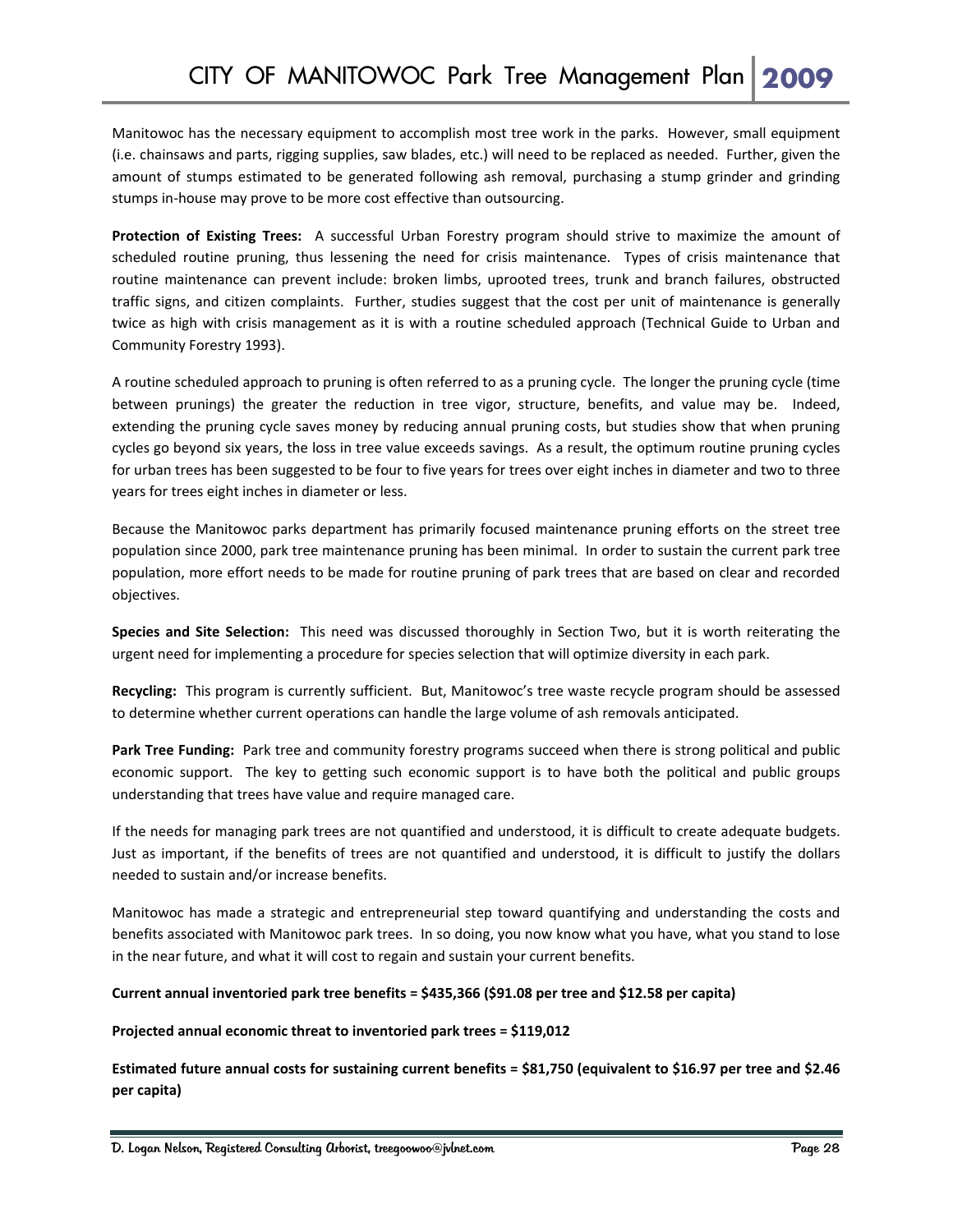Manitowoc has the necessary equipment to accomplish most tree work in the parks. However, small equipment (i.e. chainsaws and parts, rigging supplies, saw blades, etc.) will need to be replaced as needed. Further, given the amount of stumps estimated to be generated following ash removal, purchasing a stump grinder and grinding stumps in‐house may prove to be more cost effective than outsourcing.

**Protection of Existing Trees:**  A successful Urban Forestry program should strive to maximize the amount of scheduled routine pruning, thus lessening the need for crisis maintenance. Types of crisis maintenance that routine maintenance can prevent include: broken limbs, uprooted trees, trunk and branch failures, obstructed traffic signs, and citizen complaints. Further, studies suggest that the cost per unit of maintenance is generally twice as high with crisis management as it is with a routine scheduled approach (Technical Guide to Urban and Community Forestry 1993).

A routine scheduled approach to pruning is often referred to as a pruning cycle. The longer the pruning cycle (time between prunings) the greater the reduction in tree vigor, structure, benefits, and value may be. Indeed, extending the pruning cycle saves money by reducing annual pruning costs, but studies show that when pruning cycles go beyond six years, the loss in tree value exceeds savings. As a result, the optimum routine pruning cycles for urban trees has been suggested to be four to five years for trees over eight inches in diameter and two to three years for trees eight inches in diameter or less.

Because the Manitowoc parks department has primarily focused maintenance pruning efforts on the street tree population since 2000, park tree maintenance pruning has been minimal. In order to sustain the current park tree population, more effort needs to be made for routine pruning of park trees that are based on clear and recorded objectives.

**Species and Site Selection:**  This need was discussed thoroughly in Section Two, but it is worth reiterating the urgent need for implementing a procedure for species selection that will optimize diversity in each park.

**Recycling:** This program is currently sufficient. But, Manitowoc's tree waste recycle program should be assessed to determine whether current operations can handle the large volume of ash removals anticipated.

**Park Tree Funding:** Park tree and community forestry programs succeed when there is strong political and public economic support. The key to getting such economic support is to have both the political and public groups understanding that trees have value and require managed care.

If the needs for managing park trees are not quantified and understood, it is difficult to create adequate budgets. Just as important, if the benefits of trees are not quantified and understood, it is difficult to justify the dollars needed to sustain and/or increase benefits.

Manitowoc has made a strategic and entrepreneurial step toward quantifying and understanding the costs and benefits associated with Manitowoc park trees. In so doing, you now know what you have, what you stand to lose in the near future, and what it will cost to regain and sustain your current benefits.

#### **Current annual inventoried park tree benefits = \$435,366 (\$91.08 per tree and \$12.58 per capita)**

#### **Projected annual economic threat to inventoried park trees = \$119,012**

Estimated future annual costs for sustaining current benefits = \$81,750 (equivalent to \$16.97 per tree and \$2.46 **per capita)**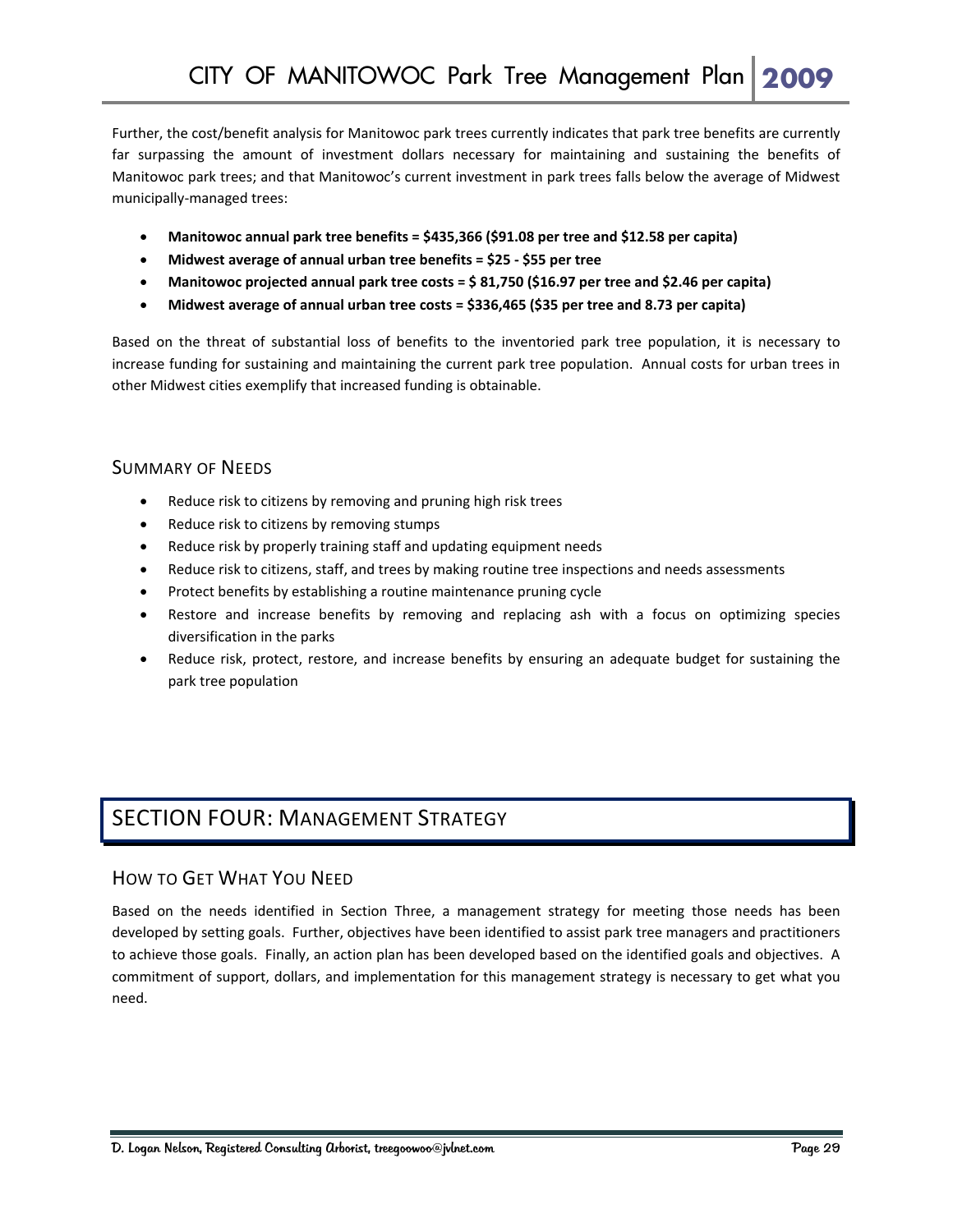Further, the cost/benefit analysis for Manitowoc park trees currently indicates that park tree benefits are currently far surpassing the amount of investment dollars necessary for maintaining and sustaining the benefits of Manitowoc park trees; and that Manitowoc's current investment in park trees falls below the average of Midwest municipally‐managed trees:

- **Manitowoc annual park tree benefits = \$435,366 (\$91.08 per tree and \$12.58 per capita)**
- **Midwest average of annual urban tree benefits = \$25 ‐ \$55 per tree**
- **Manitowoc projected annual park tree costs = \$ 81,750 (\$16.97 per tree and \$2.46 per capita)**
- **Midwest average of annual urban tree costs = \$336,465 (\$35 per tree and 8.73 per capita)**

Based on the threat of substantial loss of benefits to the inventoried park tree population, it is necessary to increase funding for sustaining and maintaining the current park tree population. Annual costs for urban trees in other Midwest cities exemplify that increased funding is obtainable.

#### SUMMARY OF NEEDS

- Reduce risk to citizens by removing and pruning high risk trees
- Reduce risk to citizens by removing stumps
- Reduce risk by properly training staff and updating equipment needs
- Reduce risk to citizens, staff, and trees by making routine tree inspections and needs assessments
- Protect benefits by establishing a routine maintenance pruning cycle
- Restore and increase benefits by removing and replacing ash with a focus on optimizing species diversification in the parks
- Reduce risk, protect, restore, and increase benefits by ensuring an adequate budget for sustaining the park tree population

## SECTION FOUR: MANAGEMENT STRATEGY

#### HOW TO GET WHAT YOU NEED

Based on the needs identified in Section Three, a management strategy for meeting those needs has been developed by setting goals. Further, objectives have been identified to assist park tree managers and practitioners to achieve those goals. Finally, an action plan has been developed based on the identified goals and objectives. A commitment of support, dollars, and implementation for this management strategy is necessary to get what you need.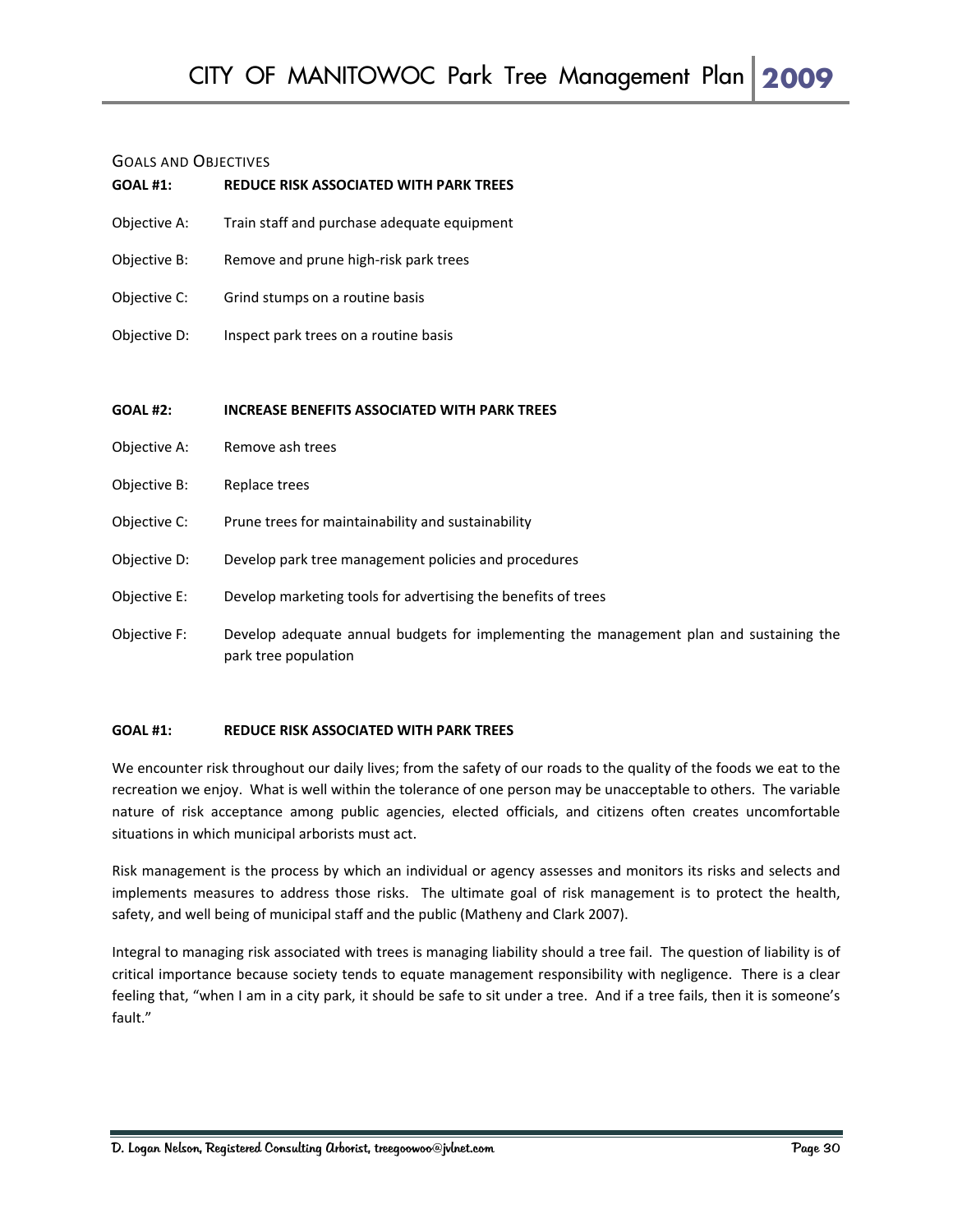#### GOALS AND OBJECTIVES

| <b>UUALJ AND UDJECTIVES</b><br><b>GOAL #1:</b> | <b>REDUCE RISK ASSOCIATED WITH PARK TREES</b>                 |
|------------------------------------------------|---------------------------------------------------------------|
| Objective A:                                   | Train staff and purchase adequate equipment                   |
| Objective B:                                   | Remove and prune high-risk park trees                         |
| Objective C:                                   | Grind stumps on a routine basis                               |
| Objective D:                                   | Inspect park trees on a routine basis                         |
|                                                |                                                               |
| <b>GOAL #2:</b>                                | <b>INCREASE BENEFITS ASSOCIATED WITH PARK TREES</b>           |
| Objective A:                                   | Remove ash trees                                              |
|                                                |                                                               |
| Objective B:                                   | Replace trees                                                 |
| Objective C:                                   | Prune trees for maintainability and sustainability            |
| Objective D:                                   | Develop park tree management policies and procedures          |
| Objective E:                                   | Develop marketing tools for advertising the benefits of trees |

Objective F: Develop adequate annual budgets for implementing the management plan and sustaining the park tree population

#### **GOAL #1: REDUCE RISK ASSOCIATED WITH PARK TREES**

We encounter risk throughout our daily lives; from the safety of our roads to the quality of the foods we eat to the recreation we enjoy. What is well within the tolerance of one person may be unacceptable to others. The variable nature of risk acceptance among public agencies, elected officials, and citizens often creates uncomfortable situations in which municipal arborists must act.

Risk management is the process by which an individual or agency assesses and monitors its risks and selects and implements measures to address those risks. The ultimate goal of risk management is to protect the health, safety, and well being of municipal staff and the public (Matheny and Clark 2007).

Integral to managing risk associated with trees is managing liability should a tree fail. The question of liability is of critical importance because society tends to equate management responsibility with negligence. There is a clear feeling that, "when I am in a city park, it should be safe to sit under a tree. And if a tree fails, then it is someone's fault."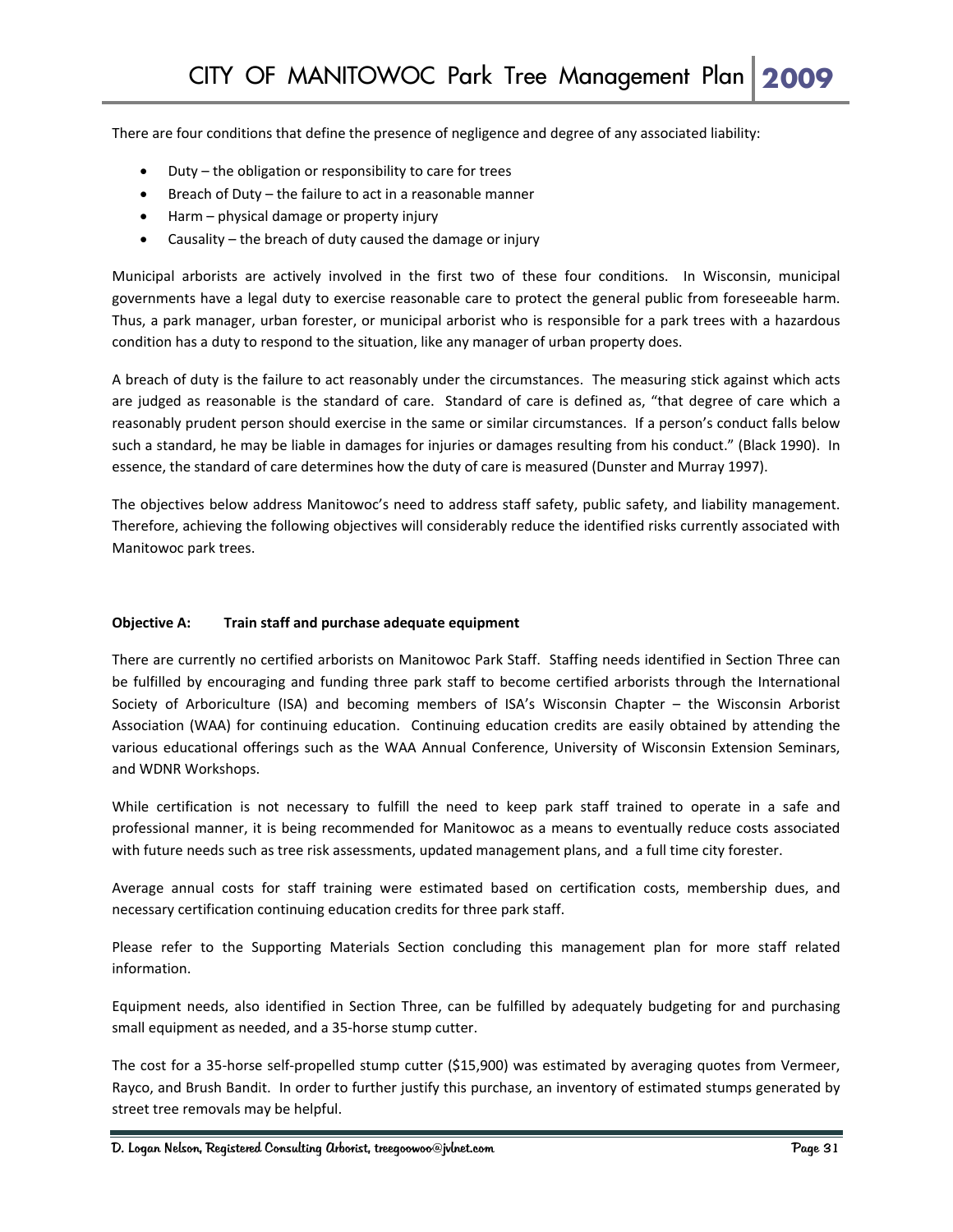There are four conditions that define the presence of negligence and degree of any associated liability:

- Duty the obligation or responsibility to care for trees
- Breach of Duty the failure to act in a reasonable manner
- Harm physical damage or property injury
- Causality the breach of duty caused the damage or injury

Municipal arborists are actively involved in the first two of these four conditions. In Wisconsin, municipal governments have a legal duty to exercise reasonable care to protect the general public from foreseeable harm. Thus, a park manager, urban forester, or municipal arborist who is responsible for a park trees with a hazardous condition has a duty to respond to the situation, like any manager of urban property does.

A breach of duty is the failure to act reasonably under the circumstances. The measuring stick against which acts are judged as reasonable is the standard of care. Standard of care is defined as, "that degree of care which a reasonably prudent person should exercise in the same or similar circumstances. If a person's conduct falls below such a standard, he may be liable in damages for injuries or damages resulting from his conduct." (Black 1990). In essence, the standard of care determines how the duty of care is measured (Dunster and Murray 1997).

The objectives below address Manitowoc's need to address staff safety, public safety, and liability management. Therefore, achieving the following objectives will considerably reduce the identified risks currently associated with Manitowoc park trees.

#### **Objective A: Train staff and purchase adequate equipment**

There are currently no certified arborists on Manitowoc Park Staff. Staffing needs identified in Section Three can be fulfilled by encouraging and funding three park staff to become certified arborists through the International Society of Arboriculture (ISA) and becoming members of ISA's Wisconsin Chapter – the Wisconsin Arborist Association (WAA) for continuing education. Continuing education credits are easily obtained by attending the various educational offerings such as the WAA Annual Conference, University of Wisconsin Extension Seminars, and WDNR Workshops.

While certification is not necessary to fulfill the need to keep park staff trained to operate in a safe and professional manner, it is being recommended for Manitowoc as a means to eventually reduce costs associated with future needs such as tree risk assessments, updated management plans, and a full time city forester.

Average annual costs for staff training were estimated based on certification costs, membership dues, and necessary certification continuing education credits for three park staff.

Please refer to the Supporting Materials Section concluding this management plan for more staff related information.

Equipment needs, also identified in Section Three, can be fulfilled by adequately budgeting for and purchasing small equipment as needed, and a 35‐horse stump cutter.

The cost for a 35-horse self-propelled stump cutter (\$15,900) was estimated by averaging quotes from Vermeer, Rayco, and Brush Bandit. In order to further justify this purchase, an inventory of estimated stumps generated by street tree removals may be helpful.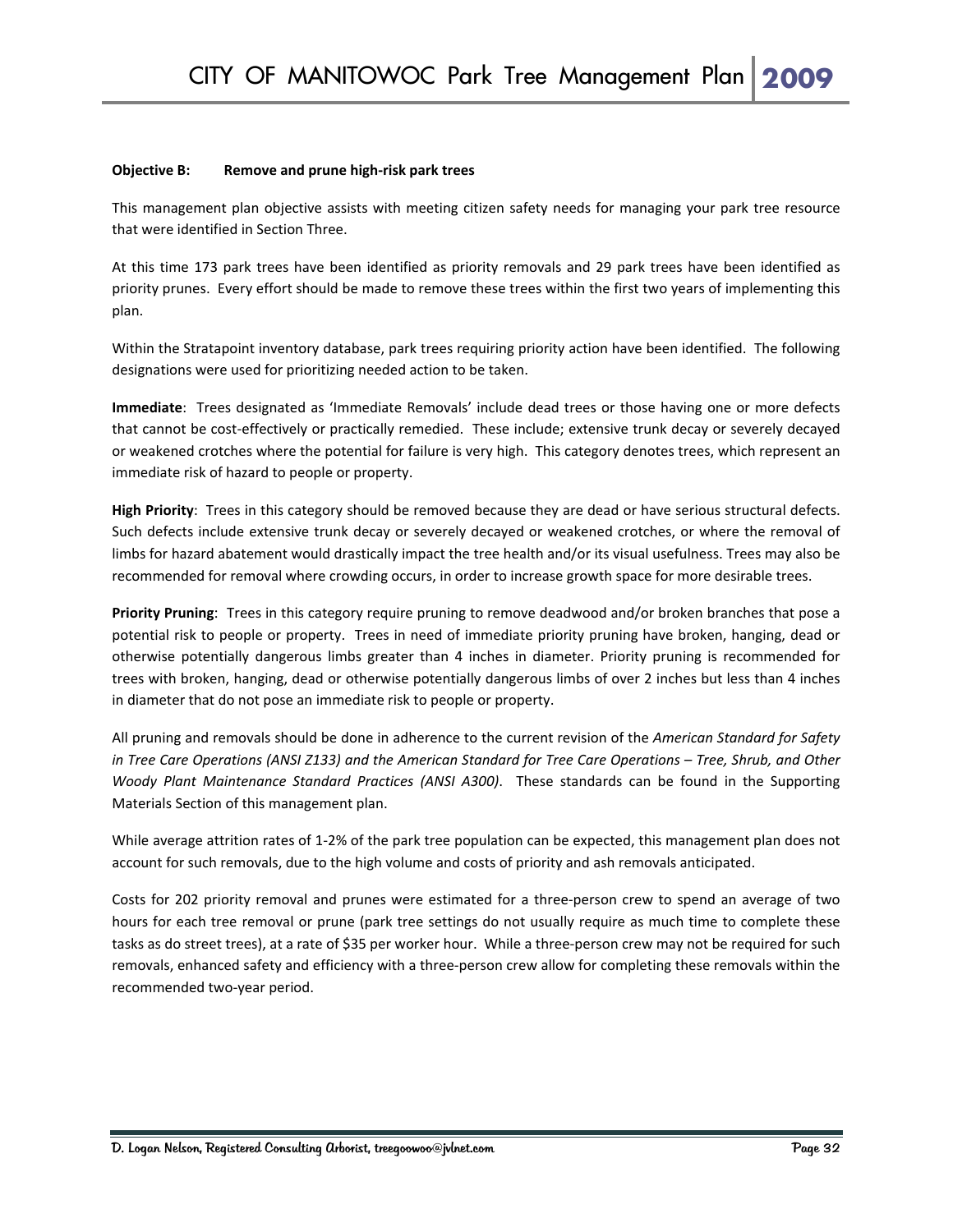#### **Objective B: Remove and prune high‐risk park trees**

This management plan objective assists with meeting citizen safety needs for managing your park tree resource that were identified in Section Three.

At this time 173 park trees have been identified as priority removals and 29 park trees have been identified as priority prunes. Every effort should be made to remove these trees within the first two years of implementing this plan.

Within the Stratapoint inventory database, park trees requiring priority action have been identified. The following designations were used for prioritizing needed action to be taken.

**Immediate**: Trees designated as 'Immediate Removals' include dead trees or those having one or more defects that cannot be cost‐effectively or practically remedied. These include; extensive trunk decay or severely decayed or weakened crotches where the potential for failure is very high. This category denotes trees, which represent an immediate risk of hazard to people or property.

**High Priority**: Trees in this category should be removed because they are dead or have serious structural defects. Such defects include extensive trunk decay or severely decayed or weakened crotches, or where the removal of limbs for hazard abatement would drastically impact the tree health and/or its visual usefulness. Trees may also be recommended for removal where crowding occurs, in order to increase growth space for more desirable trees.

**Priority Pruning**: Trees in this category require pruning to remove deadwood and/or broken branches that pose a potential risk to people or property. Trees in need of immediate priority pruning have broken, hanging, dead or otherwise potentially dangerous limbs greater than 4 inches in diameter. Priority pruning is recommended for trees with broken, hanging, dead or otherwise potentially dangerous limbs of over 2 inches but less than 4 inches in diameter that do not pose an immediate risk to people or property.

All pruning and removals should be done in adherence to the current revision of the *American Standard for Safety* in Tree Care Operations (ANSI Z133) and the American Standard for Tree Care Operations - Tree, Shrub, and Other *Woody Plant Maintenance Standard Practices (ANSI A300)*. These standards can be found in the Supporting Materials Section of this management plan.

While average attrition rates of 1-2% of the park tree population can be expected, this management plan does not account for such removals, due to the high volume and costs of priority and ash removals anticipated.

Costs for 202 priority removal and prunes were estimated for a three‐person crew to spend an average of two hours for each tree removal or prune (park tree settings do not usually require as much time to complete these tasks as do street trees), at a rate of \$35 per worker hour. While a three-person crew may not be required for such removals, enhanced safety and efficiency with a three-person crew allow for completing these removals within the recommended two‐year period.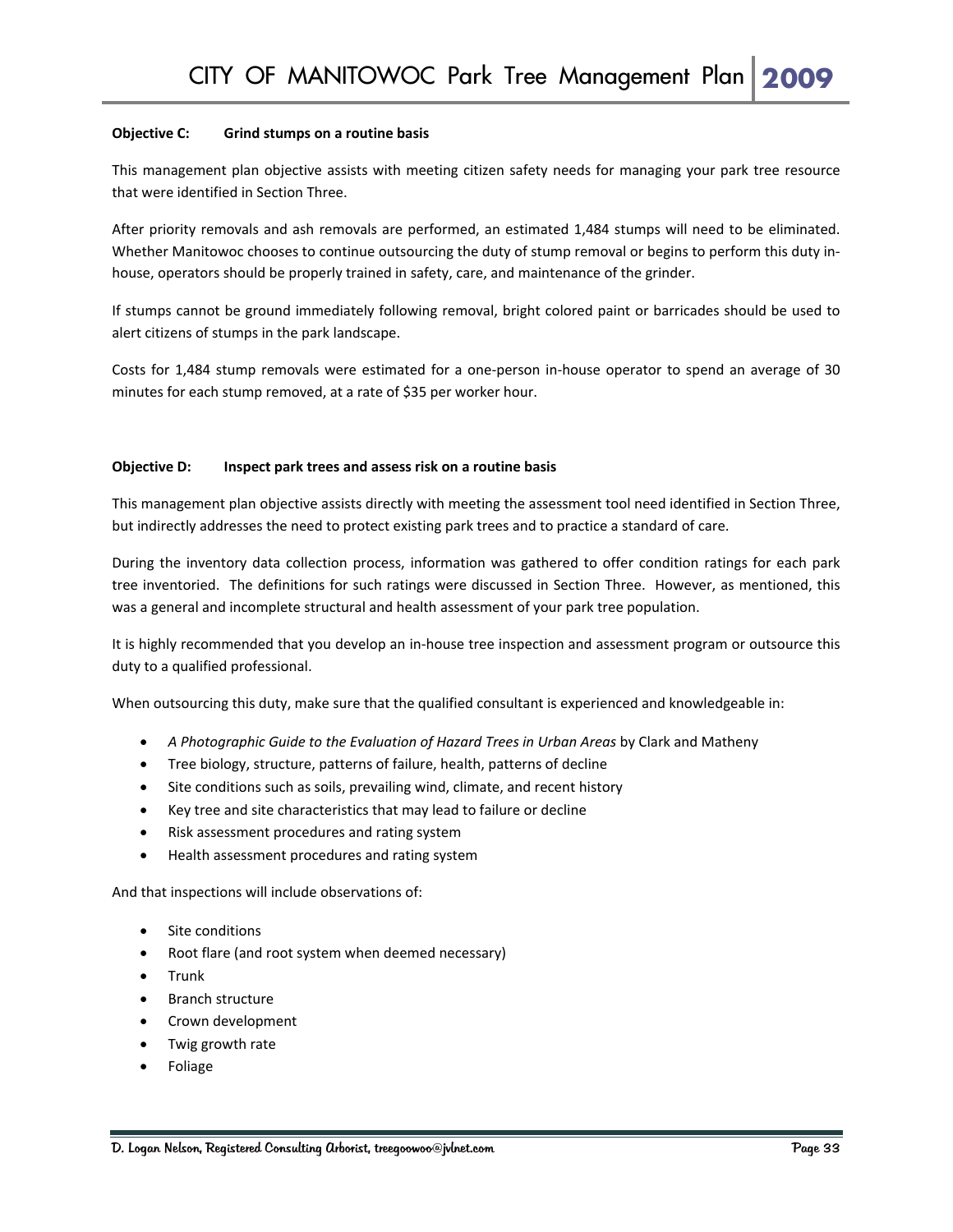#### **Objective C: Grind stumps on a routine basis**

This management plan objective assists with meeting citizen safety needs for managing your park tree resource that were identified in Section Three.

After priority removals and ash removals are performed, an estimated 1,484 stumps will need to be eliminated. Whether Manitowoc chooses to continue outsourcing the duty of stump removal or begins to perform this duty inhouse, operators should be properly trained in safety, care, and maintenance of the grinder.

If stumps cannot be ground immediately following removal, bright colored paint or barricades should be used to alert citizens of stumps in the park landscape.

Costs for 1,484 stump removals were estimated for a one‐person in‐house operator to spend an average of 30 minutes for each stump removed, at a rate of \$35 per worker hour.

#### **Objective D: Inspect park trees and assess risk on a routine basis**

This management plan objective assists directly with meeting the assessment tool need identified in Section Three, but indirectly addresses the need to protect existing park trees and to practice a standard of care.

During the inventory data collection process, information was gathered to offer condition ratings for each park tree inventoried. The definitions for such ratings were discussed in Section Three. However, as mentioned, this was a general and incomplete structural and health assessment of your park tree population.

It is highly recommended that you develop an in‐house tree inspection and assessment program or outsource this duty to a qualified professional.

When outsourcing this duty, make sure that the qualified consultant is experienced and knowledgeable in:

- *A Photographic Guide to the Evaluation of Hazard Trees in Urban Areas* by Clark and Matheny
- Tree biology, structure, patterns of failure, health, patterns of decline
- Site conditions such as soils, prevailing wind, climate, and recent history
- Key tree and site characteristics that may lead to failure or decline
- Risk assessment procedures and rating system
- Health assessment procedures and rating system

And that inspections will include observations of:

- Site conditions
- Root flare (and root system when deemed necessary)
- Trunk
- Branch structure
- Crown development
- Twig growth rate
- Foliage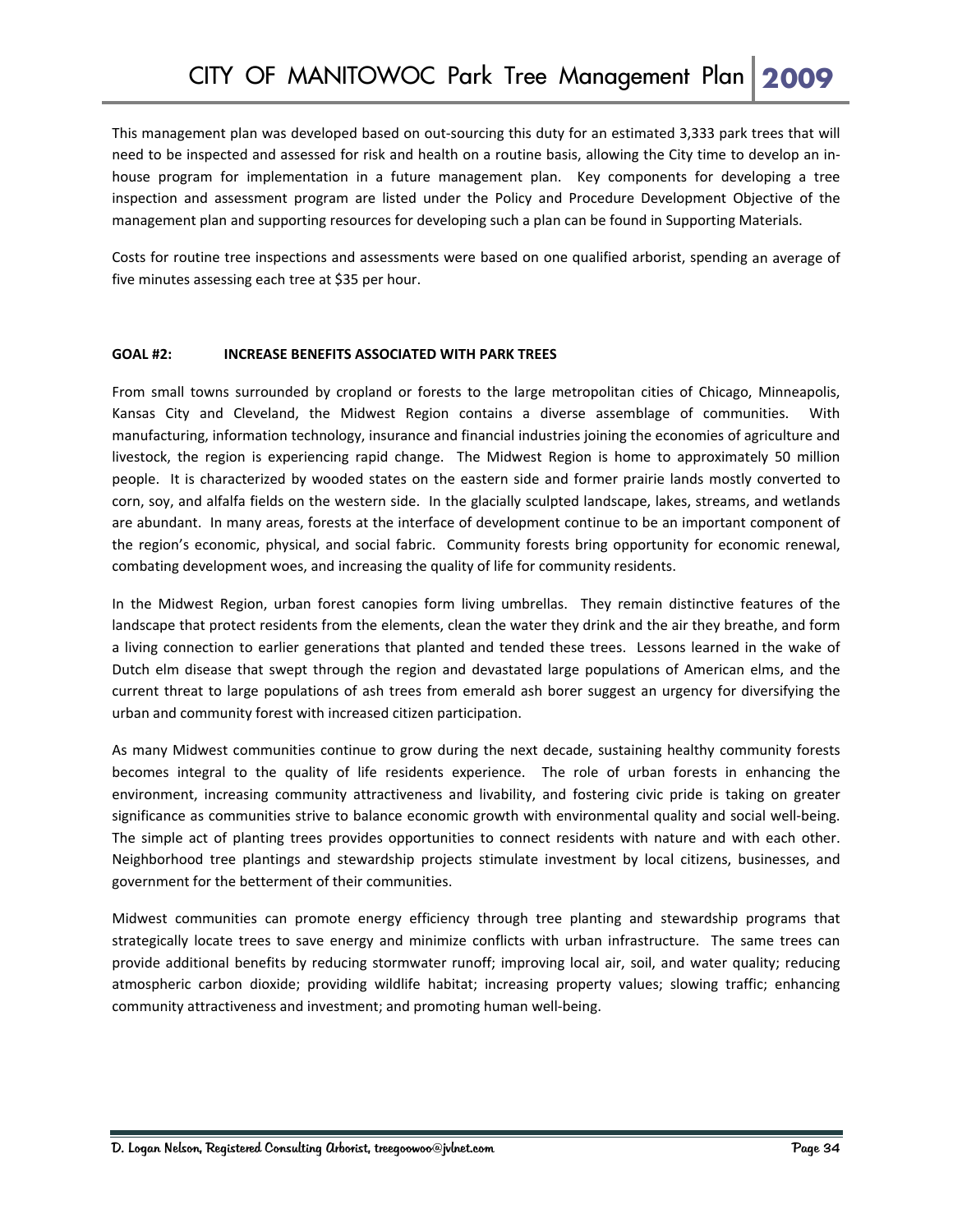This management plan was developed based on out‐sourcing this duty for an estimated 3,333 park trees that will need to be inspected and assessed for risk and health on a routine basis, allowing the City time to develop an in‐ house program for implementation in a future management plan. Key components for developing a tree inspection and assessment program are listed under the Policy and Procedure Development Objective of the management plan and supporting resources for developing such a plan can be found in Supporting Materials.

Costs for routine tree inspections and assessments were based on one qualified arborist, spending an average of five minutes assessing each tree at \$35 per hour.

#### **GOAL #2: INCREASE BENEFITS ASSOCIATED WITH PARK TREES**

From small towns surrounded by cropland or forests to the large metropolitan cities of Chicago, Minneapolis, Kansas City and Cleveland, the Midwest Region contains a diverse assemblage of communities. With manufacturing, information technology, insurance and financial industries joining the economies of agriculture and livestock, the region is experiencing rapid change. The Midwest Region is home to approximately 50 million people. It is characterized by wooded states on the eastern side and former prairie lands mostly converted to corn, soy, and alfalfa fields on the western side. In the glacially sculpted landscape, lakes, streams, and wetlands are abundant. In many areas, forests at the interface of development continue to be an important component of the region's economic, physical, and social fabric. Community forests bring opportunity for economic renewal, combating development woes, and increasing the quality of life for community residents.

In the Midwest Region, urban forest canopies form living umbrellas. They remain distinctive features of the landscape that protect residents from the elements, clean the water they drink and the air they breathe, and form a living connection to earlier generations that planted and tended these trees. Lessons learned in the wake of Dutch elm disease that swept through the region and devastated large populations of American elms, and the current threat to large populations of ash trees from emerald ash borer suggest an urgency for diversifying the urban and community forest with increased citizen participation.

As many Midwest communities continue to grow during the next decade, sustaining healthy community forests becomes integral to the quality of life residents experience. The role of urban forests in enhancing the environment, increasing community attractiveness and livability, and fostering civic pride is taking on greater significance as communities strive to balance economic growth with environmental quality and social well-being. The simple act of planting trees provides opportunities to connect residents with nature and with each other. Neighborhood tree plantings and stewardship projects stimulate investment by local citizens, businesses, and government for the betterment of their communities.

Midwest communities can promote energy efficiency through tree planting and stewardship programs that strategically locate trees to save energy and minimize conflicts with urban infrastructure. The same trees can provide additional benefits by reducing stormwater runoff; improving local air, soil, and water quality; reducing atmospheric carbon dioxide; providing wildlife habitat; increasing property values; slowing traffic; enhancing community attractiveness and investment; and promoting human well‐being.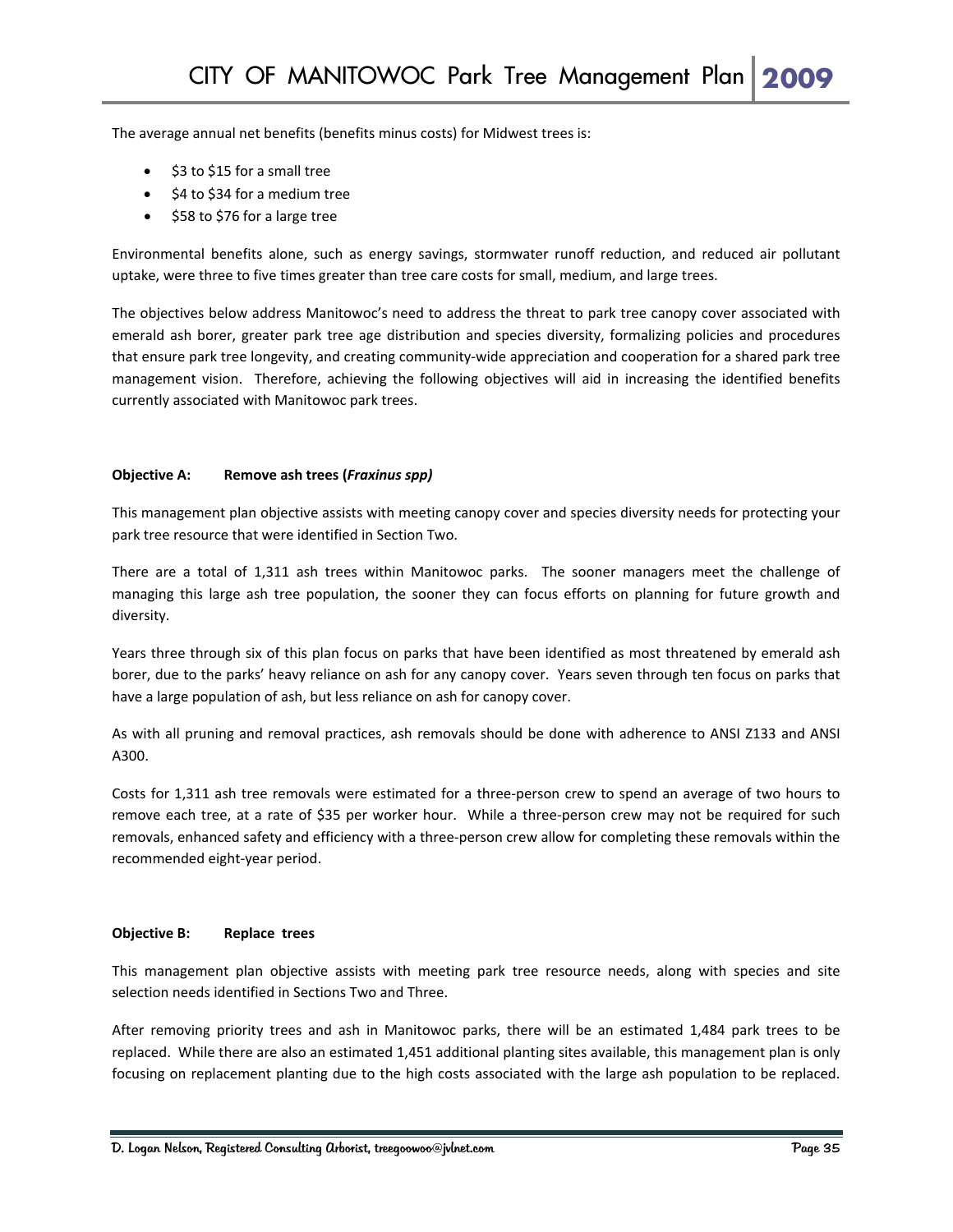The average annual net benefits (benefits minus costs) for Midwest trees is:

- \$3 to \$15 for a small tree
- \$4 to \$34 for a medium tree
- \$58 to \$76 for a large tree

Environmental benefits alone, such as energy savings, stormwater runoff reduction, and reduced air pollutant uptake, were three to five times greater than tree care costs for small, medium, and large trees.

The objectives below address Manitowoc's need to address the threat to park tree canopy cover associated with emerald ash borer, greater park tree age distribution and species diversity, formalizing policies and procedures that ensure park tree longevity, and creating community‐wide appreciation and cooperation for a shared park tree management vision. Therefore, achieving the following objectives will aid in increasing the identified benefits currently associated with Manitowoc park trees.

#### **Objective A: Remove ash trees (***Fraxinus spp)*

This management plan objective assists with meeting canopy cover and species diversity needs for protecting your park tree resource that were identified in Section Two.

There are a total of 1,311 ash trees within Manitowoc parks. The sooner managers meet the challenge of managing this large ash tree population, the sooner they can focus efforts on planning for future growth and diversity.

Years three through six of this plan focus on parks that have been identified as most threatened by emerald ash borer, due to the parks' heavy reliance on ash for any canopy cover. Years seven through ten focus on parks that have a large population of ash, but less reliance on ash for canopy cover.

As with all pruning and removal practices, ash removals should be done with adherence to ANSI Z133 and ANSI A300.

Costs for 1,311 ash tree removals were estimated for a three‐person crew to spend an average of two hours to remove each tree, at a rate of \$35 per worker hour. While a three‐person crew may not be required for such removals, enhanced safety and efficiency with a three‐person crew allow for completing these removals within the recommended eight‐year period.

#### **Objective B: Replace trees**

This management plan objective assists with meeting park tree resource needs, along with species and site selection needs identified in Sections Two and Three.

After removing priority trees and ash in Manitowoc parks, there will be an estimated 1,484 park trees to be replaced. While there are also an estimated 1,451 additional planting sites available, this management plan is only focusing on replacement planting due to the high costs associated with the large ash population to be replaced.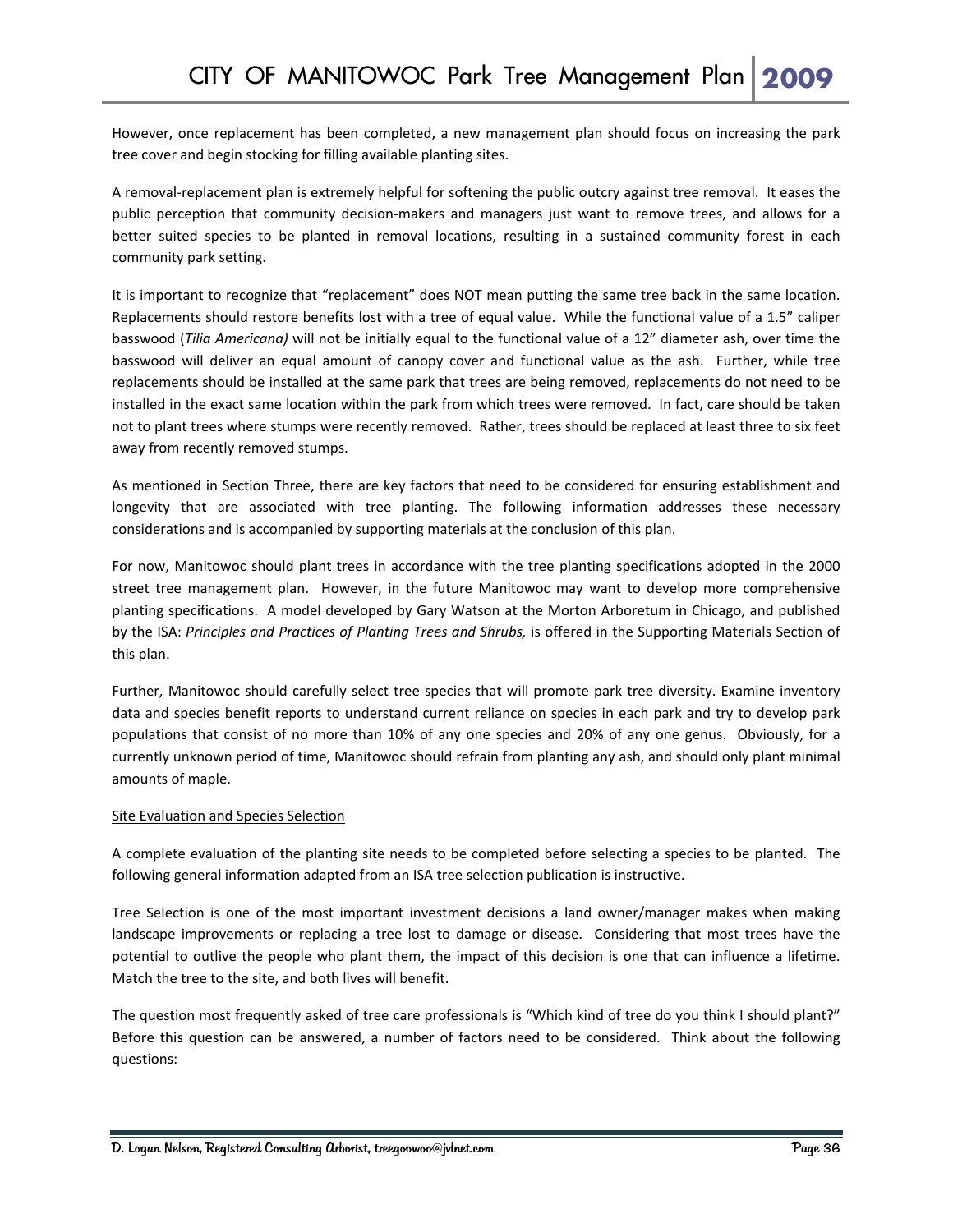However, once replacement has been completed, a new management plan should focus on increasing the park tree cover and begin stocking for filling available planting sites.

A removal‐replacement plan is extremely helpful for softening the public outcry against tree removal. It eases the public perception that community decision-makers and managers just want to remove trees, and allows for a better suited species to be planted in removal locations, resulting in a sustained community forest in each community park setting.

It is important to recognize that "replacement" does NOT mean putting the same tree back in the same location. Replacements should restore benefits lost with a tree of equal value. While the functional value of a 1.5" caliper basswood (*Tilia Americana)* will not be initially equal to the functional value of a 12" diameter ash, over time the basswood will deliver an equal amount of canopy cover and functional value as the ash. Further, while tree replacements should be installed at the same park that trees are being removed, replacements do not need to be installed in the exact same location within the park from which trees were removed. In fact, care should be taken not to plant trees where stumps were recently removed. Rather, trees should be replaced at least three to six feet away from recently removed stumps.

As mentioned in Section Three, there are key factors that need to be considered for ensuring establishment and longevity that are associated with tree planting. The following information addresses these necessary considerations and is accompanied by supporting materials at the conclusion of this plan.

For now, Manitowoc should plant trees in accordance with the tree planting specifications adopted in the 2000 street tree management plan. However, in the future Manitowoc may want to develop more comprehensive planting specifications. A model developed by Gary Watson at the Morton Arboretum in Chicago, and published by the ISA: *Principles and Practices of Planting Trees and Shrubs,* is offered in the Supporting Materials Section of this plan.

Further, Manitowoc should carefully select tree species that will promote park tree diversity. Examine inventory data and species benefit reports to understand current reliance on species in each park and try to develop park populations that consist of no more than 10% of any one species and 20% of any one genus. Obviously, for a currently unknown period of time, Manitowoc should refrain from planting any ash, and should only plant minimal amounts of maple.

#### Site Evaluation and Species Selection

A complete evaluation of the planting site needs to be completed before selecting a species to be planted. The following general information adapted from an ISA tree selection publication is instructive.

Tree Selection is one of the most important investment decisions a land owner/manager makes when making landscape improvements or replacing a tree lost to damage or disease. Considering that most trees have the potential to outlive the people who plant them, the impact of this decision is one that can influence a lifetime. Match the tree to the site, and both lives will benefit.

The question most frequently asked of tree care professionals is "Which kind of tree do you think I should plant?" Before this question can be answered, a number of factors need to be considered. Think about the following questions: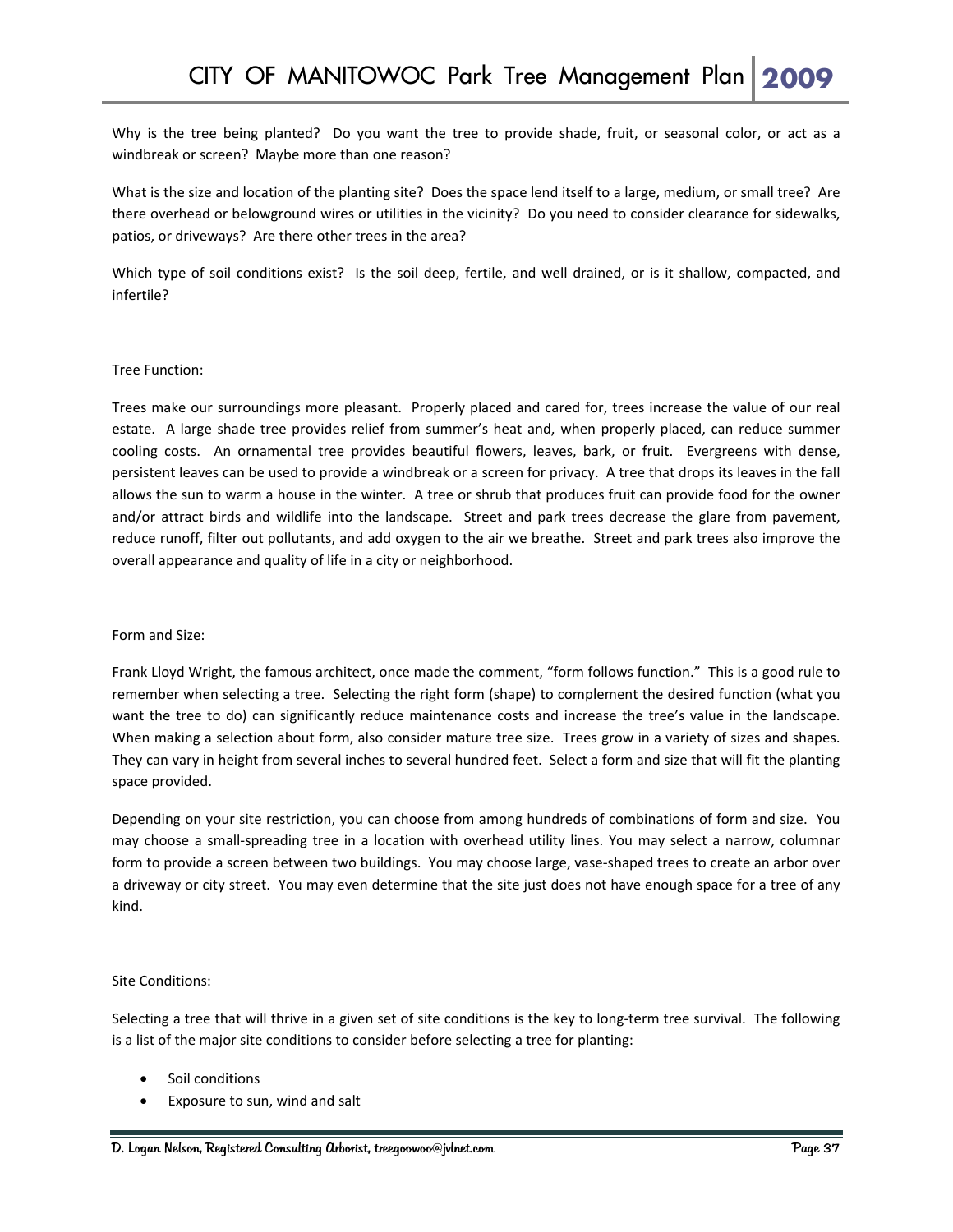Why is the tree being planted? Do you want the tree to provide shade, fruit, or seasonal color, or act as a windbreak or screen? Maybe more than one reason?

What is the size and location of the planting site? Does the space lend itself to a large, medium, or small tree? Are there overhead or belowground wires or utilities in the vicinity? Do you need to consider clearance for sidewalks, patios, or driveways? Are there other trees in the area?

Which type of soil conditions exist? Is the soil deep, fertile, and well drained, or is it shallow, compacted, and infertile?

#### Tree Function:

Trees make our surroundings more pleasant. Properly placed and cared for, trees increase the value of our real estate. A large shade tree provides relief from summer's heat and, when properly placed, can reduce summer cooling costs. An ornamental tree provides beautiful flowers, leaves, bark, or fruit. Evergreens with dense, persistent leaves can be used to provide a windbreak or a screen for privacy. A tree that drops its leaves in the fall allows the sun to warm a house in the winter. A tree or shrub that produces fruit can provide food for the owner and/or attract birds and wildlife into the landscape. Street and park trees decrease the glare from pavement, reduce runoff, filter out pollutants, and add oxygen to the air we breathe. Street and park trees also improve the overall appearance and quality of life in a city or neighborhood.

#### Form and Size:

Frank Lloyd Wright, the famous architect, once made the comment, "form follows function." This is a good rule to remember when selecting a tree. Selecting the right form (shape) to complement the desired function (what you want the tree to do) can significantly reduce maintenance costs and increase the tree's value in the landscape. When making a selection about form, also consider mature tree size. Trees grow in a variety of sizes and shapes. They can vary in height from several inches to several hundred feet. Select a form and size that will fit the planting space provided.

Depending on your site restriction, you can choose from among hundreds of combinations of form and size. You may choose a small‐spreading tree in a location with overhead utility lines. You may select a narrow, columnar form to provide a screen between two buildings. You may choose large, vase-shaped trees to create an arbor over a driveway or city street. You may even determine that the site just does not have enough space for a tree of any kind.

#### Site Conditions:

Selecting a tree that will thrive in a given set of site conditions is the key to long-term tree survival. The following is a list of the major site conditions to consider before selecting a tree for planting:

- Soil conditions
- Exposure to sun, wind and salt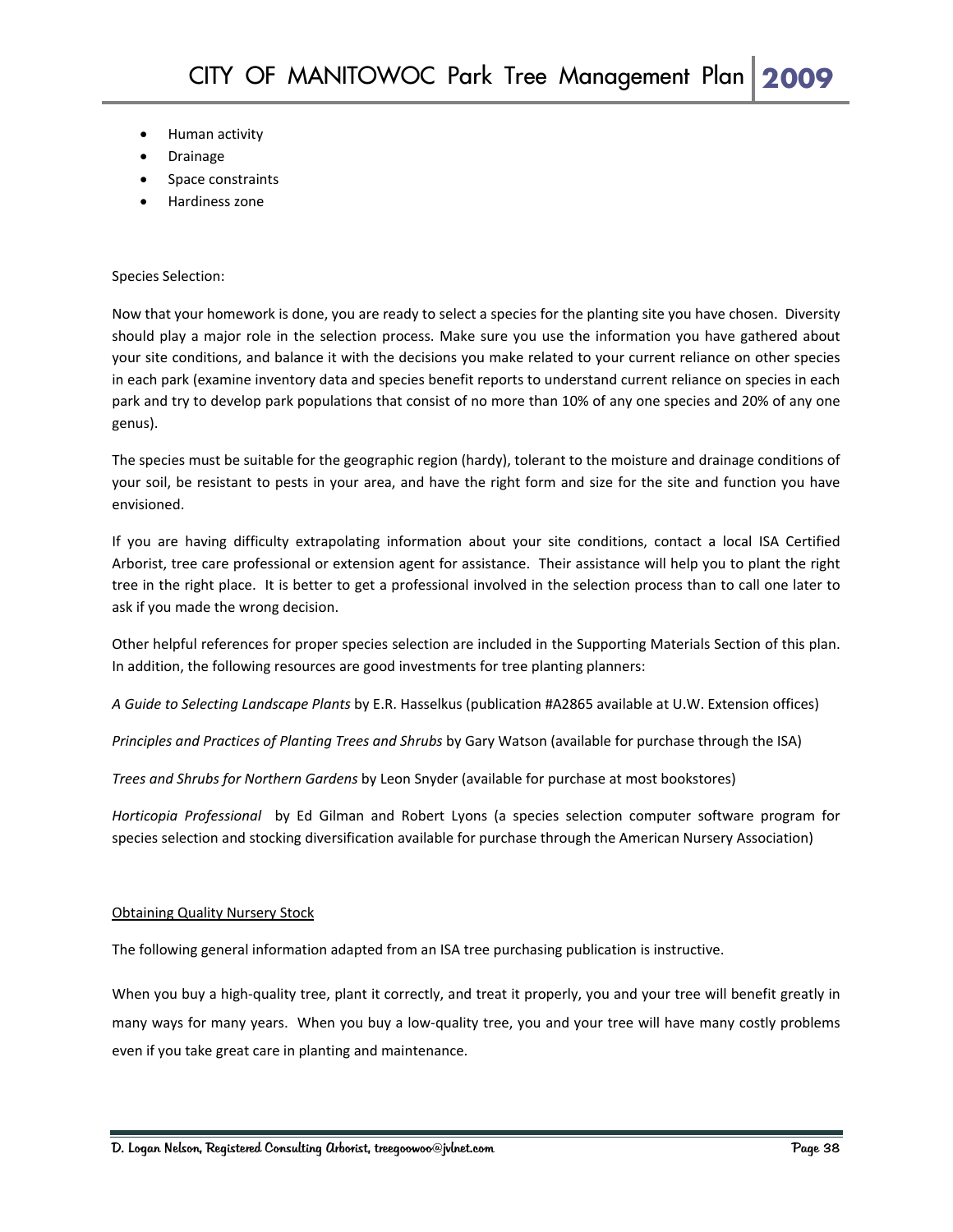- Human activity
- Drainage
- Space constraints
- Hardiness zone

#### Species Selection:

Now that your homework is done, you are ready to select a species for the planting site you have chosen. Diversity should play a major role in the selection process. Make sure you use the information you have gathered about your site conditions, and balance it with the decisions you make related to your current reliance on other species in each park (examine inventory data and species benefit reports to understand current reliance on species in each park and try to develop park populations that consist of no more than 10% of any one species and 20% of any one genus).

The species must be suitable for the geographic region (hardy), tolerant to the moisture and drainage conditions of your soil, be resistant to pests in your area, and have the right form and size for the site and function you have envisioned.

If you are having difficulty extrapolating information about your site conditions, contact a local ISA Certified Arborist, tree care professional or extension agent for assistance. Their assistance will help you to plant the right tree in the right place. It is better to get a professional involved in the selection process than to call one later to ask if you made the wrong decision.

Other helpful references for proper species selection are included in the Supporting Materials Section of this plan. In addition, the following resources are good investments for tree planting planners:

*A Guide to Selecting Landscape Plants* by E.R. Hasselkus (publication #A2865 available at U.W. Extension offices)

*Principles and Practices of Planting Trees and Shrubs* by Gary Watson (available for purchase through the ISA)

*Trees and Shrubs for Northern Gardens* by Leon Snyder (available for purchase at most bookstores)

*Horticopia Professional*  by Ed Gilman and Robert Lyons (a species selection computer software program for species selection and stocking diversification available for purchase through the American Nursery Association)

#### **Obtaining Quality Nursery Stock**

The following general information adapted from an ISA tree purchasing publication is instructive.

When you buy a high-quality tree, plant it correctly, and treat it properly, you and your tree will benefit greatly in many ways for many years. When you buy a low‐quality tree, you and your tree will have many costly problems even if you take great care in planting and maintenance.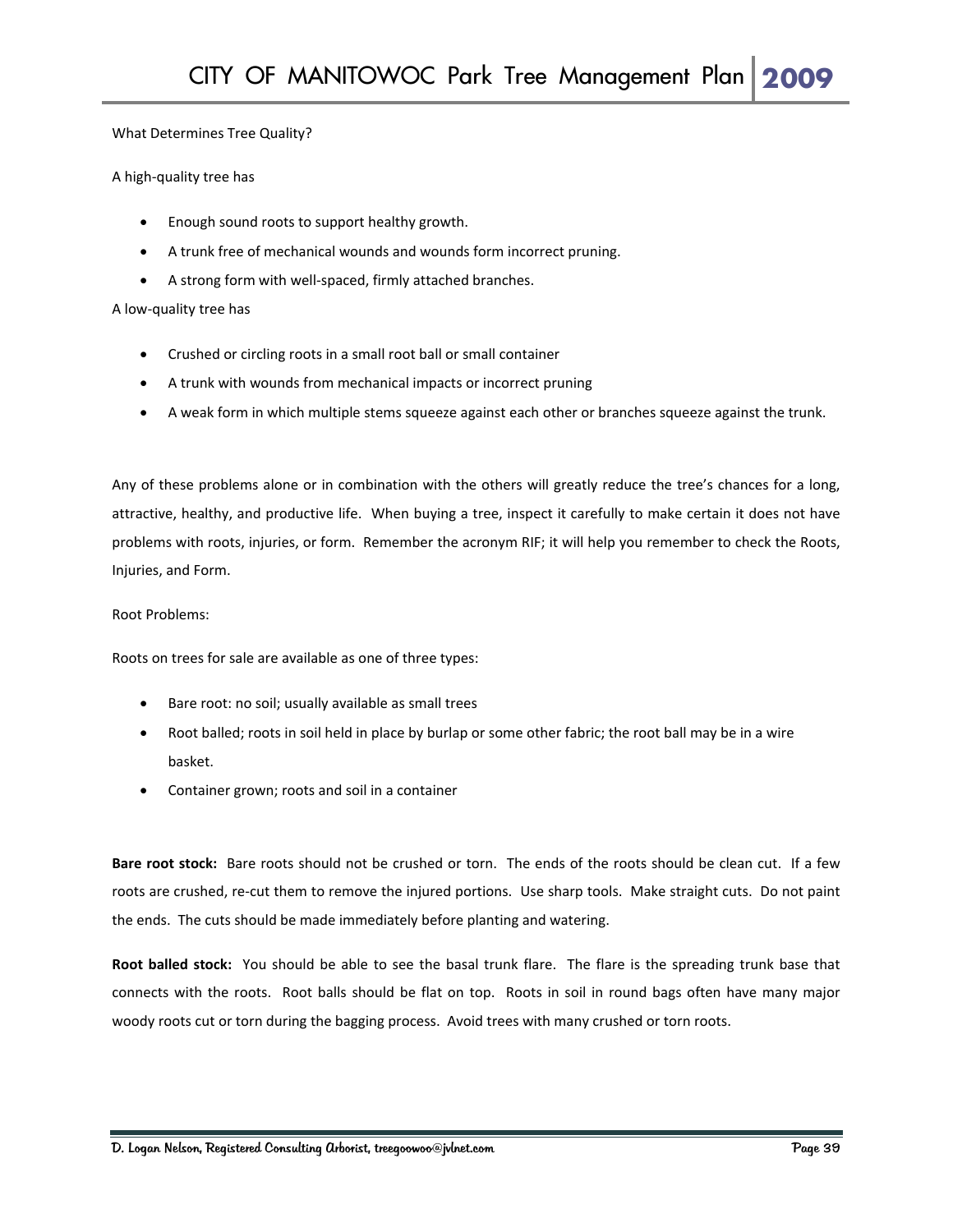#### What Determines Tree Quality?

#### A high‐quality tree has

- Enough sound roots to support healthy growth.
- A trunk free of mechanical wounds and wounds form incorrect pruning.
- A strong form with well‐spaced, firmly attached branches.

#### A low‐quality tree has

- Crushed or circling roots in a small root ball or small container
- A trunk with wounds from mechanical impacts or incorrect pruning
- A weak form in which multiple stems squeeze against each other or branches squeeze against the trunk.

Any of these problems alone or in combination with the others will greatly reduce the tree's chances for a long, attractive, healthy, and productive life. When buying a tree, inspect it carefully to make certain it does not have problems with roots, injuries, or form. Remember the acronym RIF; it will help you remember to check the Roots, Injuries, and Form.

#### Root Problems:

Roots on trees for sale are available as one of three types:

- Bare root: no soil; usually available as small trees
- Root balled; roots in soil held in place by burlap or some other fabric; the root ball may be in a wire basket.
- Container grown; roots and soil in a container

Bare root stock: Bare roots should not be crushed or torn. The ends of the roots should be clean cut. If a few roots are crushed, re-cut them to remove the injured portions. Use sharp tools. Make straight cuts. Do not paint the ends. The cuts should be made immediately before planting and watering.

**Root balled stock:** You should be able to see the basal trunk flare. The flare is the spreading trunk base that connects with the roots. Root balls should be flat on top. Roots in soil in round bags often have many major woody roots cut or torn during the bagging process. Avoid trees with many crushed or torn roots.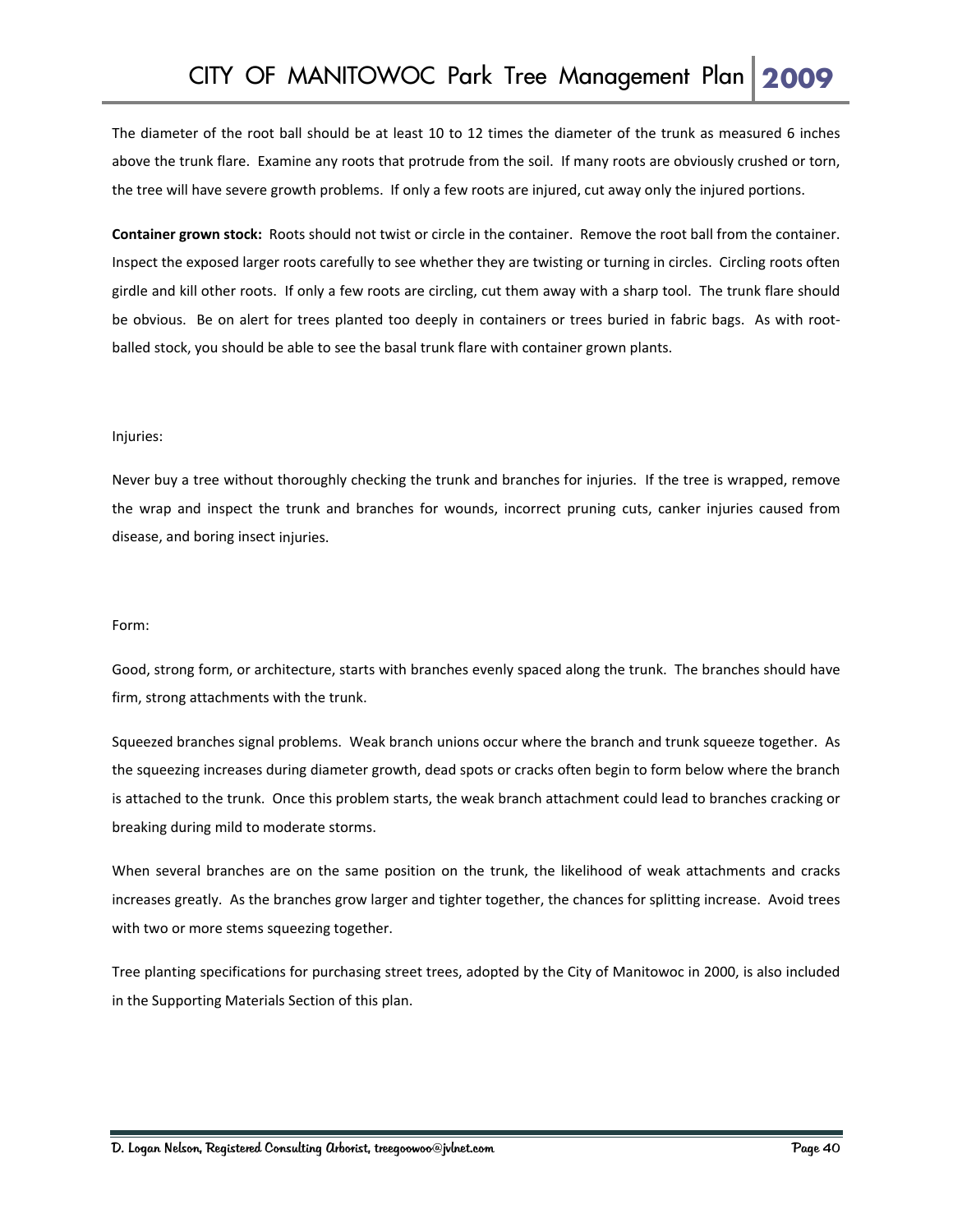The diameter of the root ball should be at least 10 to 12 times the diameter of the trunk as measured 6 inches above the trunk flare. Examine any roots that protrude from the soil. If many roots are obviously crushed or torn, the tree will have severe growth problems. If only a few roots are injured, cut away only the injured portions.

**Container grown stock:** Roots should not twist or circle in the container. Remove the root ball from the container. Inspect the exposed larger roots carefully to see whether they are twisting or turning in circles. Circling roots often girdle and kill other roots. If only a few roots are circling, cut them away with a sharp tool. The trunk flare should be obvious. Be on alert for trees planted too deeply in containers or trees buried in fabric bags. As with rootballed stock, you should be able to see the basal trunk flare with container grown plants.

#### Injuries:

Never buy a tree without thoroughly checking the trunk and branches for injuries. If the tree is wrapped, remove the wrap and inspect the trunk and branches for wounds, incorrect pruning cuts, canker injuries caused from disease, and boring insect injuries.

#### Form:

Good, strong form, or architecture, starts with branches evenly spaced along the trunk. The branches should have firm, strong attachments with the trunk.

Squeezed branches signal problems. Weak branch unions occur where the branch and trunk squeeze together. As the squeezing increases during diameter growth, dead spots or cracks often begin to form below where the branch is attached to the trunk. Once this problem starts, the weak branch attachment could lead to branches cracking or breaking during mild to moderate storms.

When several branches are on the same position on the trunk, the likelihood of weak attachments and cracks increases greatly. As the branches grow larger and tighter together, the chances for splitting increase. Avoid trees with two or more stems squeezing together.

Tree planting specifications for purchasing street trees, adopted by the City of Manitowoc in 2000, is also included in the Supporting Materials Section of this plan.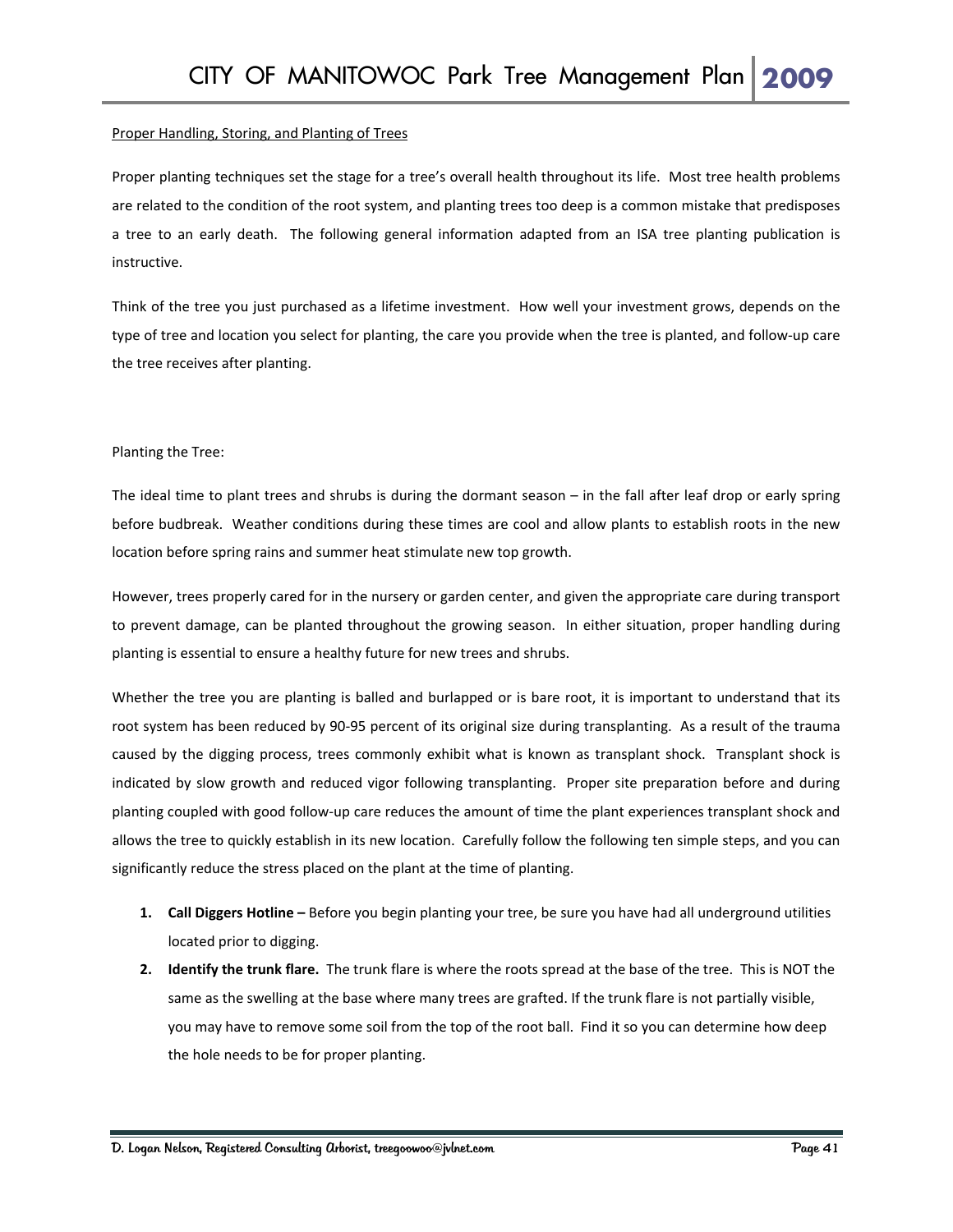#### Proper Handling, Storing, and Planting of Trees

Proper planting techniques set the stage for a tree's overall health throughout its life. Most tree health problems are related to the condition of the root system, and planting trees too deep is a common mistake that predisposes a tree to an early death. The following general information adapted from an ISA tree planting publication is instructive.

Think of the tree you just purchased as a lifetime investment. How well your investment grows, depends on the type of tree and location you select for planting, the care you provide when the tree is planted, and follow‐up care the tree receives after planting.

#### Planting the Tree:

The ideal time to plant trees and shrubs is during the dormant season – in the fall after leaf drop or early spring before budbreak. Weather conditions during these times are cool and allow plants to establish roots in the new location before spring rains and summer heat stimulate new top growth.

However, trees properly cared for in the nursery or garden center, and given the appropriate care during transport to prevent damage, can be planted throughout the growing season. In either situation, proper handling during planting is essential to ensure a healthy future for new trees and shrubs.

Whether the tree you are planting is balled and burlapped or is bare root, it is important to understand that its root system has been reduced by 90‐95 percent of its original size during transplanting. As a result of the trauma caused by the digging process, trees commonly exhibit what is known as transplant shock. Transplant shock is indicated by slow growth and reduced vigor following transplanting. Proper site preparation before and during planting coupled with good follow‐up care reduces the amount of time the plant experiences transplant shock and allows the tree to quickly establish in its new location. Carefully follow the following ten simple steps, and you can significantly reduce the stress placed on the plant at the time of planting.

- **1. Call Diggers Hotline –** Before you begin planting your tree, be sure you have had all underground utilities located prior to digging.
- **2. Identify the trunk flare.** The trunk flare is where the roots spread at the base of the tree. This is NOT the same as the swelling at the base where many trees are grafted. If the trunk flare is not partially visible, you may have to remove some soil from the top of the root ball. Find it so you can determine how deep the hole needs to be for proper planting.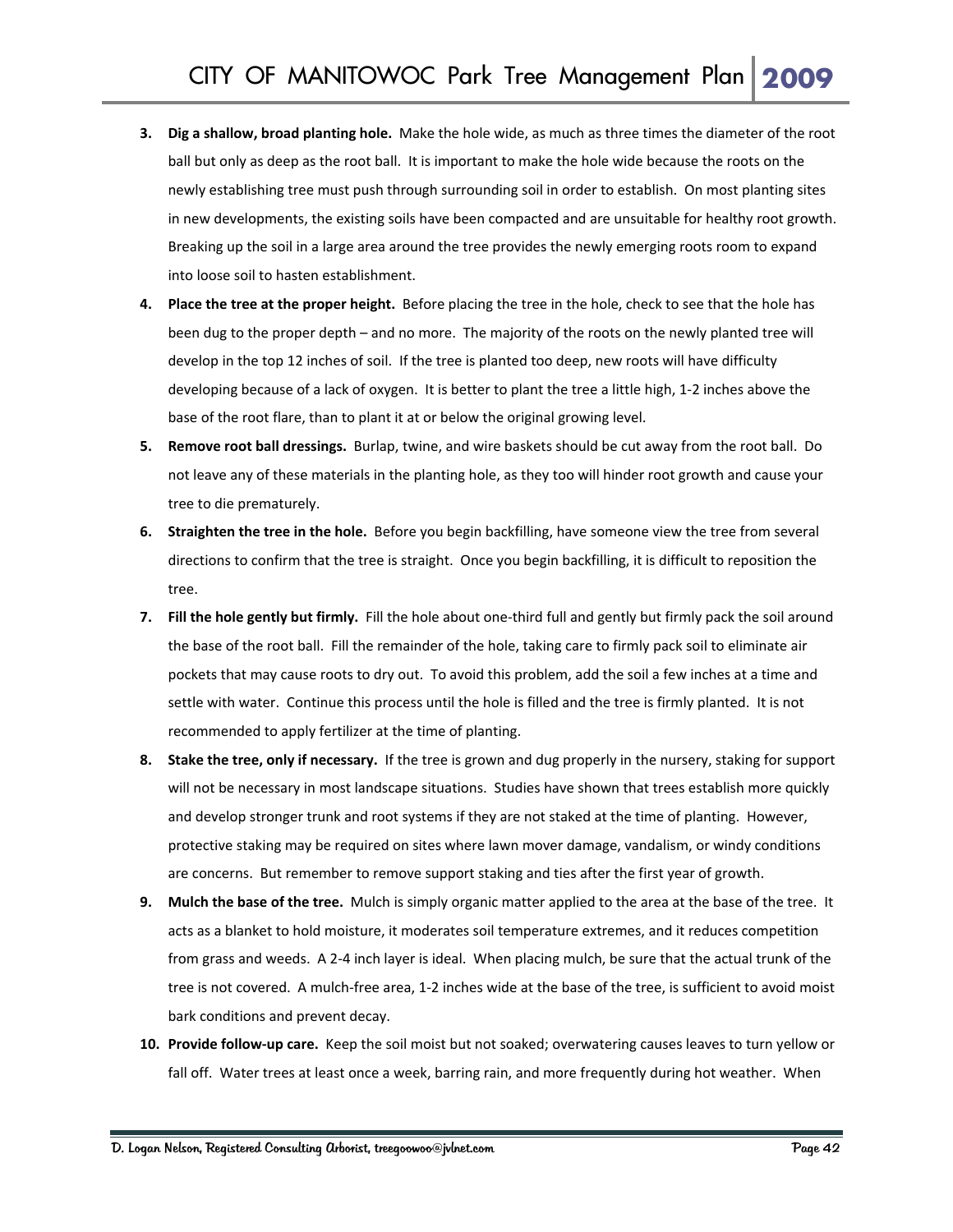- **3. Dig a shallow, broad planting hole.** Make the hole wide, as much as three times the diameter of the root ball but only as deep as the root ball. It is important to make the hole wide because the roots on the newly establishing tree must push through surrounding soil in order to establish. On most planting sites in new developments, the existing soils have been compacted and are unsuitable for healthy root growth. Breaking up the soil in a large area around the tree provides the newly emerging roots room to expand into loose soil to hasten establishment.
- **4. Place the tree at the proper height.** Before placing the tree in the hole, check to see that the hole has been dug to the proper depth – and no more. The majority of the roots on the newly planted tree will develop in the top 12 inches of soil. If the tree is planted too deep, new roots will have difficulty developing because of a lack of oxygen. It is better to plant the tree a little high, 1‐2 inches above the base of the root flare, than to plant it at or below the original growing level.
- **5. Remove root ball dressings.** Burlap, twine, and wire baskets should be cut away from the root ball. Do not leave any of these materials in the planting hole, as they too will hinder root growth and cause your tree to die prematurely.
- **6. Straighten the tree in the hole.** Before you begin backfilling, have someone view the tree from several directions to confirm that the tree is straight. Once you begin backfilling, it is difficult to reposition the tree.
- **7. Fill the hole gently but firmly.** Fill the hole about one‐third full and gently but firmly pack the soil around the base of the root ball. Fill the remainder of the hole, taking care to firmly pack soil to eliminate air pockets that may cause roots to dry out. To avoid this problem, add the soil a few inches at a time and settle with water. Continue this process until the hole is filled and the tree is firmly planted. It is not recommended to apply fertilizer at the time of planting.
- **8. Stake the tree, only if necessary.** If the tree is grown and dug properly in the nursery, staking for support will not be necessary in most landscape situations. Studies have shown that trees establish more quickly and develop stronger trunk and root systems if they are not staked at the time of planting. However, protective staking may be required on sites where lawn mover damage, vandalism, or windy conditions are concerns. But remember to remove support staking and ties after the first year of growth.
- **9. Mulch the base of the tree.** Mulch is simply organic matter applied to the area at the base of the tree. It acts as a blanket to hold moisture, it moderates soil temperature extremes, and it reduces competition from grass and weeds. A 2‐4 inch layer is ideal. When placing mulch, be sure that the actual trunk of the tree is not covered. A mulch‐free area, 1‐2 inches wide at the base of the tree, is sufficient to avoid moist bark conditions and prevent decay.
- **10. Provide follow‐up care.** Keep the soil moist but not soaked; overwatering causes leaves to turn yellow or fall off. Water trees at least once a week, barring rain, and more frequently during hot weather. When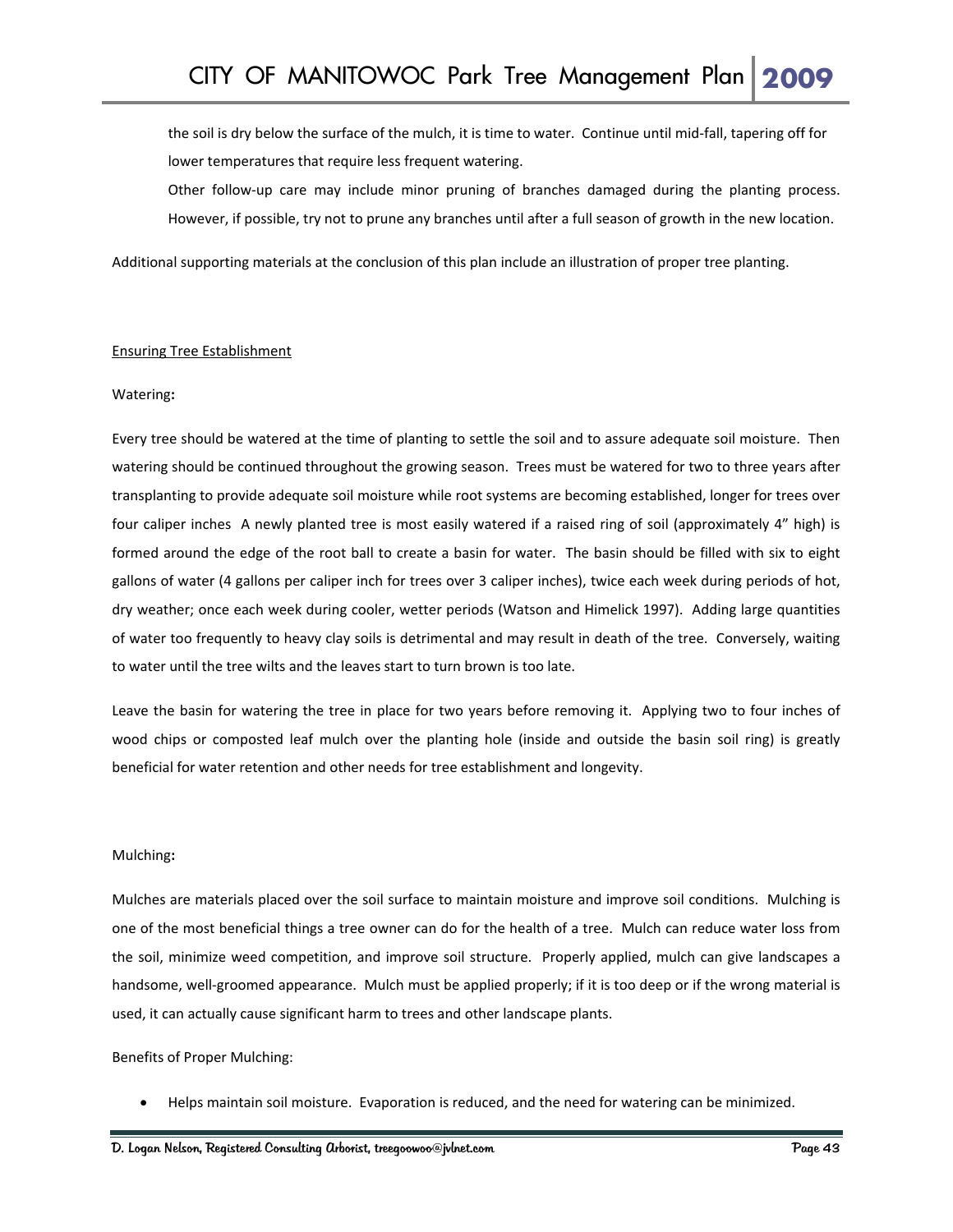the soil is dry below the surface of the mulch, it is time to water. Continue until mid‐fall, tapering off for lower temperatures that require less frequent watering.

Other follow‐up care may include minor pruning of branches damaged during the planting process. However, if possible, try not to prune any branches until after a full season of growth in the new location.

Additional supporting materials at the conclusion of this plan include an illustration of proper tree planting.

#### Ensuring Tree Establishment

#### Watering**:**

Every tree should be watered at the time of planting to settle the soil and to assure adequate soil moisture. Then watering should be continued throughout the growing season. Trees must be watered for two to three years after transplanting to provide adequate soil moisture while root systems are becoming established, longer for trees over four caliper inches A newly planted tree is most easily watered if a raised ring of soil (approximately 4" high) is formed around the edge of the root ball to create a basin for water. The basin should be filled with six to eight gallons of water (4 gallons per caliper inch for trees over 3 caliper inches), twice each week during periods of hot, dry weather; once each week during cooler, wetter periods (Watson and Himelick 1997). Adding large quantities of water too frequently to heavy clay soils is detrimental and may result in death of the tree. Conversely, waiting to water until the tree wilts and the leaves start to turn brown is too late.

Leave the basin for watering the tree in place for two years before removing it. Applying two to four inches of wood chips or composted leaf mulch over the planting hole (inside and outside the basin soil ring) is greatly beneficial for water retention and other needs for tree establishment and longevity.

#### Mulching**:**

Mulches are materials placed over the soil surface to maintain moisture and improve soil conditions. Mulching is one of the most beneficial things a tree owner can do for the health of a tree. Mulch can reduce water loss from the soil, minimize weed competition, and improve soil structure. Properly applied, mulch can give landscapes a handsome, well-groomed appearance. Mulch must be applied properly; if it is too deep or if the wrong material is used, it can actually cause significant harm to trees and other landscape plants.

Benefits of Proper Mulching:

• Helps maintain soil moisture. Evaporation is reduced, and the need for watering can be minimized.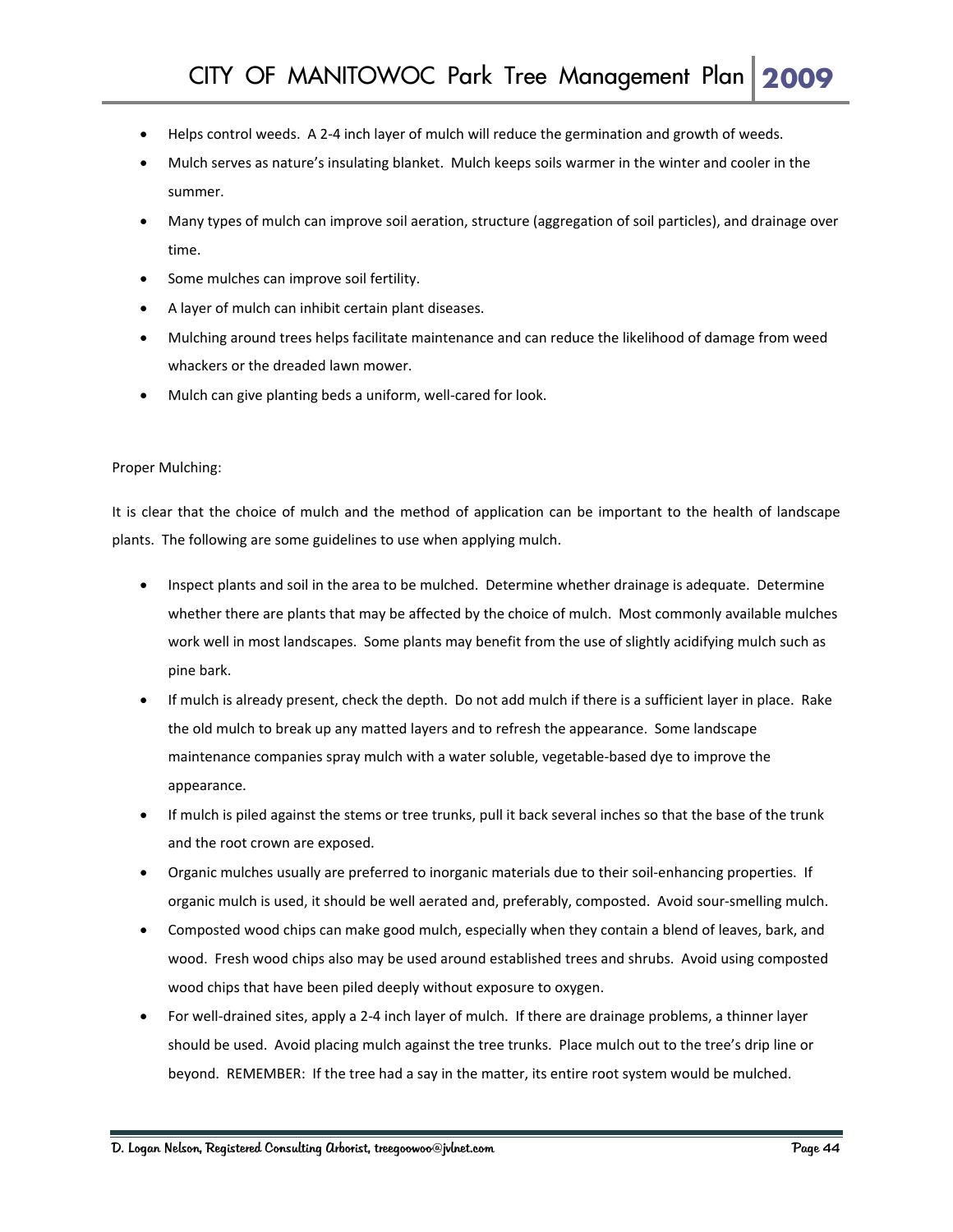- Helps control weeds. A 2-4 inch layer of mulch will reduce the germination and growth of weeds.
- Mulch serves as nature's insulating blanket. Mulch keeps soils warmer in the winter and cooler in the summer.
- Many types of mulch can improve soil aeration, structure (aggregation of soil particles), and drainage over time.
- Some mulches can improve soil fertility.
- A layer of mulch can inhibit certain plant diseases.
- Mulching around trees helps facilitate maintenance and can reduce the likelihood of damage from weed whackers or the dreaded lawn mower.
- Mulch can give planting beds a uniform, well-cared for look.

#### Proper Mulching:

It is clear that the choice of mulch and the method of application can be important to the health of landscape plants. The following are some guidelines to use when applying mulch.

- Inspect plants and soil in the area to be mulched. Determine whether drainage is adequate. Determine whether there are plants that may be affected by the choice of mulch. Most commonly available mulches work well in most landscapes. Some plants may benefit from the use of slightly acidifying mulch such as pine bark.
- If mulch is already present, check the depth. Do not add mulch if there is a sufficient layer in place. Rake the old mulch to break up any matted layers and to refresh the appearance. Some landscape maintenance companies spray mulch with a water soluble, vegetable‐based dye to improve the appearance.
- If mulch is piled against the stems or tree trunks, pull it back several inches so that the base of the trunk and the root crown are exposed.
- Organic mulches usually are preferred to inorganic materials due to their soil‐enhancing properties. If organic mulch is used, it should be well aerated and, preferably, composted. Avoid sour‐smelling mulch.
- Composted wood chips can make good mulch, especially when they contain a blend of leaves, bark, and wood. Fresh wood chips also may be used around established trees and shrubs. Avoid using composted wood chips that have been piled deeply without exposure to oxygen.
- For well‐drained sites, apply a 2‐4 inch layer of mulch. If there are drainage problems, a thinner layer should be used. Avoid placing mulch against the tree trunks. Place mulch out to the tree's drip line or beyond. REMEMBER: If the tree had a say in the matter, its entire root system would be mulched.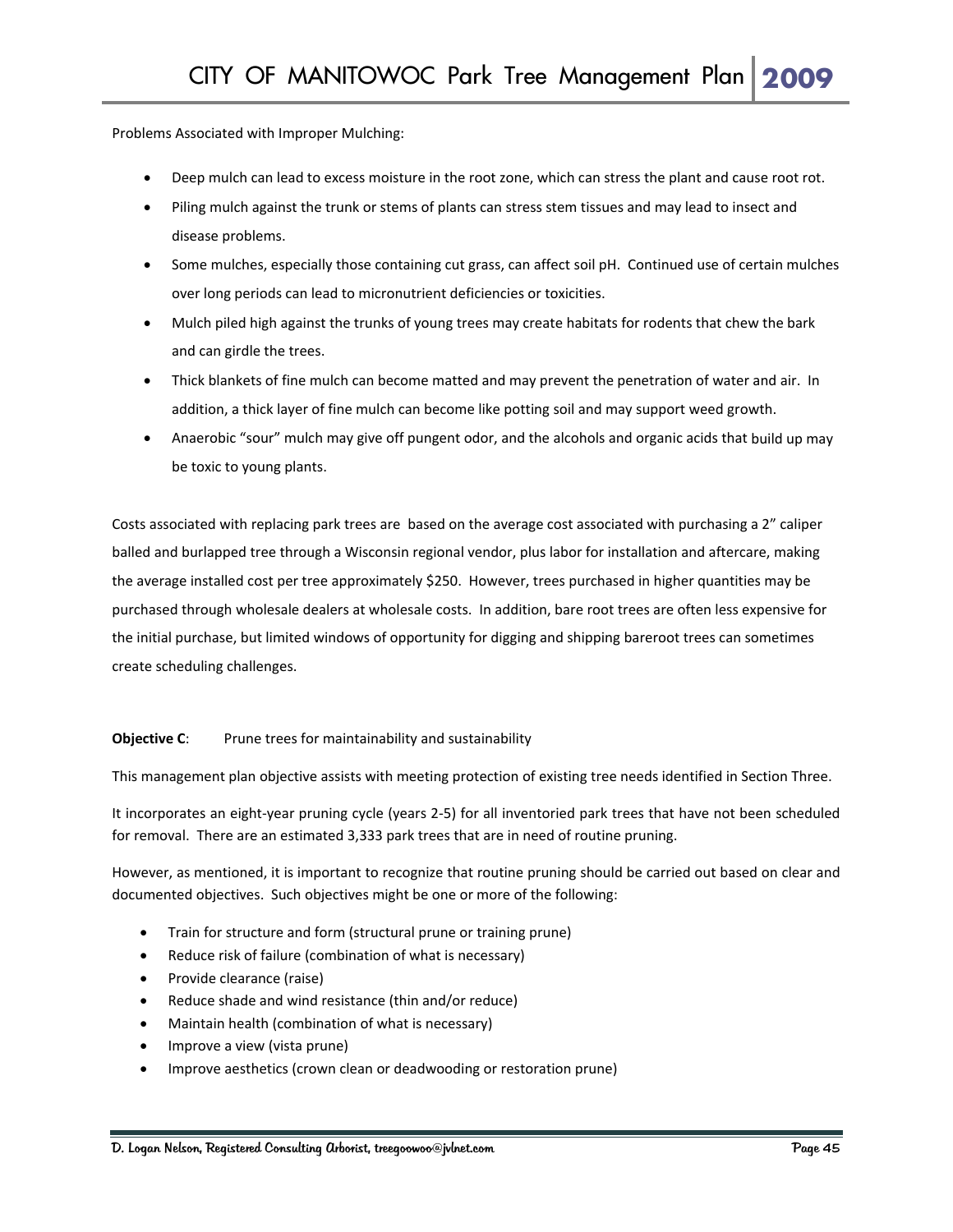Problems Associated with Improper Mulching:

- Deep mulch can lead to excess moisture in the root zone, which can stress the plant and cause root rot.
- Piling mulch against the trunk or stems of plants can stress stem tissues and may lead to insect and disease problems.
- Some mulches, especially those containing cut grass, can affect soil pH. Continued use of certain mulches over long periods can lead to micronutrient deficiencies or toxicities.
- Mulch piled high against the trunks of young trees may create habitats for rodents that chew the bark and can girdle the trees.
- Thick blankets of fine mulch can become matted and may prevent the penetration of water and air. In addition, a thick layer of fine mulch can become like potting soil and may support weed growth.
- Anaerobic "sour" mulch may give off pungent odor, and the alcohols and organic acids that build up may be toxic to young plants.

Costs associated with replacing park trees are based on the average cost associated with purchasing a 2" caliper balled and burlapped tree through a Wisconsin regional vendor, plus labor for installation and aftercare, making the average installed cost per tree approximately \$250. However, trees purchased in higher quantities may be purchased through wholesale dealers at wholesale costs. In addition, bare root trees are often less expensive for the initial purchase, but limited windows of opportunity for digging and shipping bareroot trees can sometimes create scheduling challenges.

#### **Objective C:** Prune trees for maintainability and sustainability

This management plan objective assists with meeting protection of existing tree needs identified in Section Three.

It incorporates an eight‐year pruning cycle (years 2‐5) for all inventoried park trees that have not been scheduled for removal. There are an estimated 3,333 park trees that are in need of routine pruning.

However, as mentioned, it is important to recognize that routine pruning should be carried out based on clear and documented objectives. Such objectives might be one or more of the following:

- Train for structure and form (structural prune or training prune)
- Reduce risk of failure (combination of what is necessary)
- Provide clearance (raise)
- Reduce shade and wind resistance (thin and/or reduce)
- Maintain health (combination of what is necessary)
- Improve a view (vista prune)
- Improve aesthetics (crown clean or deadwooding or restoration prune)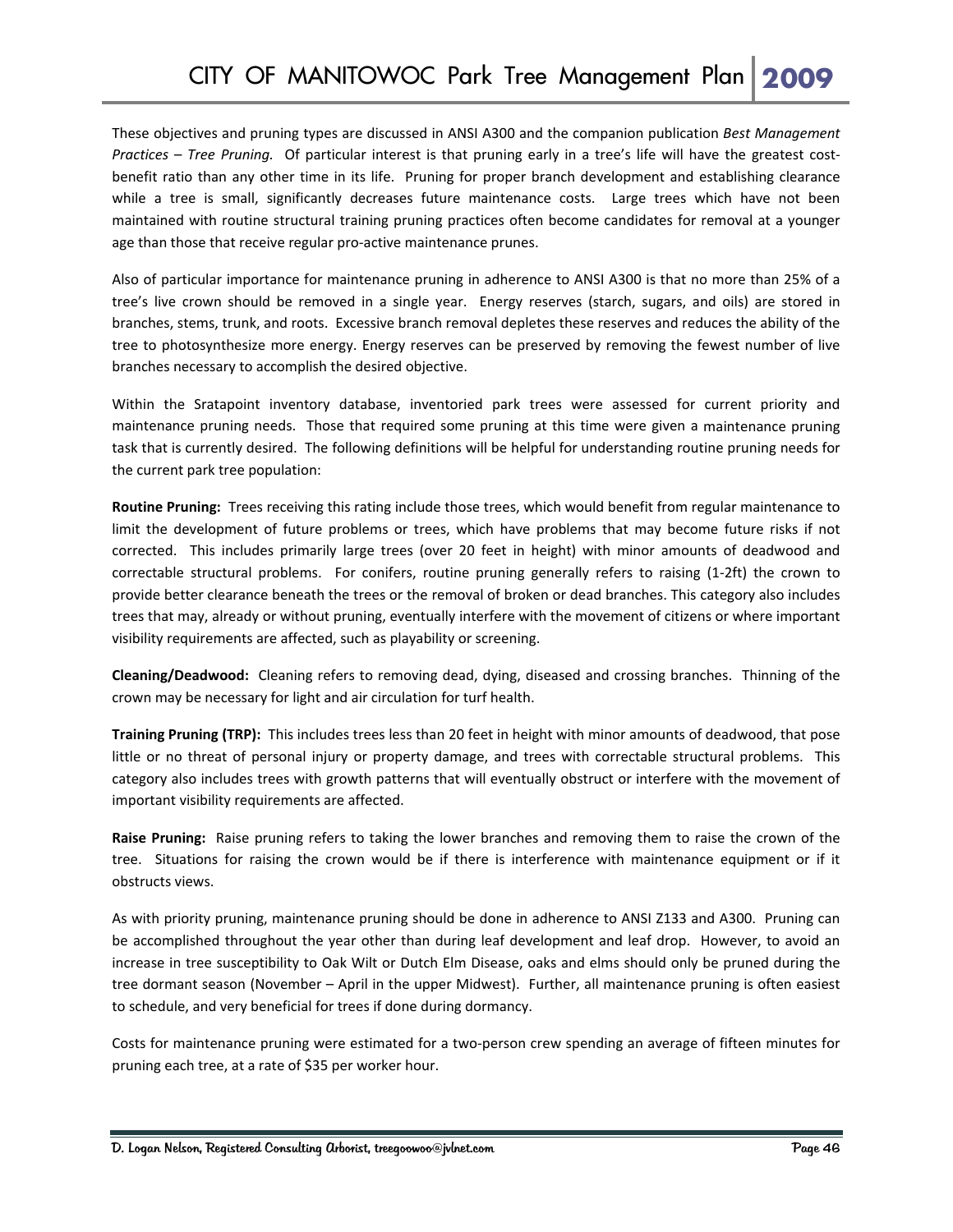These objectives and pruning types are discussed in ANSI A300 and the companion publication *Best Management Practices – Tree Pruning.* Of particular interest is that pruning early in a tree's life will have the greatest cost‐ benefit ratio than any other time in its life. Pruning for proper branch development and establishing clearance while a tree is small, significantly decreases future maintenance costs. Large trees which have not been maintained with routine structural training pruning practices often become candidates for removal at a younger age than those that receive regular pro-active maintenance prunes.

Also of particular importance for maintenance pruning in adherence to ANSI A300 is that no more than 25% of a tree's live crown should be removed in a single year. Energy reserves (starch, sugars, and oils) are stored in branches, stems, trunk, and roots. Excessive branch removal depletes these reserves and reduces the ability of the tree to photosynthesize more energy. Energy reserves can be preserved by removing the fewest number of live branches necessary to accomplish the desired objective.

Within the Sratapoint inventory database, inventoried park trees were assessed for current priority and maintenance pruning needs. Those that required some pruning at this time were given a maintenance pruning task that is currently desired. The following definitions will be helpful for understanding routine pruning needs for the current park tree population:

**Routine Pruning:** Trees receiving this rating include those trees, which would benefit from regular maintenance to limit the development of future problems or trees, which have problems that may become future risks if not corrected. This includes primarily large trees (over 20 feet in height) with minor amounts of deadwood and correctable structural problems. For conifers, routine pruning generally refers to raising (1-2ft) the crown to provide better clearance beneath the trees or the removal of broken or dead branches. This category also includes trees that may, already or without pruning, eventually interfere with the movement of citizens or where important visibility requirements are affected, such as playability or screening.

**Cleaning/Deadwood:** Cleaning refers to removing dead, dying, diseased and crossing branches. Thinning of the crown may be necessary for light and air circulation for turf health.

**Training Pruning (TRP):** This includes trees less than 20 feet in height with minor amounts of deadwood, that pose little or no threat of personal injury or property damage, and trees with correctable structural problems. This category also includes trees with growth patterns that will eventually obstruct or interfere with the movement of important visibility requirements are affected.

**Raise Pruning:** Raise pruning refers to taking the lower branches and removing them to raise the crown of the tree. Situations for raising the crown would be if there is interference with maintenance equipment or if it obstructs views.

As with priority pruning, maintenance pruning should be done in adherence to ANSI Z133 and A300. Pruning can be accomplished throughout the year other than during leaf development and leaf drop. However, to avoid an increase in tree susceptibility to Oak Wilt or Dutch Elm Disease, oaks and elms should only be pruned during the tree dormant season (November – April in the upper Midwest). Further, all maintenance pruning is often easiest to schedule, and very beneficial for trees if done during dormancy.

Costs for maintenance pruning were estimated for a two‐person crew spending an average of fifteen minutes for pruning each tree, at a rate of \$35 per worker hour.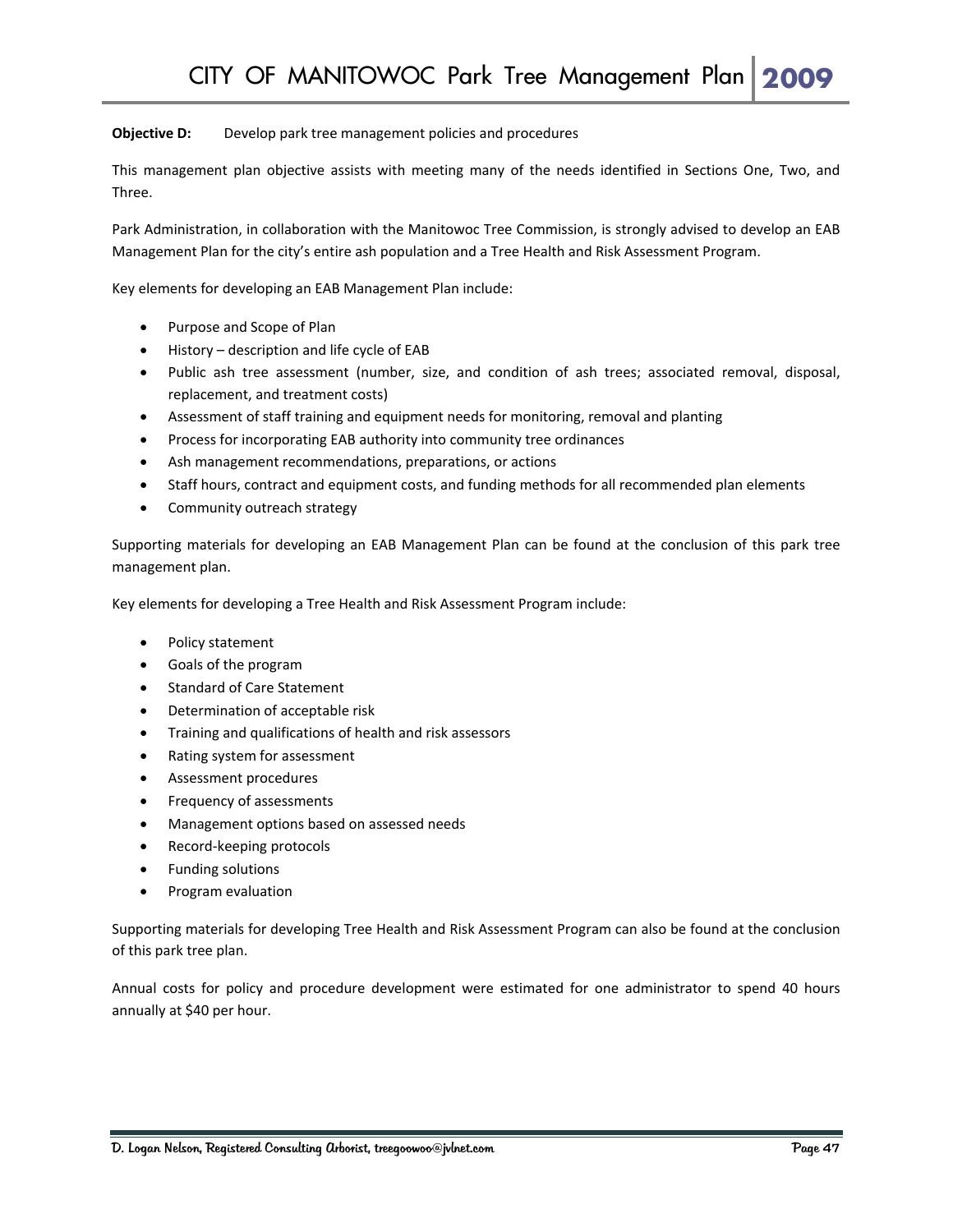#### **Objective D:** Develop park tree management policies and procedures

This management plan objective assists with meeting many of the needs identified in Sections One, Two, and Three.

Park Administration, in collaboration with the Manitowoc Tree Commission, is strongly advised to develop an EAB Management Plan for the city's entire ash population and a Tree Health and Risk Assessment Program.

Key elements for developing an EAB Management Plan include:

- Purpose and Scope of Plan
- History description and life cycle of EAB
- Public ash tree assessment (number, size, and condition of ash trees; associated removal, disposal, replacement, and treatment costs)
- Assessment of staff training and equipment needs for monitoring, removal and planting
- Process for incorporating EAB authority into community tree ordinances
- Ash management recommendations, preparations, or actions
- Staff hours, contract and equipment costs, and funding methods for all recommended plan elements
- Community outreach strategy

Supporting materials for developing an EAB Management Plan can be found at the conclusion of this park tree management plan.

Key elements for developing a Tree Health and Risk Assessment Program include:

- Policy statement
- Goals of the program
- Standard of Care Statement
- Determination of acceptable risk
- Training and qualifications of health and risk assessors
- Rating system for assessment
- Assessment procedures
- Frequency of assessments
- Management options based on assessed needs
- Record‐keeping protocols
- Funding solutions
- Program evaluation

Supporting materials for developing Tree Health and Risk Assessment Program can also be found at the conclusion of this park tree plan.

Annual costs for policy and procedure development were estimated for one administrator to spend 40 hours annually at \$40 per hour.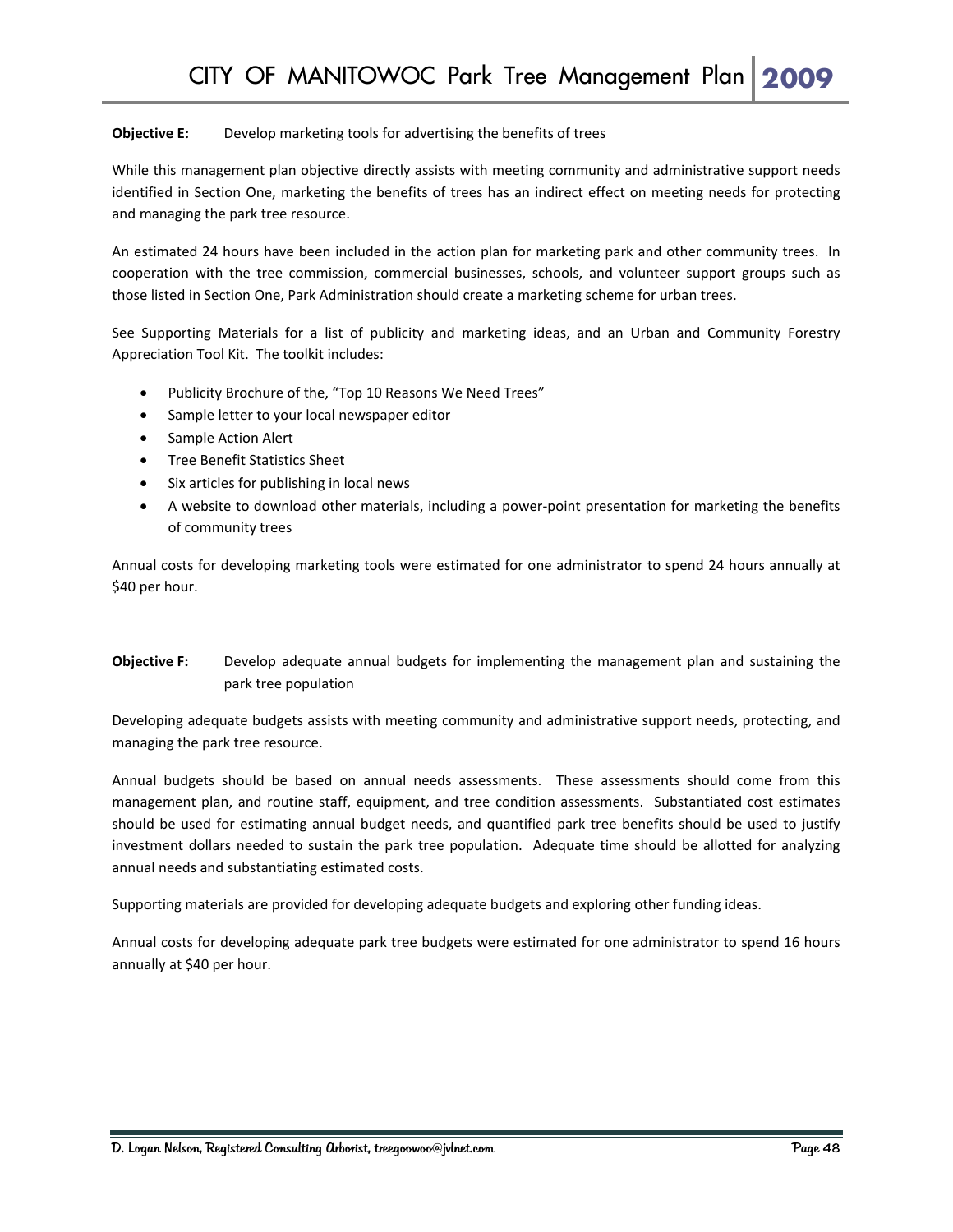#### **Objective E:** Develop marketing tools for advertising the benefits of trees

While this management plan objective directly assists with meeting community and administrative support needs identified in Section One, marketing the benefits of trees has an indirect effect on meeting needs for protecting and managing the park tree resource.

An estimated 24 hours have been included in the action plan for marketing park and other community trees. In cooperation with the tree commission, commercial businesses, schools, and volunteer support groups such as those listed in Section One, Park Administration should create a marketing scheme for urban trees.

See Supporting Materials for a list of publicity and marketing ideas, and an Urban and Community Forestry Appreciation Tool Kit. The toolkit includes:

- Publicity Brochure of the, "Top 10 Reasons We Need Trees"
- Sample letter to your local newspaper editor
- Sample Action Alert
- Tree Benefit Statistics Sheet
- Six articles for publishing in local news
- A website to download other materials, including a power‐point presentation for marketing the benefits of community trees

Annual costs for developing marketing tools were estimated for one administrator to spend 24 hours annually at \$40 per hour.

#### **Objective F:** Develop adequate annual budgets for implementing the management plan and sustaining the park tree population

Developing adequate budgets assists with meeting community and administrative support needs, protecting, and managing the park tree resource.

Annual budgets should be based on annual needs assessments. These assessments should come from this management plan, and routine staff, equipment, and tree condition assessments. Substantiated cost estimates should be used for estimating annual budget needs, and quantified park tree benefits should be used to justify investment dollars needed to sustain the park tree population. Adequate time should be allotted for analyzing annual needs and substantiating estimated costs.

Supporting materials are provided for developing adequate budgets and exploring other funding ideas.

Annual costs for developing adequate park tree budgets were estimated for one administrator to spend 16 hours annually at \$40 per hour.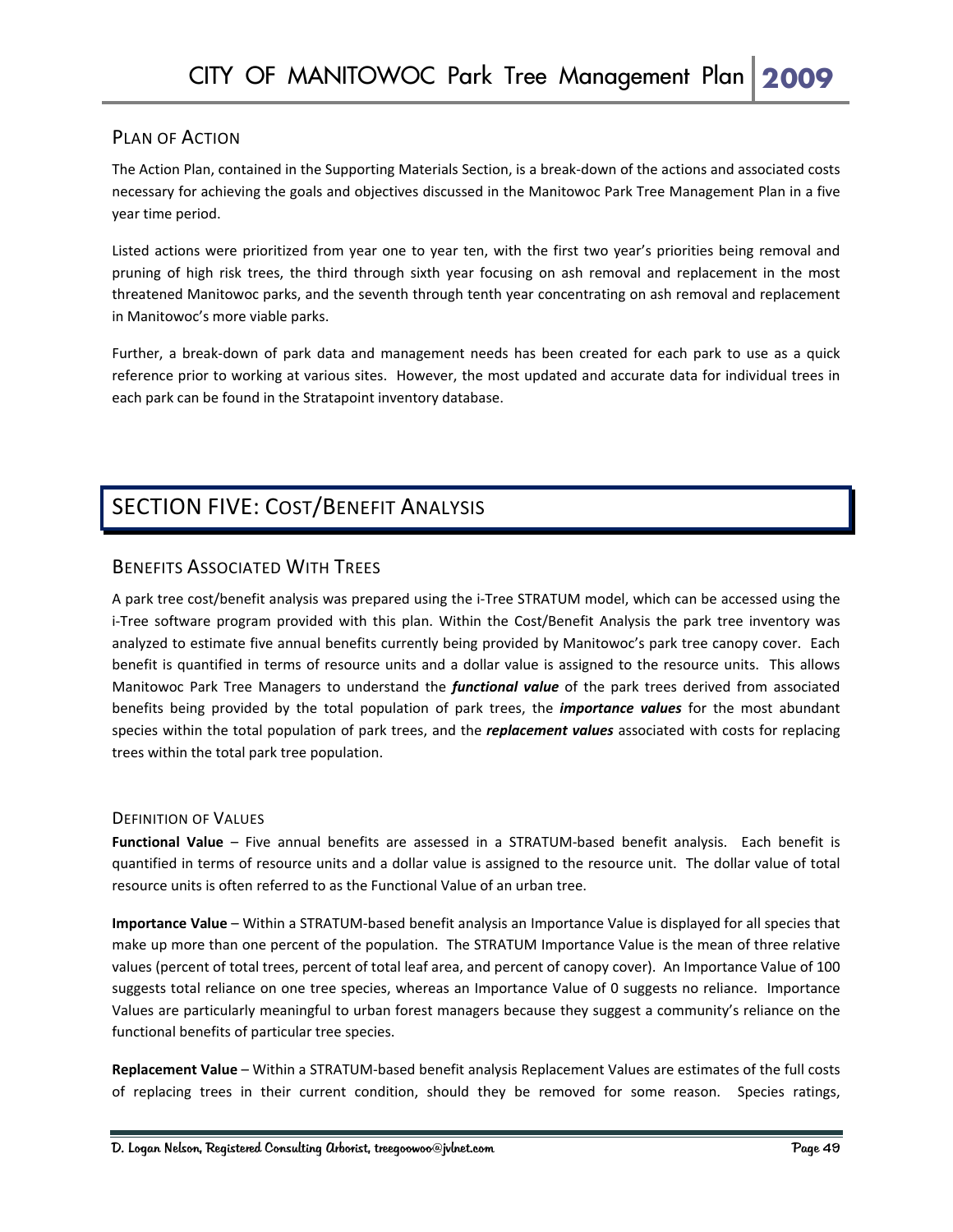#### PLAN OF ACTION

The Action Plan, contained in the Supporting Materials Section, is a break‐down of the actions and associated costs necessary for achieving the goals and objectives discussed in the Manitowoc Park Tree Management Plan in a five year time period.

Listed actions were prioritized from year one to year ten, with the first two year's priorities being removal and pruning of high risk trees, the third through sixth year focusing on ash removal and replacement in the most threatened Manitowoc parks, and the seventh through tenth year concentrating on ash removal and replacement in Manitowoc's more viable parks.

Further, a break‐down of park data and management needs has been created for each park to use as a quick reference prior to working at various sites. However, the most updated and accurate data for individual trees in each park can be found in the Stratapoint inventory database.

## SECTION FIVE: COST/BENEFIT ANALYSIS

### BENEFITS ASSOCIATED WITH TREES

A park tree cost/benefit analysis was prepared using the i‐Tree STRATUM model, which can be accessed using the i-Tree software program provided with this plan. Within the Cost/Benefit Analysis the park tree inventory was analyzed to estimate five annual benefits currently being provided by Manitowoc's park tree canopy cover. Each benefit is quantified in terms of resource units and a dollar value is assigned to the resource units. This allows Manitowoc Park Tree Managers to understand the *functional value* of the park trees derived from associated benefits being provided by the total population of park trees, the *importance values* for the most abundant species within the total population of park trees, and the *replacement values* associated with costs for replacing trees within the total park tree population.

#### DEFINITION OF VALUES

**Functional Value** – Five annual benefits are assessed in a STRATUM‐based benefit analysis. Each benefit is quantified in terms of resource units and a dollar value is assigned to the resource unit. The dollar value of total resource units is often referred to as the Functional Value of an urban tree.

**Importance Value** – Within a STRATUM‐based benefit analysis an Importance Value is displayed for all species that make up more than one percent of the population. The STRATUM Importance Value is the mean of three relative values (percent of total trees, percent of total leaf area, and percent of canopy cover). An Importance Value of 100 suggests total reliance on one tree species, whereas an Importance Value of 0 suggests no reliance. Importance Values are particularly meaningful to urban forest managers because they suggest a community's reliance on the functional benefits of particular tree species.

**Replacement Value** – Within a STRATUM‐based benefit analysis Replacement Values are estimates of the full costs of replacing trees in their current condition, should they be removed for some reason. Species ratings,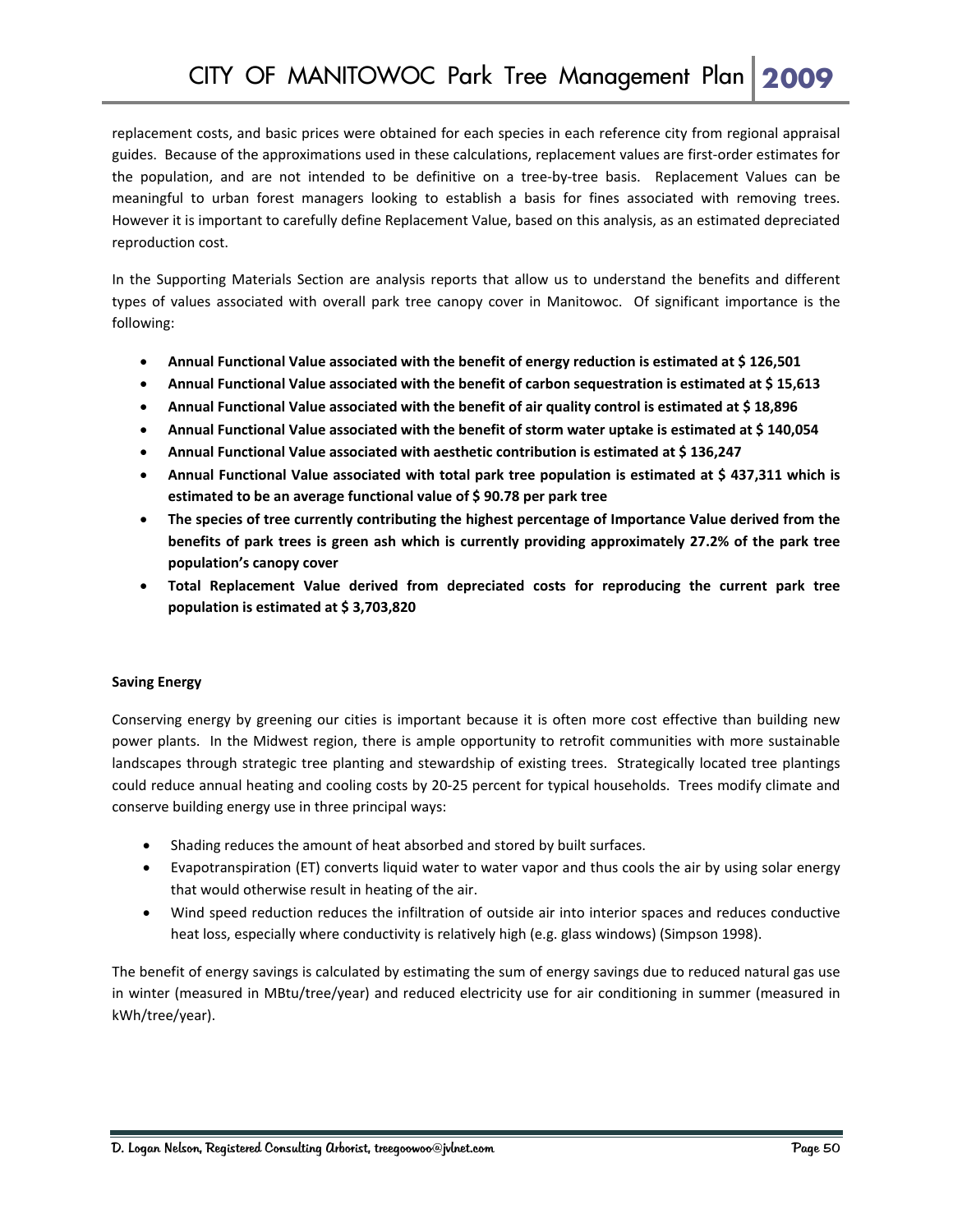replacement costs, and basic prices were obtained for each species in each reference city from regional appraisal guides. Because of the approximations used in these calculations, replacement values are first-order estimates for the population, and are not intended to be definitive on a tree-by-tree basis. Replacement Values can be meaningful to urban forest managers looking to establish a basis for fines associated with removing trees. However it is important to carefully define Replacement Value, based on this analysis, as an estimated depreciated reproduction cost.

In the Supporting Materials Section are analysis reports that allow us to understand the benefits and different types of values associated with overall park tree canopy cover in Manitowoc. Of significant importance is the following:

- **Annual Functional Value associated with the benefit of energy reduction is estimated at \$ 126,501**
- **Annual Functional Value associated with the benefit of carbon sequestration is estimated at \$ 15,613**
- **Annual Functional Value associated with the benefit of air quality control is estimated at \$ 18,896**
- **Annual Functional Value associated with the benefit of storm water uptake is estimated at \$ 140,054**
- **Annual Functional Value associated with aesthetic contribution is estimated at \$ 136,247**
- **Annual Functional Value associated with total park tree population is estimated at \$ 437,311 which is estimated to be an average functional value of \$ 90.78 per park tree**
- **The species of tree currently contributing the highest percentage of Importance Value derived from the benefits of park trees is green ash which is currently providing approximately 27.2% of the park tree population's canopy cover**
- **Total Replacement Value derived from depreciated costs for reproducing the current park tree population is estimated at \$ 3,703,820**

#### **Saving Energy**

Conserving energy by greening our cities is important because it is often more cost effective than building new power plants. In the Midwest region, there is ample opportunity to retrofit communities with more sustainable landscapes through strategic tree planting and stewardship of existing trees. Strategically located tree plantings could reduce annual heating and cooling costs by 20‐25 percent for typical households. Trees modify climate and conserve building energy use in three principal ways:

- Shading reduces the amount of heat absorbed and stored by built surfaces.
- Evapotranspiration (ET) converts liquid water to water vapor and thus cools the air by using solar energy that would otherwise result in heating of the air.
- Wind speed reduction reduces the infiltration of outside air into interior spaces and reduces conductive heat loss, especially where conductivity is relatively high (e.g. glass windows) (Simpson 1998).

The benefit of energy savings is calculated by estimating the sum of energy savings due to reduced natural gas use in winter (measured in MBtu/tree/year) and reduced electricity use for air conditioning in summer (measured in kWh/tree/year).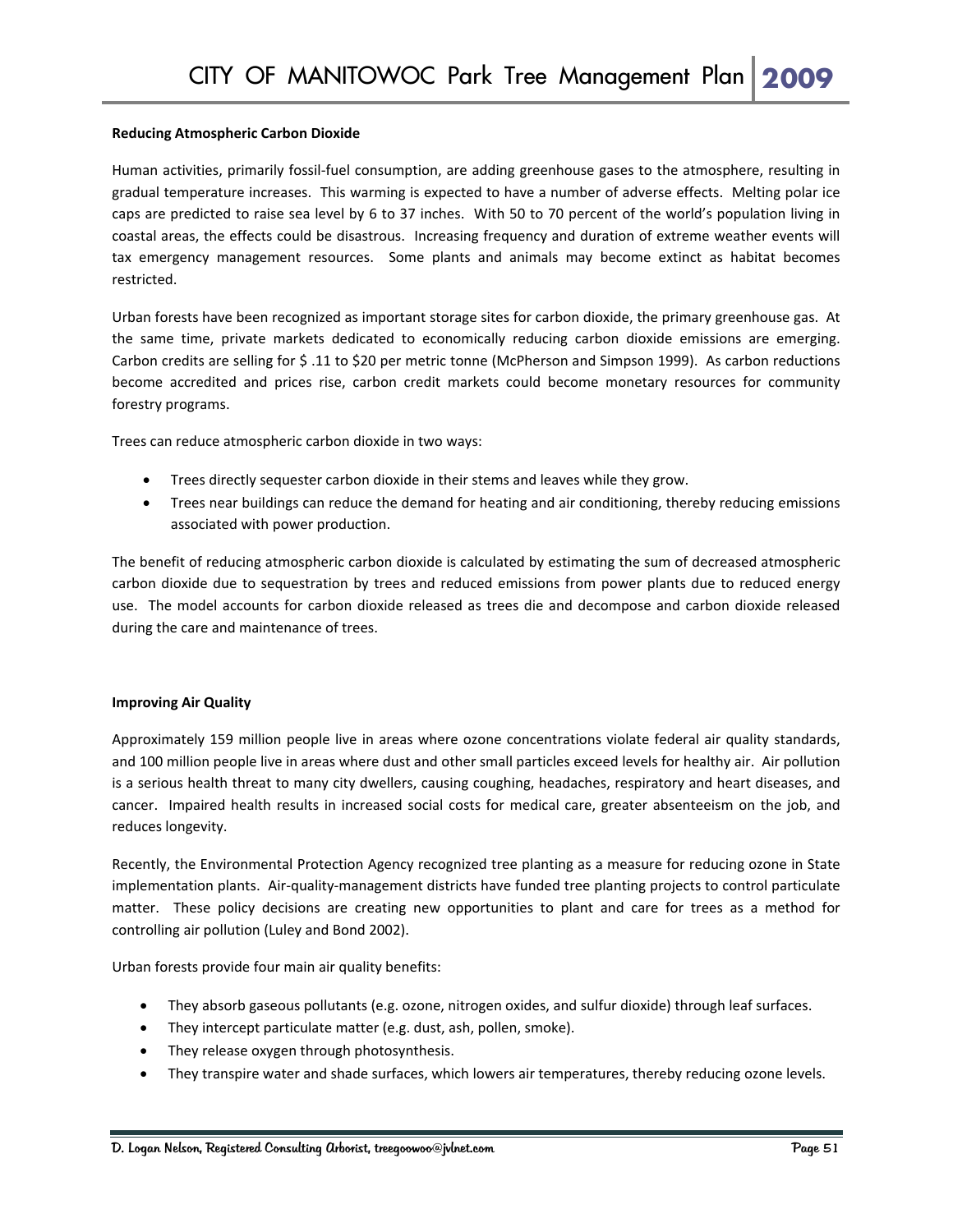#### **Reducing Atmospheric Carbon Dioxide**

Human activities, primarily fossil‐fuel consumption, are adding greenhouse gases to the atmosphere, resulting in gradual temperature increases. This warming is expected to have a number of adverse effects. Melting polar ice caps are predicted to raise sea level by 6 to 37 inches. With 50 to 70 percent of the world's population living in coastal areas, the effects could be disastrous. Increasing frequency and duration of extreme weather events will tax emergency management resources. Some plants and animals may become extinct as habitat becomes restricted.

Urban forests have been recognized as important storage sites for carbon dioxide, the primary greenhouse gas. At the same time, private markets dedicated to economically reducing carbon dioxide emissions are emerging. Carbon credits are selling for \$ .11 to \$20 per metric tonne (McPherson and Simpson 1999). As carbon reductions become accredited and prices rise, carbon credit markets could become monetary resources for community forestry programs.

Trees can reduce atmospheric carbon dioxide in two ways:

- Trees directly sequester carbon dioxide in their stems and leaves while they grow.
- Trees near buildings can reduce the demand for heating and air conditioning, thereby reducing emissions associated with power production.

The benefit of reducing atmospheric carbon dioxide is calculated by estimating the sum of decreased atmospheric carbon dioxide due to sequestration by trees and reduced emissions from power plants due to reduced energy use. The model accounts for carbon dioxide released as trees die and decompose and carbon dioxide released during the care and maintenance of trees.

#### **Improving Air Quality**

Approximately 159 million people live in areas where ozone concentrations violate federal air quality standards, and 100 million people live in areas where dust and other small particles exceed levels for healthy air. Air pollution is a serious health threat to many city dwellers, causing coughing, headaches, respiratory and heart diseases, and cancer. Impaired health results in increased social costs for medical care, greater absenteeism on the job, and reduces longevity.

Recently, the Environmental Protection Agency recognized tree planting as a measure for reducing ozone in State implementation plants. Air‐quality‐management districts have funded tree planting projects to control particulate matter. These policy decisions are creating new opportunities to plant and care for trees as a method for controlling air pollution (Luley and Bond 2002).

Urban forests provide four main air quality benefits:

- They absorb gaseous pollutants (e.g. ozone, nitrogen oxides, and sulfur dioxide) through leaf surfaces.
- They intercept particulate matter (e.g. dust, ash, pollen, smoke).
- They release oxygen through photosynthesis.
- They transpire water and shade surfaces, which lowers air temperatures, thereby reducing ozone levels.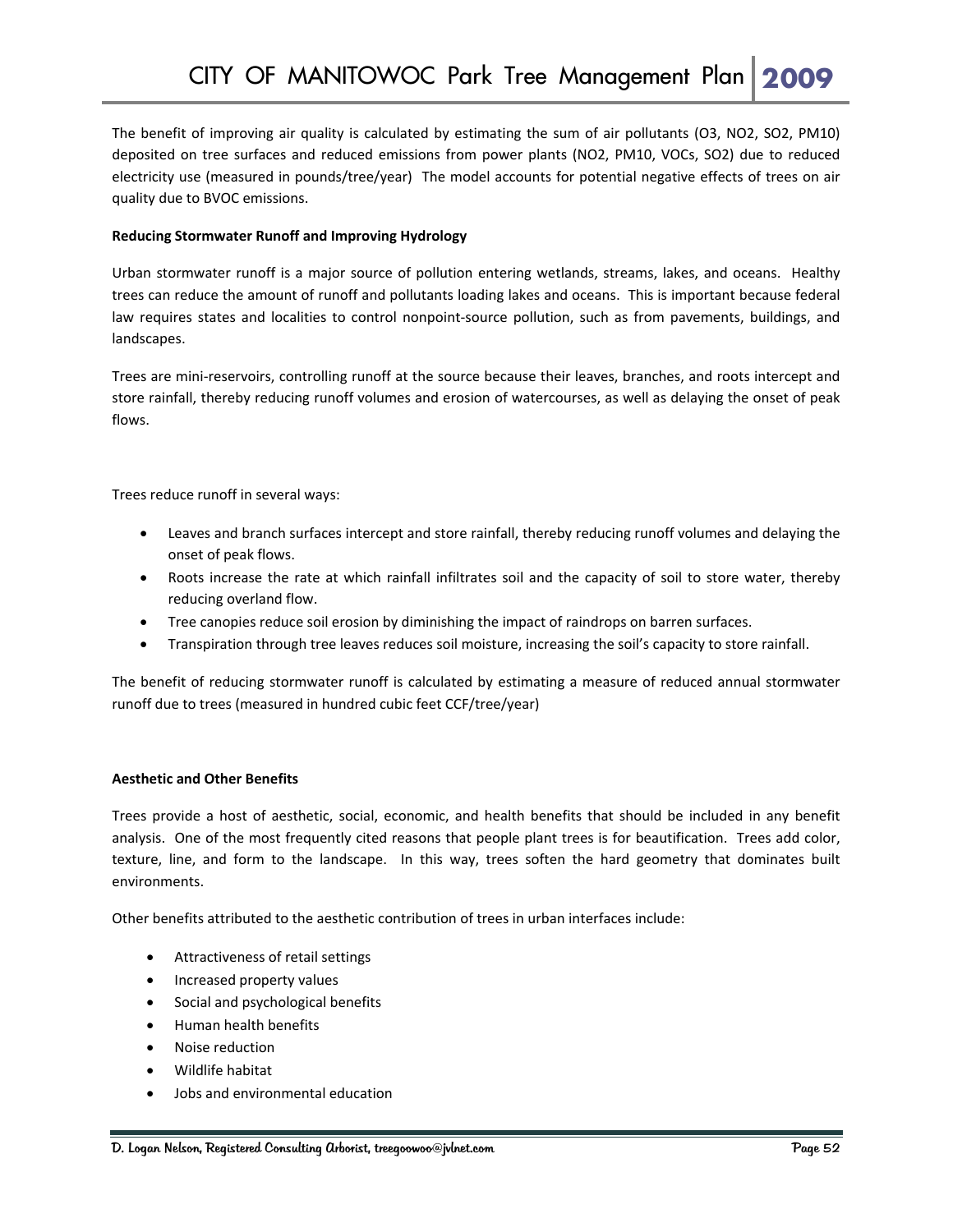The benefit of improving air quality is calculated by estimating the sum of air pollutants (O3, NO2, SO2, PM10) deposited on tree surfaces and reduced emissions from power plants (NO2, PM10, VOCs, SO2) due to reduced electricity use (measured in pounds/tree/year) The model accounts for potential negative effects of trees on air quality due to BVOC emissions.

#### **Reducing Stormwater Runoff and Improving Hydrology**

Urban stormwater runoff is a major source of pollution entering wetlands, streams, lakes, and oceans. Healthy trees can reduce the amount of runoff and pollutants loading lakes and oceans. This is important because federal law requires states and localities to control nonpoint‐source pollution, such as from pavements, buildings, and landscapes.

Trees are mini‐reservoirs, controlling runoff at the source because their leaves, branches, and roots intercept and store rainfall, thereby reducing runoff volumes and erosion of watercourses, as well as delaying the onset of peak flows.

Trees reduce runoff in several ways:

- Leaves and branch surfaces intercept and store rainfall, thereby reducing runoff volumes and delaying the onset of peak flows.
- Roots increase the rate at which rainfall infiltrates soil and the capacity of soil to store water, thereby reducing overland flow.
- Tree canopies reduce soil erosion by diminishing the impact of raindrops on barren surfaces.
- Transpiration through tree leaves reduces soil moisture, increasing the soil's capacity to store rainfall.

The benefit of reducing stormwater runoff is calculated by estimating a measure of reduced annual stormwater runoff due to trees (measured in hundred cubic feet CCF/tree/year)

#### **Aesthetic and Other Benefits**

Trees provide a host of aesthetic, social, economic, and health benefits that should be included in any benefit analysis. One of the most frequently cited reasons that people plant trees is for beautification. Trees add color, texture, line, and form to the landscape. In this way, trees soften the hard geometry that dominates built environments.

Other benefits attributed to the aesthetic contribution of trees in urban interfaces include:

- Attractiveness of retail settings
- Increased property values
- Social and psychological benefits
- Human health benefits
- Noise reduction
- Wildlife habitat
- Jobs and environmental education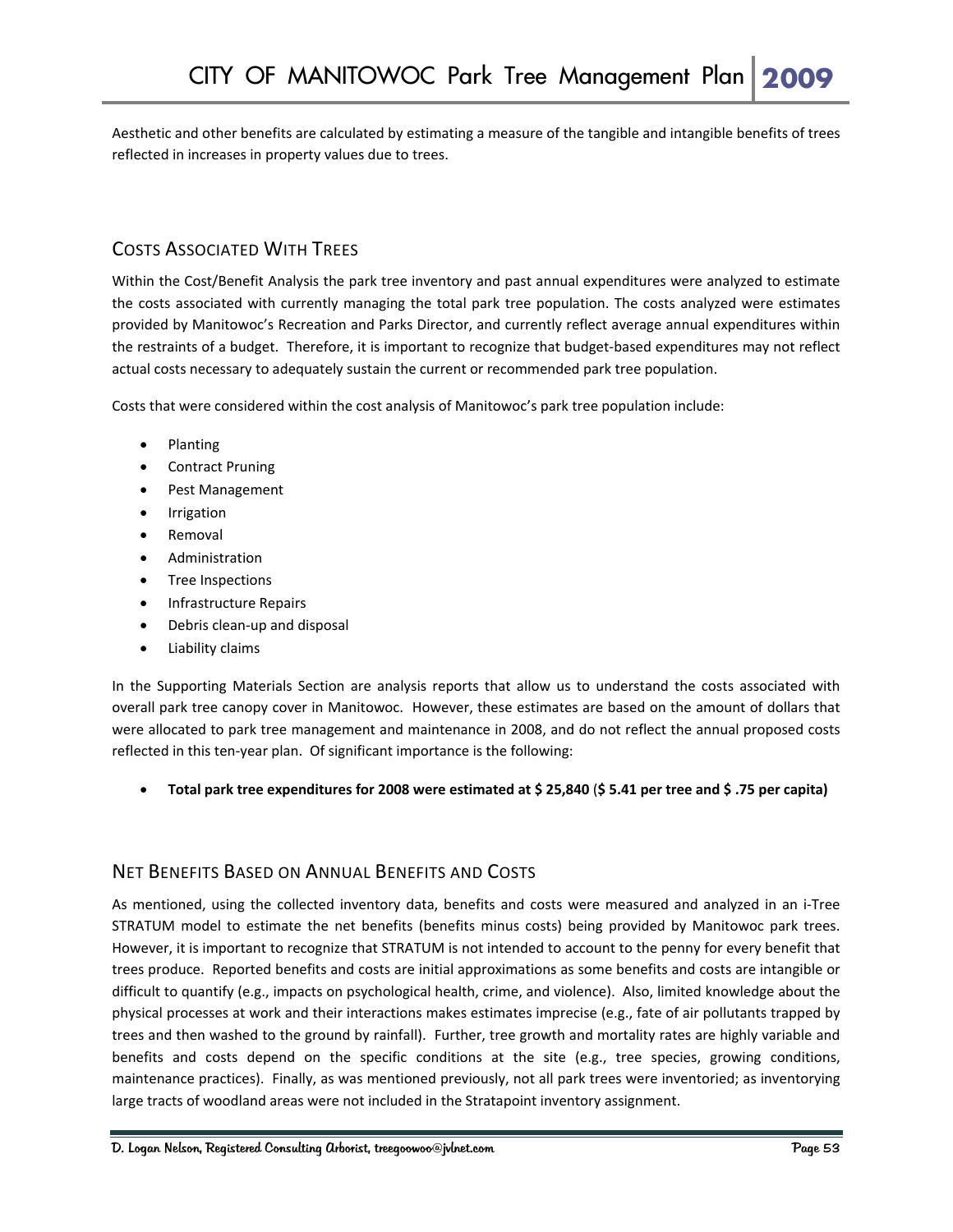Aesthetic and other benefits are calculated by estimating a measure of the tangible and intangible benefits of trees reflected in increases in property values due to trees.

#### COSTS ASSOCIATED WITH TREES

Within the Cost/Benefit Analysis the park tree inventory and past annual expenditures were analyzed to estimate the costs associated with currently managing the total park tree population. The costs analyzed were estimates provided by Manitowoc's Recreation and Parks Director, and currently reflect average annual expenditures within the restraints of a budget. Therefore, it is important to recognize that budget‐based expenditures may not reflect actual costs necessary to adequately sustain the current or recommended park tree population.

Costs that were considered within the cost analysis of Manitowoc's park tree population include:

- Planting
- Contract Pruning
- Pest Management
- **Irrigation**
- Removal
- Administration
- Tree Inspections
- Infrastructure Repairs
- Debris clean‐up and disposal
- Liability claims

In the Supporting Materials Section are analysis reports that allow us to understand the costs associated with overall park tree canopy cover in Manitowoc. However, these estimates are based on the amount of dollars that were allocated to park tree management and maintenance in 2008, and do not reflect the annual proposed costs reflected in this ten‐year plan. Of significant importance is the following:

• Total park tree expenditures for 2008 were estimated at \$25,840 (\$5.41 per tree and \$.75 per capita)

#### NET BENEFITS BASED ON ANNUAL BENEFITS AND COSTS

As mentioned, using the collected inventory data, benefits and costs were measured and analyzed in an i‐Tree STRATUM model to estimate the net benefits (benefits minus costs) being provided by Manitowoc park trees. However, it is important to recognize that STRATUM is not intended to account to the penny for every benefit that trees produce. Reported benefits and costs are initial approximations as some benefits and costs are intangible or difficult to quantify (e.g., impacts on psychological health, crime, and violence). Also, limited knowledge about the physical processes at work and their interactions makes estimates imprecise (e.g., fate of air pollutants trapped by trees and then washed to the ground by rainfall). Further, tree growth and mortality rates are highly variable and benefits and costs depend on the specific conditions at the site (e.g., tree species, growing conditions, maintenance practices). Finally, as was mentioned previously, not all park trees were inventoried; as inventorying large tracts of woodland areas were not included in the Stratapoint inventory assignment.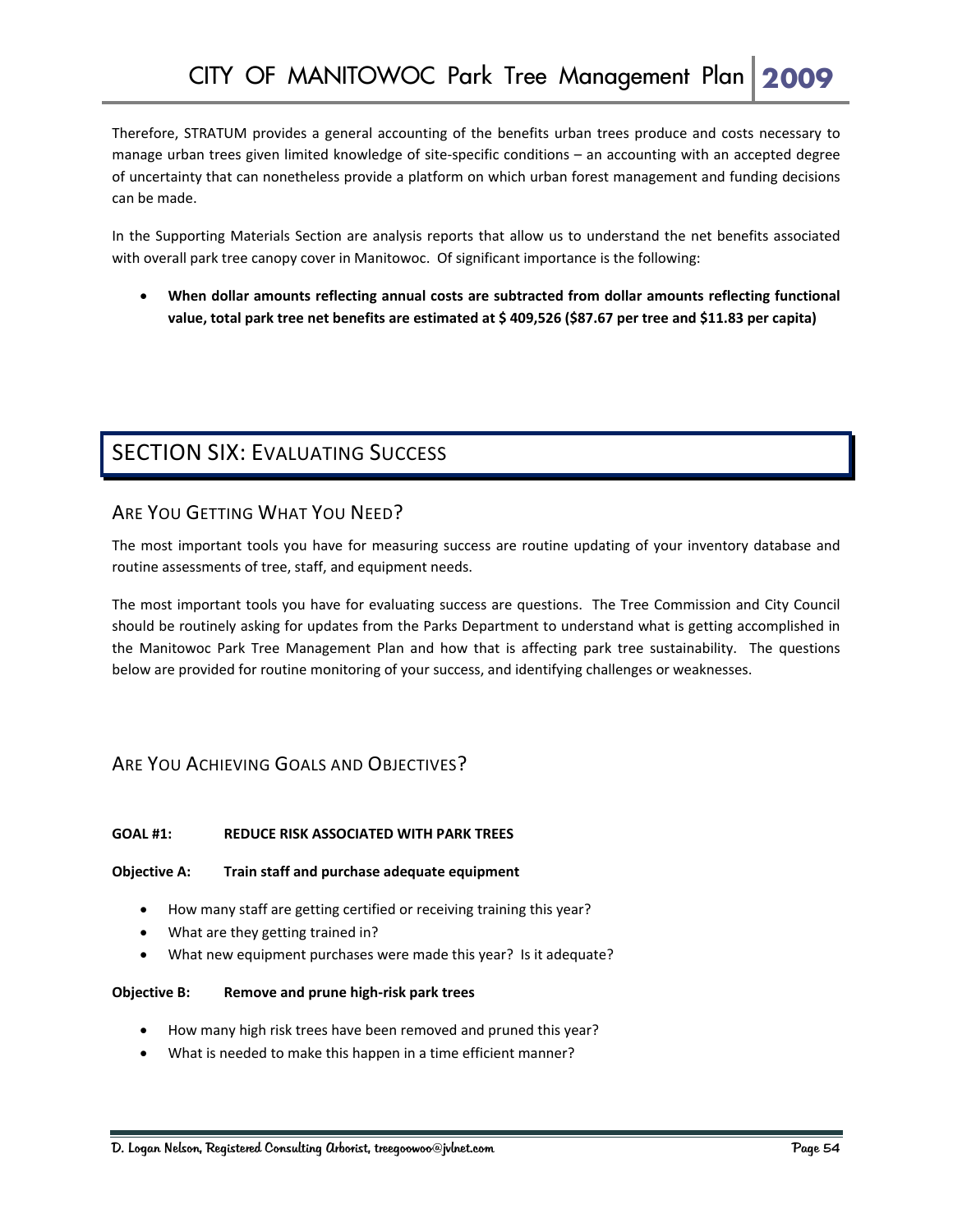Therefore, STRATUM provides a general accounting of the benefits urban trees produce and costs necessary to manage urban trees given limited knowledge of site‐specific conditions – an accounting with an accepted degree of uncertainty that can nonetheless provide a platform on which urban forest management and funding decisions can be made.

In the Supporting Materials Section are analysis reports that allow us to understand the net benefits associated with overall park tree canopy cover in Manitowoc. Of significant importance is the following:

• **When dollar amounts reflecting annual costs are subtracted from dollar amounts reflecting functional** value, total park tree net benefits are estimated at \$409,526 (\$87.67 per tree and \$11.83 per capita)

## SECTION SIX: EVALUATING SUCCESS

#### ARE YOU GETTING WHAT YOU NEED?

The most important tools you have for measuring success are routine updating of your inventory database and routine assessments of tree, staff, and equipment needs.

The most important tools you have for evaluating success are questions. The Tree Commission and City Council should be routinely asking for updates from the Parks Department to understand what is getting accomplished in the Manitowoc Park Tree Management Plan and how that is affecting park tree sustainability. The questions below are provided for routine monitoring of your success, and identifying challenges or weaknesses.

#### ARE YOU ACHIEVING GOALS AND OBJECTIVES?

#### **GOAL #1: REDUCE RISK ASSOCIATED WITH PARK TREES**

#### **Objective A: Train staff and purchase adequate equipment**

- How many staff are getting certified or receiving training this year?
- What are they getting trained in?
- What new equipment purchases were made this year? Is it adequate?

#### **Objective B: Remove and prune high‐risk park trees**

- How many high risk trees have been removed and pruned this year?
- What is needed to make this happen in a time efficient manner?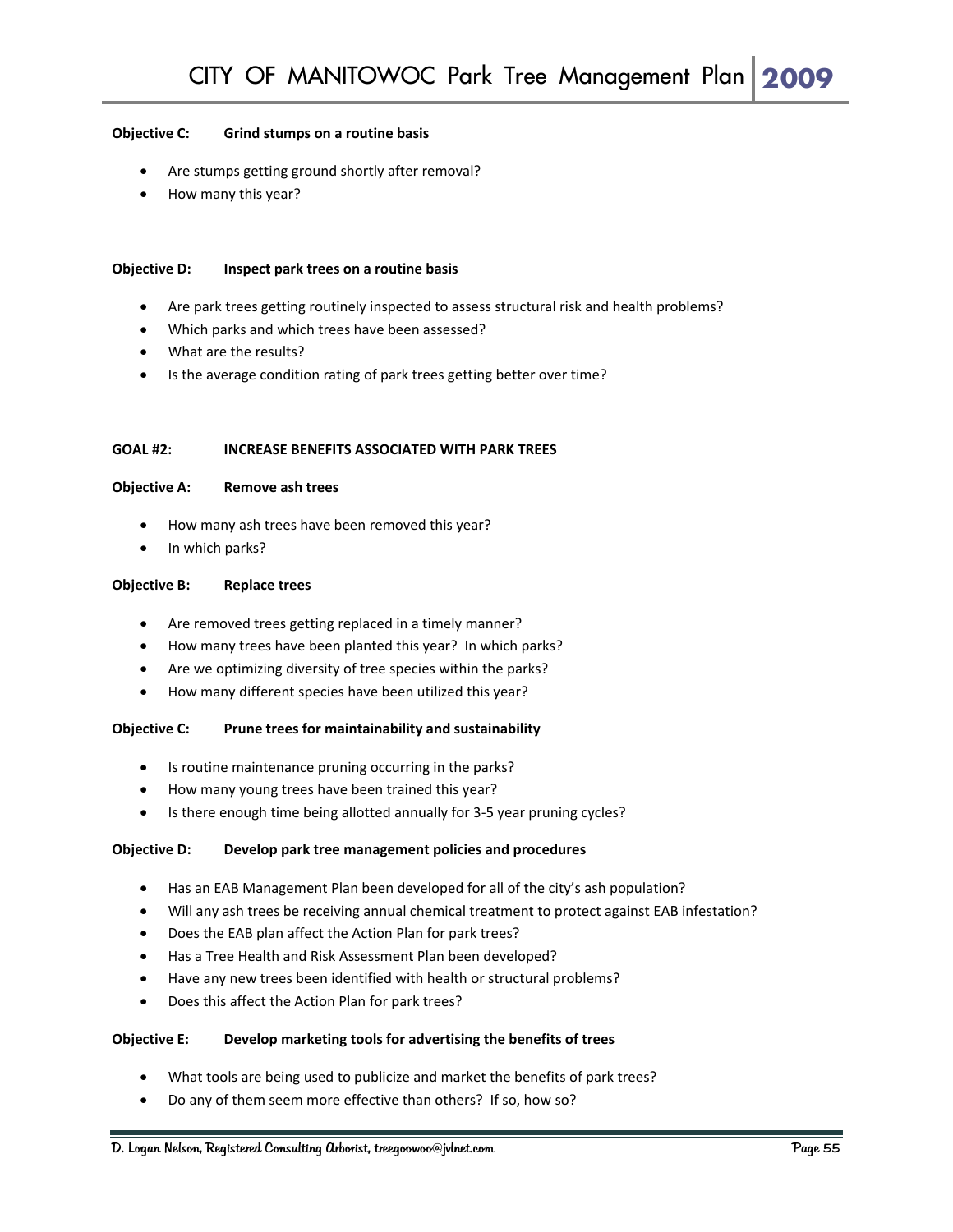#### **Objective C: Grind stumps on a routine basis**

- Are stumps getting ground shortly after removal?
- How many this year?

#### **Objective D: Inspect park trees on a routine basis**

- Are park trees getting routinely inspected to assess structural risk and health problems?
- Which parks and which trees have been assessed?
- What are the results?
- Is the average condition rating of park trees getting better over time?

#### **GOAL #2: INCREASE BENEFITS ASSOCIATED WITH PARK TREES**

#### **Objective A: Remove ash trees**

- How many ash trees have been removed this year?
- In which parks?

#### **Objective B: Replace trees**

- Are removed trees getting replaced in a timely manner?
- How many trees have been planted this year? In which parks?
- Are we optimizing diversity of tree species within the parks?
- How many different species have been utilized this year?

#### **Objective C: Prune trees for maintainability and sustainability**

- Is routine maintenance pruning occurring in the parks?
- How many young trees have been trained this year?
- Is there enough time being allotted annually for 3‐5 year pruning cycles?

#### **Objective D: Develop park tree management policies and procedures**

- Has an EAB Management Plan been developed for all of the city's ash population?
- Will any ash trees be receiving annual chemical treatment to protect against EAB infestation?
- Does the EAB plan affect the Action Plan for park trees?
- Has a Tree Health and Risk Assessment Plan been developed?
- Have any new trees been identified with health or structural problems?
- Does this affect the Action Plan for park trees?

#### **Objective E: Develop marketing tools for advertising the benefits of trees**

- What tools are being used to publicize and market the benefits of park trees?
- Do any of them seem more effective than others? If so, how so?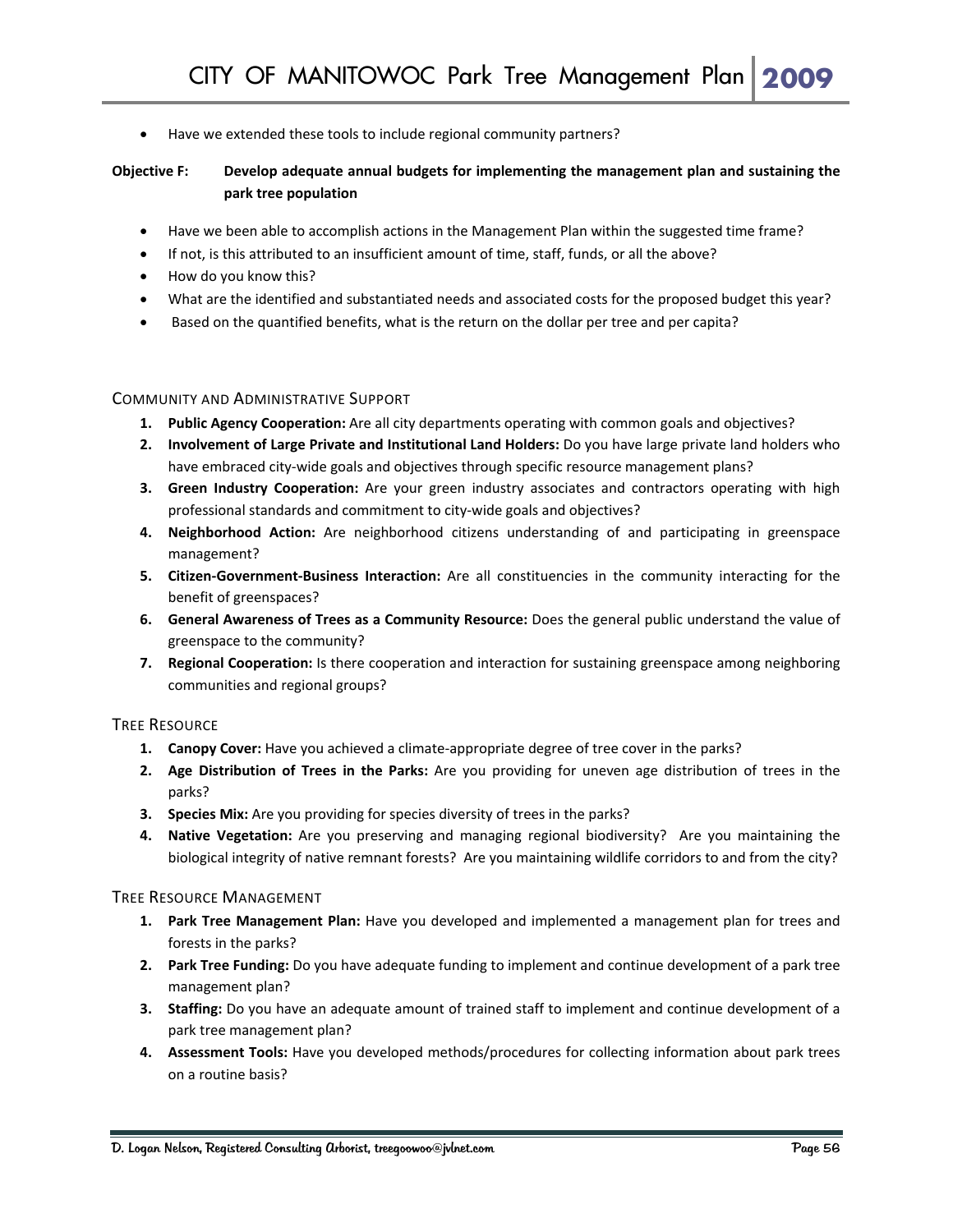• Have we extended these tools to include regional community partners?

#### **Objective F: Develop adequate annual budgets for implementing the management plan and sustaining the park tree population**

- Have we been able to accomplish actions in the Management Plan within the suggested time frame?
- If not, is this attributed to an insufficient amount of time, staff, funds, or all the above?
- How do you know this?
- What are the identified and substantiated needs and associated costs for the proposed budget this year?
- Based on the quantified benefits, what is the return on the dollar per tree and per capita?

#### COMMUNITY AND ADMINISTRATIVE SUPPORT

- **1. Public Agency Cooperation:** Are all city departments operating with common goals and objectives?
- **2. Involvement of Large Private and Institutional Land Holders:** Do you have large private land holders who have embraced city-wide goals and objectives through specific resource management plans?
- **3. Green Industry Cooperation:** Are your green industry associates and contractors operating with high professional standards and commitment to city‐wide goals and objectives?
- **4. Neighborhood Action:** Are neighborhood citizens understanding of and participating in greenspace management?
- **5. Citizen‐Government‐Business Interaction:** Are all constituencies in the community interacting for the benefit of greenspaces?
- **6. General Awareness of Trees as a Community Resource:** Does the general public understand the value of greenspace to the community?
- **7. Regional Cooperation:** Is there cooperation and interaction for sustaining greenspace among neighboring communities and regional groups?

#### TREE RESOURCE

- **1. Canopy Cover:** Have you achieved a climate‐appropriate degree of tree cover in the parks?
- **2. Age Distribution of Trees in the Parks:** Are you providing for uneven age distribution of trees in the parks?
- **3. Species Mix:** Are you providing for species diversity of trees in the parks?
- **4. Native Vegetation:** Are you preserving and managing regional biodiversity? Are you maintaining the biological integrity of native remnant forests? Are you maintaining wildlife corridors to and from the city?

#### TREE RESOURCE MANAGEMENT

- **1. Park Tree Management Plan:** Have you developed and implemented a management plan for trees and forests in the parks?
- **2. Park Tree Funding:** Do you have adequate funding to implement and continue development of a park tree management plan?
- **3. Staffing:** Do you have an adequate amount of trained staff to implement and continue development of a park tree management plan?
- **4. Assessment Tools:** Have you developed methods/procedures for collecting information about park trees on a routine basis?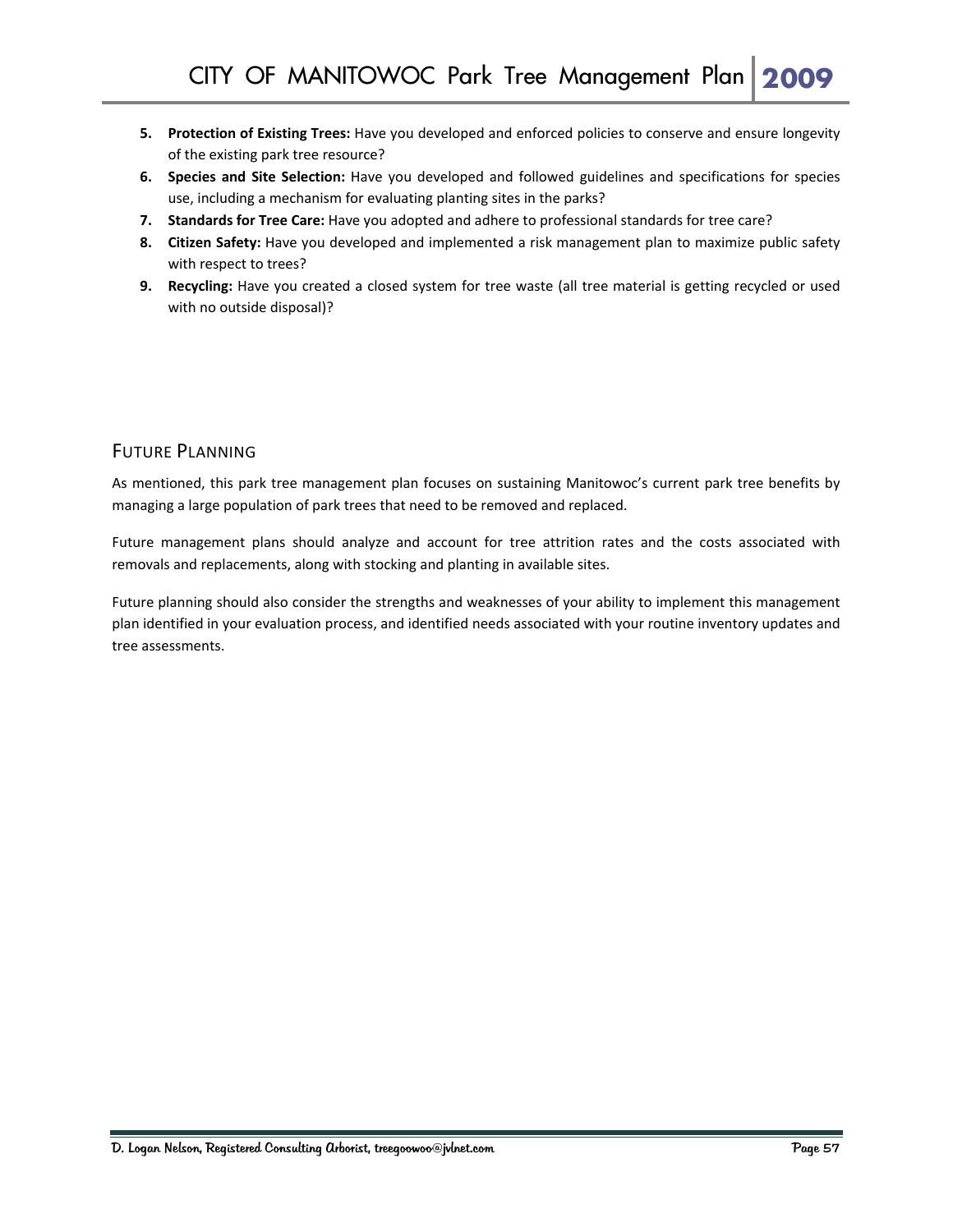- **5. Protection of Existing Trees:** Have you developed and enforced policies to conserve and ensure longevity of the existing park tree resource?
- **6. Species and Site Selection:** Have you developed and followed guidelines and specifications for species use, including a mechanism for evaluating planting sites in the parks?
- **7. Standards for Tree Care:** Have you adopted and adhere to professional standards for tree care?
- **8. Citizen Safety:** Have you developed and implemented a risk management plan to maximize public safety with respect to trees?
- **9. Recycling:** Have you created a closed system for tree waste (all tree material is getting recycled or used with no outside disposal)?

#### FUTURE PLANNING

As mentioned, this park tree management plan focuses on sustaining Manitowoc's current park tree benefits by managing a large population of park trees that need to be removed and replaced.

Future management plans should analyze and account for tree attrition rates and the costs associated with removals and replacements, along with stocking and planting in available sites.

Future planning should also consider the strengths and weaknesses of your ability to implement this management plan identified in your evaluation process, and identified needs associated with your routine inventory updates and tree assessments.